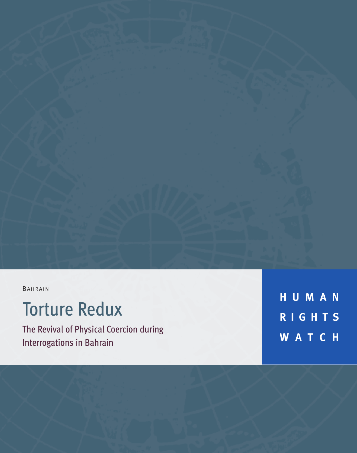BAHRAIN

# Torture Redux

The Revival of Physical Coercion during Interrogations in Bahrain

**H U M A N R I G H T S W A T C H**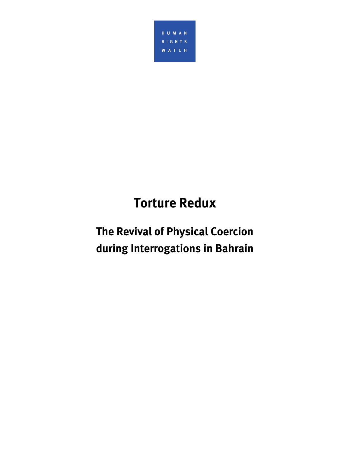

# **Torture Redux**

## **The Revival of Physical Coercion during Interrogations in Bahrain**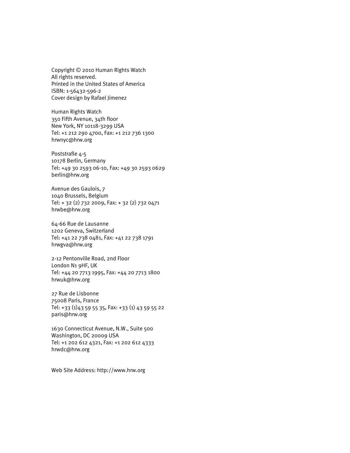Copyright © 2010 Human Rights Watch All rights reserved. Printed in the United States of America ISBN: 1-56432-596-2 Cover design by Rafael Jimenez

Human Rights Watch 350 Fifth Avenue, 34th floor New York, NY 10118-3299 USA Tel: +1 212 290 4700, Fax: +1 212 736 1300 hrwnyc@hrw.org

Poststraße 4-5 10178 Berlin, Germany Tel: +49 30 2593 06-10, Fax: +49 30 2593 0629 berlin@hrw.org

Avenue des Gaulois, 7 1040 Brussels, Belgium Tel: + 32 (2) 732 2009, Fax: + 32 (2) 732 0471 hrwbe@hrw.org

64-66 Rue de Lausanne 1202 Geneva, Switzerland Tel: +41 22 738 0481, Fax: +41 22 738 1791 hrwgva@hrw.org

2-12 Pentonville Road, 2nd Floor London N1 9HF, UK Tel: +44 20 7713 1995, Fax: +44 20 7713 1800 hrwuk@hrw.org

27 Rue de Lisbonne 75008 Paris, France Tel: +33 (1)43 59 55 35, Fax: +33 (1) 43 59 55 22 paris@hrw.org

1630 Connecticut Avenue, N.W., Suite 500 Washington, DC 20009 USA Tel: +1 202 612 4321, Fax: +1 202 612 4333 hrwdc@hrw.org

Web Site Address: http://www.hrw.org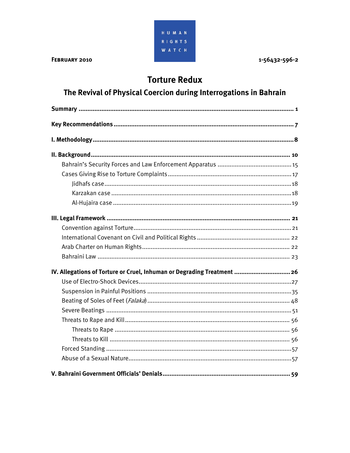

1-56432-596-2

## **Torture Redux**

## The Revival of Physical Coercion during Interrogations in Bahrain

| IV. Allegations of Torture or Cruel, Inhuman or Degrading Treatment  26 |
|-------------------------------------------------------------------------|
|                                                                         |
|                                                                         |
|                                                                         |
|                                                                         |
|                                                                         |
|                                                                         |
|                                                                         |
|                                                                         |
|                                                                         |
|                                                                         |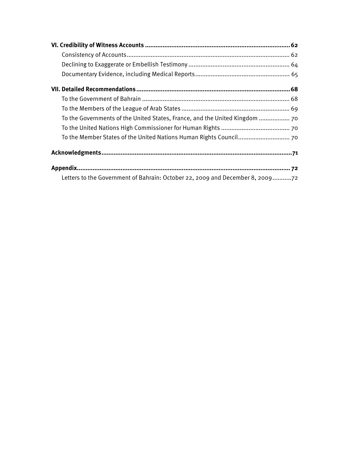| To the Governments of the United States, France, and the United Kingdom  70   |
|-------------------------------------------------------------------------------|
|                                                                               |
|                                                                               |
|                                                                               |
|                                                                               |
| Letters to the Government of Bahrain: October 22, 2009 and December 8, 200972 |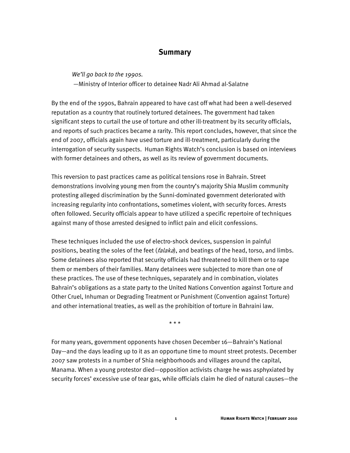## **Summary**

*We'll go back to the 1990s.* 

—Ministry of Interior officer to detainee Nadr Ali Ahmad al-Salatne

By the end of the 1990s, Bahrain appeared to have cast off what had been a well-deserved reputation as a country that routinely tortured detainees. The government had taken significant steps to curtail the use of torture and other ill-treatment by its security officials, and reports of such practices became a rarity. This report concludes, however, that since the end of 2007, officials again have used torture and ill-treatment, particularly during the interrogation of security suspects. Human Rights Watch's conclusion is based on interviews with former detainees and others, as well as its review of government documents.

This reversion to past practices came as political tensions rose in Bahrain. Street demonstrations involving young men from the country's majority Shia Muslim community protesting alleged discrimination by the Sunni-dominated government deteriorated with increasing regularity into confrontations, sometimes violent, with security forces. Arrests often followed. Security officials appear to have utilized a specific repertoire of techniques against many of those arrested designed to inflict pain and elicit confessions.

These techniques included the use of electro-shock devices, suspension in painful positions, beating the soles of the feet (*falaka*), and beatings of the head, torso, and limbs. Some detainees also reported that security officials had threatened to kill them or to rape them or members of their families. Many detainees were subjected to more than one of these practices. The use of these techniques, separately and in combination, violates Bahrain's obligations as a state party to the United Nations Convention against Torture and Other Cruel, Inhuman or Degrading Treatment or Punishment (Convention against Torture) and other international treaties, as well as the prohibition of torture in Bahraini law.

\* \* \*

For many years, government opponents have chosen December 16—Bahrain's National Day—and the days leading up to it as an opportune time to mount street protests. December 2007 saw protests in a number of Shia neighborhoods and villages around the capital, Manama. When a young protestor died—opposition activists charge he was asphyxiated by security forces' excessive use of tear gas, while officials claim he died of natural causes—the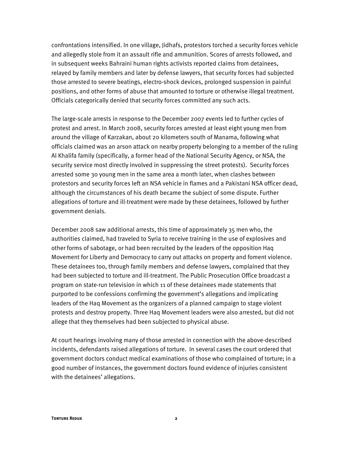confrontations intensified. In one village, Jidhafs, protestors torched a security forces vehicle and allegedly stole from it an assault rifle and ammunition. Scores of arrests followed, and in subsequent weeks Bahraini human rights activists reported claims from detainees, relayed by family members and later by defense lawyers, that security forces had subjected those arrested to severe beatings, electro-shock devices, prolonged suspension in painful positions, and other forms of abuse that amounted to torture or otherwise illegal treatment. Officials categorically denied that security forces committed any such acts.

The large-scale arrests in response to the December 2007 events led to further cycles of protest and arrest. In March 2008, security forces arrested at least eight young men from around the village of Karzakan, about 20 kilometers south of Manama, following what officials claimed was an arson attack on nearby property belonging to a member of the ruling Al Khalifa family (specifically, a former head of the National Security Agency, or NSA, the security service most directly involved in suppressing the street protests). Security forces arrested some 30 young men in the same area a month later, when clashes between protestors and security forces left an NSA vehicle in flames and a Pakistani NSA officer dead, although the circumstances of his death became the subject of some dispute. Further allegations of torture and ill-treatment were made by these detainees, followed by further government denials.

December 2008 saw additional arrests, this time of approximately 35 men who, the authorities claimed, had traveled to Syria to receive training in the use of explosives and other forms of sabotage, or had been recruited by the leaders of the opposition Haq Movement for Liberty and Democracy to carry out attacks on property and foment violence. These detainees too, through family members and defense lawyers, complained that they had been subjected to torture and ill-treatment. The Public Prosecution Office broadcast a program on state-run television in which 11 of these detainees made statements that purported to be confessions confirming the government's allegations and implicating leaders of the Haq Movement as the organizers of a planned campaign to stage violent protests and destroy property. Three Haq Movement leaders were also arrested, but did not allege that they themselves had been subjected to physical abuse.

At court hearings involving many of those arrested in connection with the above-described incidents, defendants raised allegations of torture. In several cases the court ordered that government doctors conduct medical examinations of those who complained of torture; in a good number of instances, the government doctors found evidence of injuries consistent with the detainees' allegations.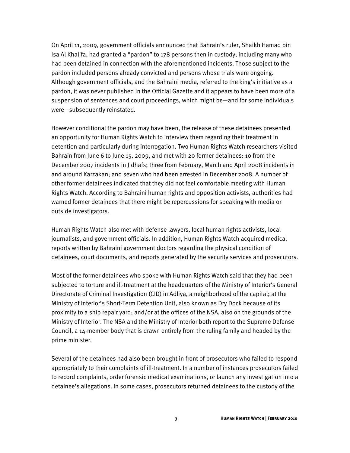On April 11, 2009, government officials announced that Bahrain's ruler, Shaikh Hamad bin Isa Al Khalifa, had granted a "pardon" to 178 persons then in custody, including many who had been detained in connection with the aforementioned incidents. Those subject to the pardon included persons already convicted and persons whose trials were ongoing. Although government officials, and the Bahraini media, referred to the king's initiative as a pardon, it was never published in the Official Gazette and it appears to have been more of a suspension of sentences and court proceedings, which might be—and for some individuals were—subsequently reinstated.

However conditional the pardon may have been, the release of these detainees presented an opportunity for Human Rights Watch to interview them regarding their treatment in detention and particularly during interrogation. Two Human Rights Watch researchers visited Bahrain from June 6 to June 15, 2009, and met with 20 former detainees: 10 from the December 2007 incidents in Jidhafs; three from February, March and April 2008 incidents in and around Karzakan; and seven who had been arrested in December 2008. A number of other former detainees indicated that they did not feel comfortable meeting with Human Rights Watch. According to Bahraini human rights and opposition activists, authorities had warned former detainees that there might be repercussions for speaking with media or outside investigators.

Human Rights Watch also met with defense lawyers, local human rights activists, local journalists, and government officials. In addition, Human Rights Watch acquired medical reports written by Bahraini government doctors regarding the physical condition of detainees, court documents, and reports generated by the security services and prosecutors.

Most of the former detainees who spoke with Human Rights Watch said that they had been subjected to torture and ill-treatment at the headquarters of the Ministry of Interior's General Directorate of Criminal Investigation (CID) in Adliya, a neighborhood of the capital; at the Ministry of Interior's Short-Term Detention Unit, also known as Dry Dock because of its proximity to a ship repair yard; and/or at the offices of the NSA, also on the grounds of the Ministry of Interior. The NSA and the Ministry of Interior both report to the Supreme Defense Council, a 14-member body that is drawn entirely from the ruling family and headed by the prime minister.

Several of the detainees had also been brought in front of prosecutors who failed to respond appropriately to their complaints of ill-treatment. In a number of instances prosecutors failed to record complaints, order forensic medical examinations, or launch any investigation into a detainee's allegations. In some cases, prosecutors returned detainees to the custody of the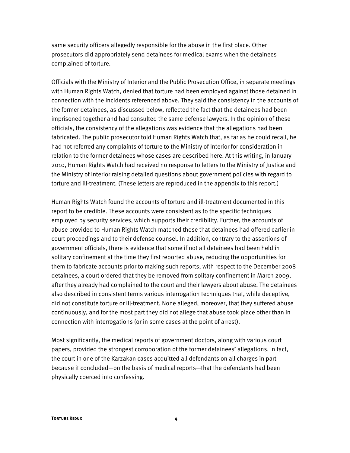same security officers allegedly responsible for the abuse in the first place. Other prosecutors did appropriately send detainees for medical exams when the detainees complained of torture.

Officials with the Ministry of Interior and the Public Prosecution Office, in separate meetings with Human Rights Watch, denied that torture had been employed against those detained in connection with the incidents referenced above. They said the consistency in the accounts of the former detainees, as discussed below, reflected the fact that the detainees had been imprisoned together and had consulted the same defense lawyers. In the opinion of these officials, the consistency of the allegations was evidence that the allegations had been fabricated. The public prosecutor told Human Rights Watch that, as far as he could recall, he had not referred any complaints of torture to the Ministry of Interior for consideration in relation to the former detainees whose cases are described here. At this writing, in January 2010, Human Rights Watch had received no response to letters to the Ministry of Justice and the Ministry of Interior raising detailed questions about government policies with regard to torture and ill-treatment. (These letters are reproduced in the appendix to this report.)

Human Rights Watch found the accounts of torture and ill-treatment documented in this report to be credible. These accounts were consistent as to the specific techniques employed by security services, which supports their credibility. Further, the accounts of abuse provided to Human Rights Watch matched those that detainees had offered earlier in court proceedings and to their defense counsel. In addition, contrary to the assertions of government officials, there is evidence that some if not all detainees had been held in solitary confinement at the time they first reported abuse, reducing the opportunities for them to fabricate accounts prior to making such reports; with respect to the December 2008 detainees, a court ordered that they be removed from solitary confinement in March 2009, after they already had complained to the court and their lawyers about abuse. The detainees also described in consistent terms various interrogation techniques that, while deceptive, did not constitute torture or ill-treatment. None alleged, moreover, that they suffered abuse continuously, and for the most part they did not allege that abuse took place other than in connection with interrogations (or in some cases at the point of arrest).

Most significantly, the medical reports of government doctors, along with various court papers, provided the strongest corroboration of the former detainees' allegations. In fact, the court in one of the Karzakan cases acquitted all defendants on all charges in part because it concluded—on the basis of medical reports—that the defendants had been physically coerced into confessing.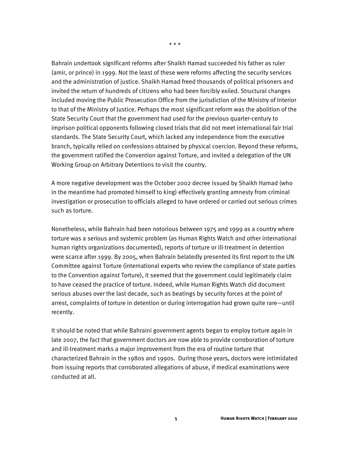Bahrain undertook significant reforms after Shaikh Hamad succeeded his father as ruler (amir, or prince) in 1999. Not the least of these were reforms affecting the security services and the administration of justice. Shaikh Hamad freed thousands of political prisoners and invited the return of hundreds of citizens who had been forcibly exiled. Structural changes included moving the Public Prosecution Office from the jurisdiction of the Ministry of Interior to that of the Ministry of Justice. Perhaps the most significant reform was the abolition of the State Security Court that the government had used for the previous quarter-century to imprison political opponents following closed trials that did not meet international fair trial standards. The State Security Court, which lacked any independence from the executive branch, typically relied on confessions obtained by physical coercion. Beyond these reforms, the government ratified the Convention against Torture, and invited a delegation of the UN Working Group on Arbitrary Detentions to visit the country.

A more negative development was the October 2002 decree issued by Shaikh Hamad (who in the meantime had promoted himself to king) effectively granting amnesty from criminal investigation or prosecution to officials alleged to have ordered or carried out serious crimes such as torture.

Nonetheless, while Bahrain had been notorious between 1975 and 1999 as a country where torture was a serious and systemic problem (as Human Rights Watch and other international human rights organizations documented), reports of torture or ill-treatment in detention were scarce after 1999. By 2005, when Bahrain belatedly presented its first report to the UN Committee against Torture (international experts who review the compliance of state parties to the Convention against Torture), it seemed that the government could legitimately claim to have ceased the practice of torture. Indeed, while Human Rights Watch did document serious abuses over the last decade, such as beatings by security forces at the point of arrest, complaints of torture in detention or during interrogation had grown quite rare—until recently.

It should be noted that while Bahraini government agents began to employ torture again in late 2007, the fact that government doctors are now able to provide corroboration of torture and ill-treatment marks a major improvement from the era of routine torture that characterized Bahrain in the 1980s and 1990s. During those years, doctors were intimidated from issuing reports that corroborated allegations of abuse, if medical examinations were conducted at all.

\* \* \*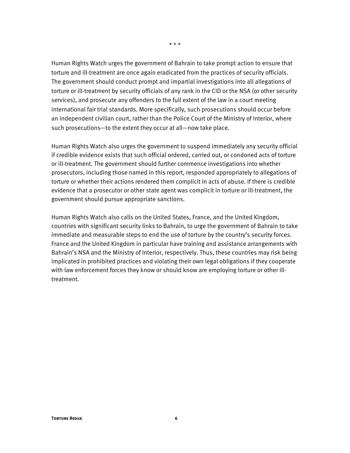Human Rights Watch urges the government of Bahrain to take prompt action to ensure that torture and ill-treatment are once again eradicated from the practices of security officials. The government should conduct prompt and impartial investigations into all allegations of torture or ill-treatment by security officials of any rank in the CID or the NSA (or other security services), and prosecute any offenders to the full extent of the law in a court meeting international fair trial standards. More specifically, such prosecutions should occur before an independent civilian court, rather than the Police Court of the Ministry of Interior, where such prosecutions—to the extent they occur at all—now take place.

Human Rights Watch also urges the government to suspend immediately any security official if credible evidence exists that such official ordered, carried out, or condoned acts of torture or ill-treatment. The government should further commence investigations into whether prosecutors, including those named in this report, responded appropriately to allegations of torture or whether their actions rendered them complicit in acts of abuse. If there is credible evidence that a prosecutor or other state agent was complicit in torture or ill-treatment, the government should pursue appropriate sanctions.

Human Rights Watch also calls on the United States, France, and the United Kingdom, countries with significant security links to Bahrain, to urge the government of Bahrain to take immediate and measurable steps to end the use of torture by the country's security forces. France and the United Kingdom in particular have training and assistance arrangements with Bahrain's NSA and the Ministry of Interior, respectively. Thus, these countries may risk being implicated in prohibited practices and violating their own legal obligations if they cooperate with law enforcement forces they know or should know are employing torture or other illtreatment.

\* \* \*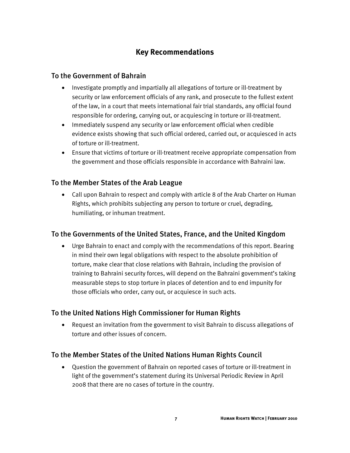## **Key Recommendations**

### To the Government of Bahrain

- Investigate promptly and impartially all allegations of torture or ill-treatment by security or law enforcement officials of any rank, and prosecute to the fullest extent of the law, in a court that meets international fair trial standards, any official found responsible for ordering, carrying out, or acquiescing in torture or ill-treatment.
- Immediately suspend any security or law enforcement official when credible evidence exists showing that such official ordered, carried out, or acquiesced in acts of torture or ill-treatment.
- Ensure that victims of torture or ill-treatment receive appropriate compensation from the government and those officials responsible in accordance with Bahraini law.

## To the Member States of the Arab League

• Call upon Bahrain to respect and comply with article 8 of the Arab Charter on Human Rights, which prohibits subjecting any person to torture or cruel, degrading, humiliating, or inhuman treatment.

## To the Governments of the United States, France, and the United Kingdom

• Urge Bahrain to enact and comply with the recommendations of this report. Bearing in mind their own legal obligations with respect to the absolute prohibition of torture, make clear that close relations with Bahrain, including the provision of training to Bahraini security forces, will depend on the Bahraini government's taking measurable steps to stop torture in places of detention and to end impunity for those officials who order, carry out, or acquiesce in such acts.

## To the United Nations High Commissioner for Human Rights

• Request an invitation from the government to visit Bahrain to discuss allegations of torture and other issues of concern.

## To the Member States of the United Nations Human Rights Council

• Question the government of Bahrain on reported cases of torture or ill-treatment in light of the government's statement during its Universal Periodic Review in April 2008 that there are no cases of torture in the country.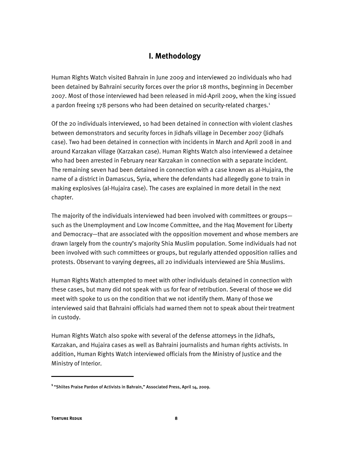## **I. Methodology**

Human Rights Watch visited Bahrain in June 2009 and interviewed 20 individuals who had been detained by Bahraini security forces over the prior 18 months, beginning in December 2007. Most of those interviewed had been released in mid-April 2009, when the king issued a pardon freeing 178 persons who had been detained on security-related charges.<sup>1</sup>

Of the 20 individuals interviewed, 10 had been detained in connection with violent clashes between demonstrators and security forces in Jidhafs village in December 2007 (Jidhafs case). Two had been detained in connection with incidents in March and April 2008 in and around Karzakan village (Karzakan case). Human Rights Watch also interviewed a detainee who had been arrested in February near Karzakan in connection with a separate incident. The remaining seven had been detained in connection with a case known as al-Hujaira, the name of a district in Damascus, Syria, where the defendants had allegedly gone to train in making explosives (al-Hujaira case). The cases are explained in more detail in the next chapter.

The majority of the individuals interviewed had been involved with committees or groups such as the Unemployment and Low Income Committee, and the Haq Movement for Liberty and Democracy—that are associated with the opposition movement and whose members are drawn largely from the country's majority Shia Muslim population. Some individuals had not been involved with such committees or groups, but regularly attended opposition rallies and protests. Observant to varying degrees, all 20 individuals interviewed are Shia Muslims.

Human Rights Watch attempted to meet with other individuals detained in connection with these cases, but many did not speak with us for fear of retribution. Several of those we did meet with spoke to us on the condition that we not identify them. Many of those we interviewed said that Bahraini officials had warned them not to speak about their treatment in custody.

Human Rights Watch also spoke with several of the defense attorneys in the Jidhafs, Karzakan, and Hujaira cases as well as Bahraini journalists and human rights activists. In addition, Human Rights Watch interviewed officials from the Ministry of Justice and the Ministry of Interior.

:

**<sup>1</sup>**"Shiites Praise Pardon of Activists in Bahrain," Associated Press, April 14, 2009.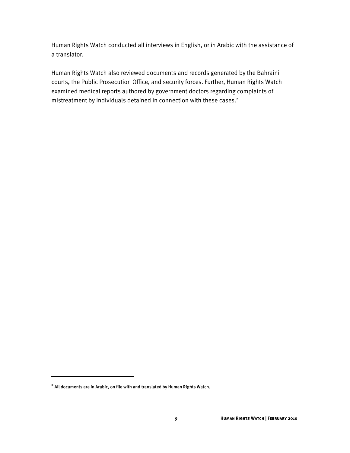Human Rights Watch conducted all interviews in English, or in Arabic with the assistance of a translator.

Human Rights Watch also reviewed documents and records generated by the Bahraini courts, the Public Prosecution Office, and security forces. Further, Human Rights Watch examined medical reports authored by government doctors regarding complaints of mistreatment by individuals detained in connection with these cases.<sup>2</sup>

**<sup>2</sup>** All documents are in Arabic, on file with and translated by Human Rights Watch.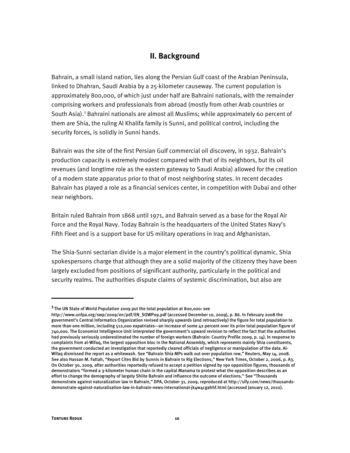## **II. Background**

Bahrain, a small island nation, lies along the Persian Gulf coast of the Arabian Peninsula, linked to Dhahran, Saudi Arabia by a 25-kilometer causeway. The current population is approximately 800,000, of which just under half are Bahraini nationals, with the remainder comprising workers and professionals from abroad (mostly from other Arab countries or South Asia).<sup>3</sup> Bahraini nationals are almost all Muslims; while approximately 60 percent of them are Shia, the ruling Al Khalifa family is Sunni, and political control, including the security forces, is solidly in Sunni hands.

Bahrain was the site of the first Persian Gulf commercial oil discovery, in 1932. Bahrain's production capacity is extremely modest compared with that of its neighbors, but its oil revenues (and longtime role as the eastern gateway to Saudi Arabia) allowed for the creation of a modern state apparatus prior to that of most neighboring states. In recent decades Bahrain has played a role as a financial services center, in competition with Dubai and other near neighbors.

Britain ruled Bahrain from 1868 until 1971, and Bahrain served as a base for the Royal Air Force and the Royal Navy. Today Bahrain is the headquarters of the United States Navy's Fifth Fleet and is a support base for US military operations in Iraq and Afghanistan.

The Shia-Sunni sectarian divide is a major element in the country's political dynamic. Shia spokespersons charge that although they are a solid majority of the citizenry they have been largely excluded from positions of significant authority, particularly in the political and security realms. The authorities dispute claims of systemic discrimination, but also are

**<sup>3</sup>**The UN State of World Population 2009 put the total population at 800,000: see

http://www.unfpa.org/swp/2009/en/pdf/EN\_SOWP09.pdf (accessed December 10, 2009), p. 86. In February 2008 the government's Central Informatics Organization revised sharply upwards (and retroactively) the figure for total population to more than one million, including 512,000 expatriates—an increase of some 42 percent over its prior total population figure of 740,000. The Economist Intelligence Unit interpreted the government's upward revision to reflect the fact that the authorities had previously seriously underestimated the number of foreign workers (Bahrain: Country Profile 2009, p. 14). In response to complaints from al-Wifaq, the largest opposition bloc in the National Assembly, which represents mainly Shia constituents, the government conducted an investigation that reportedly cleared officials of negligence or manipulation of the data. Al-Wifaq dismissed the report as a whitewash. See "Bahrain Shia MPs walk out over population row," Reuters, May 14, 2008. See also Hassan M. Fattah, "Report Cites Bid by Sunnis in Bahrain to Rig Elections," New York Times, October 2, 2006, p. A3. On October 30, 2009, after authorities reportedly refused to accept a petition signed by 190 opposition figures, thousands of demonstrators "formed a 3-kilometer human chain in the capital Manama to protest what the opposition describes as an effort to change the demography of largely Shiite Bahrain and influence the outcome of elections." See "Thousands demonstrate against naturalization law in Bahrain," DPA, October 31, 2009, reproduced at http://sify.com/news/thousandsdemonstrate-against-naturalisation-law-in-bahrain-news-international-jk4w4cgahhf.html (accessed January 12, 2010).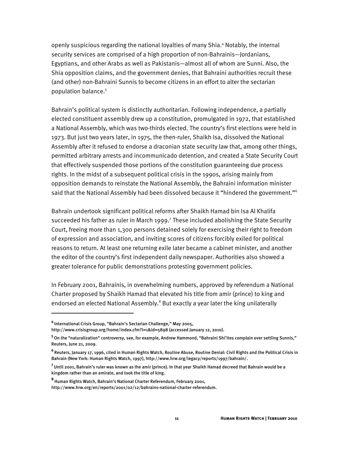openly suspicious regarding the national loyalties of many Shia.<sup>4</sup> Notably, the internal security services are comprised of a high proportion of non-Bahrainis—Jordanians, Egyptians, and other Arabs as well as Pakistanis—almost all of whom are Sunni. Also, the Shia opposition claims, and the government denies, that Bahraini authorities recruit these (and other) non-Bahraini Sunnis to become citizens in an effort to alter the sectarian population balance.<sup>5</sup>

Bahrain's political system is distinctly authoritarian. Following independence, a partially elected constituent assembly drew up a constitution, promulgated in 1972, that established a National Assembly, which was two-thirds elected. The country's first elections were held in 1973. But just two years later, in 1975, the then-ruler, Shaikh Isa, dissolved the National Assembly after it refused to endorse a draconian state security law that, among other things, permitted arbitrary arrests and incommunicado detention, and created a State Security Court that effectively suspended those portions of the constitution guaranteeing due process rights. In the midst of a subsequent political crisis in the 1990s, arising mainly from opposition demands to reinstate the National Assembly, the Bahraini information minister said that the National Assembly had been dissolved because it "hindered the government."<sup>6</sup>

Bahrain undertook significant political reforms after Shaikh Hamad bin Isa Al Khalifa succeeded his father as ruler in March 1999.<sup>7</sup> These included abolishing the State Security Court, freeing more than 1,300 persons detained solely for exercising their right to freedom of expression and association, and inviting scores of citizens forcibly exiled for political reasons to return. At least one returning exile later became a cabinet minister, and another the editor of the country's first independent daily newspaper. Authorities also showed a greater tolerance for public demonstrations protesting government policies.

In February 2001, Bahrainis, in overwhelming numbers, approved by referendum a National Charter proposed by Shaikh Hamad that elevated his title from amir (prince) to king and endorsed an elected National Assembly.<sup>8</sup> But exactly a year later the king unilaterally

**<sup>4</sup>**International Crisis Group, "Bahrain's Sectarian Challenge," May 2005,

http://www.crisisgroup.org/home/index.cfm?l=1&id=5898 (accessed January 12, 2010).

**<sup>5</sup>**On the "naturalization" controversy, see, for example, Andrew Hammond, "Bahraini Shi'ites complain over settling Sunnis," Reuters, June 21, 2009.

**<sup>6</sup>**Reuters, January 17, 1996, cited in Human Rights Watch, Routine Abuse, Routine Denial: Civil Rights and the Political Crisis in Bahrain (New York: Human Rights Watch, 1997), http://www.hrw.org/legacy/reports/1997/bahrain/.

**<sup>7</sup>**Until 2001, Bahrain's ruler was known as the amir (prince). In that year Shaikh Hamad decreed that Bahrain would be a kingdom rather than an emirate, and took the title of king.

**<sup>8</sup>**Human Rights Watch, Bahrain's National Charter Referendum, February 2001,

http://www.hrw.org/en/reports/2001/02/12/bahrains-national-charter-referendum.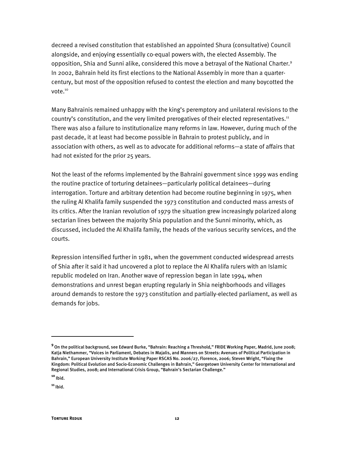decreed a revised constitution that established an appointed Shura (consultative) Council alongside, and enjoying essentially co-equal powers with, the elected Assembly. The opposition, Shia and Sunni alike, considered this move a betraval of the National Charter.<sup>9</sup> In 2002, Bahrain held its first elections to the National Assembly in more than a quartercentury, but most of the opposition refused to contest the election and many boycotted the vote.<sup>10</sup>

Many Bahrainis remained unhappy with the king's peremptory and unilateral revisions to the country's constitution, and the very limited prerogatives of their elected representatives.<sup>11</sup> There was also a failure to institutionalize many reforms in law. However, during much of the past decade, it at least had become possible in Bahrain to protest publicly, and in association with others, as well as to advocate for additional reforms—a state of affairs that had not existed for the prior 25 years.

Not the least of the reforms implemented by the Bahraini government since 1999 was ending the routine practice of torturing detainees—particularly political detainees—during interrogation. Torture and arbitrary detention had become routine beginning in 1975, when the ruling Al Khalifa family suspended the 1973 constitution and conducted mass arrests of its critics. After the Iranian revolution of 1979 the situation grew increasingly polarized along sectarian lines between the majority Shia population and the Sunni minority, which, as discussed, included the Al Khalifa family, the heads of the various security services, and the courts.

Repression intensified further in 1981, when the government conducted widespread arrests of Shia after it said it had uncovered a plot to replace the Al Khalifa rulers with an Islamic republic modeled on Iran. Another wave of repression began in late 1994, when demonstrations and unrest began erupting regularly in Shia neighborhoods and villages around demands to restore the 1973 constitution and partially-elected parliament, as well as demands for jobs.

 $\overline{a}$ 

**<sup>9</sup>**On the political background, see Edward Burke, "Bahrain: Reaching a Threshold," FRIDE Working Paper, Madrid, June 2008; Katja Niethammer, "Voices in Parliament, Debates in Majalis, and Manners on Streets: Avenues of Political Participation in Bahrain," European University Institute Working Paper RSCAS No. 2006/27, Florence, 2006; Steven Wright, "Fixing the Kingdom: Political Evolution and Socio-Economic Challenges in Bahrain," Georgetown University Center for International and Regional Studies, 2008; and International Crisis Group, "Bahrain's Sectarian Challenge."

**<sup>10</sup>**Ibid.

**<sup>11</sup>**Ibid.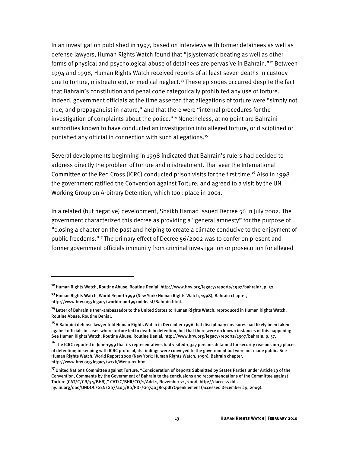In an investigation published in 1997, based on interviews with former detainees as well as defense lawyers, Human Rights Watch found that "[s]ystematic beating as well as other forms of physical and psychological abuse of detainees are pervasive in Bahrain."12 Between 1994 and 1998, Human Rights Watch received reports of at least seven deaths in custody due to torture, mistreatment, or medical neglect.<sup>13</sup> These episodes occurred despite the fact that Bahrain's constitution and penal code categorically prohibited any use of torture. Indeed, government officials at the time asserted that allegations of torture were "simply not true, and propagandist in nature," and that there were "internal procedures for the investigation of complaints about the police."<sup>14</sup> Nonetheless, at no point are Bahraini authorities known to have conducted an investigation into alleged torture, or disciplined or punished any official in connection with such allegations.15

Several developments beginning in 1998 indicated that Bahrain's rulers had decided to address directly the problem of torture and mistreatment. That year the International Committee of the Red Cross (ICRC) conducted prison visits for the first time.<sup>16</sup> Also in 1998 the government ratified the Convention against Torture, and agreed to a visit by the UN Working Group on Arbitrary Detention, which took place in 2001.

In a related (but negative) development, Shaikh Hamad issued Decree 56 in July 2002. The government characterized this decree as providing a "general amnesty" for the purpose of "closing a chapter on the past and helping to create a climate conducive to the enjoyment of public freedoms."17 The primary effect of Decree 56/2002 was to confer on present and former government officials immunity from criminal investigation or prosecution for alleged

:

**<sup>12</sup>**Human Rights Watch, Routine Abuse, Routine Denial, http://www.hrw.org/legacy/reports/1997/bahrain/, p. 52.

**<sup>13</sup>**Human Rights Watch, World Report 1999 (New York: Human Rights Watch, 1998), Bahrain chapter, http://www.hrw.org/legacy/worldreport99/mideast/Bahrain.html.

**<sup>14</sup>**Letter of Bahrain's then-ambassador to the United States to Human Rights Watch, reproduced in Human Rights Watch, Routine Abuse, Routine Denial.

**<sup>15</sup>**A Bahraini defense lawyer told Human Rights Watch in December 1996 that disciplinary measures had likely been taken against officials in cases where torture led to death in detention, but that there were no known instances of this happening. See Human Rights Watch, Routine Abuse, Routine Denial, http://www.hrw.org/legacy/reports/1997/bahrain, p. 57.

**<sup>16</sup>**The ICRC reported in June 1999 that its representatives had visited 1,327 persons detained for security reasons in 13 places of detention; in keeping with ICRC protocol, its findings were conveyed to the government but were not made public. See Human Rights Watch, World Report 2000 (New York: Human Rights Watch, 1999), Bahrain chapter, http://www.hrw.org/legacy/wr2k/Mena-02.htm.

**<sup>17</sup>**United Nations Committee against Torture, "Consideration of Reports Submitted by States Parties under Article 19 of the Convention, Comments by the Government of Bahrain to the conclusions and recommendations of the Committee against Torture (CAT/C/CR/34/BHR)," CAT/C/BHR/CO/1/Add.1, November 21, 2006, http://daccess-ddsny.un.org/doc/UNDOC/GEN/G07/403/80/PDF/G0740380.pdf?OpenElement (accessed December 29, 2009).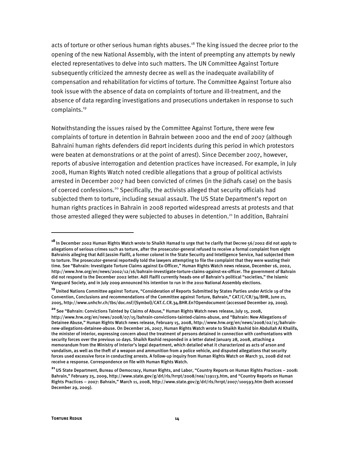acts of torture or other serious human rights abuses.<sup>18</sup> The king issued the decree prior to the opening of the new National Assembly, with the intent of preempting any attempts by newly elected representatives to delve into such matters. The UN Committee Against Torture subsequently criticized the amnesty decree as well as the inadequate availability of compensation and rehabilitation for victims of torture. The Committee Against Torture also took issue with the absence of data on complaints of torture and ill-treatment, and the absence of data regarding investigations and prosecutions undertaken in response to such complaints.<sup>19</sup>

Notwithstanding the issues raised by the Committee Against Torture, there were few complaints of torture in detention in Bahrain between 2000 and the end of 2007 (although Bahraini human rights defenders did report incidents during this period in which protestors were beaten at demonstrations or at the point of arrest). Since December 2007, however, reports of abusive interrogation and detention practices have increased. For example, in July 2008, Human Rights Watch noted credible allegations that a group of political activists arrested in December 2007 had been convicted of crimes (in the Jidhafs case) on the basis of coerced confessions.<sup>20</sup> Specifically, the activists alleged that security officials had subjected them to torture, including sexual assault. The US State Department's report on human rights practices in Bahrain in 2008 reported widespread arrests at protests and that those arrested alleged they were subjected to abuses in detention.<sup>21</sup> In addition, Bahraini

1

**<sup>18</sup>**In December 2002 Human Rights Watch wrote to Shaikh Hamad to urge that he clarify that Decree 56/2002 did not apply to allegations of serious crimes such as torture, after the prosecutor-general refused to receive a formal complaint from eight Bahrainis alleging that Adil Jassim Flaifil, a former colonel in the State Security and Intelligence Service, had subjected them to torture. The prosecutor-general reportedly told the lawyers attempting to file the complaint that they were wasting their time. See "Bahrain: Investigate Torture Claims against Ex-Officer," Human Rights Watch news release, December 16, 2002, http://www.hrw.org/en/news/2002/12/16/bahrain-investigate-torture-claims-against-ex-officer. The government of Bahrain did not respond to the December 2002 letter. Adil Flaifil currently heads one of Bahrain's political "societies," the Islamic Vanguard Society, and in July 2009 announced his intention to run in the 2010 National Assembly elections.

**<sup>19</sup>**United Nations Committee against Torture, "Consideration of Reports Submitted by States Parties under Article 19 of the Convention, Conclusions and recommendations of the Committee against Torture, Bahrain," CAT/C/CR/34/BHR, June 21, 2005, http://www.unhchr.ch/tbs/doc.nsf/(Symbol)/CAT.C.CR.34.BHR.En?Opendocument (accessed December 29, 2009).

**<sup>20</sup>**See "Bahrain: Convictions Tainted by Claims of Abuse," Human Rights Watch news release, July 15, 2008, http://www.hrw.org/en/news/2008/07/15/bahrain-convictions-tainted-claims-abuse, and "Bahrain: New Allegations of Detainee Abuse," Human Rights Watch news release, February 15, 2008, http://www.hrw.org/en/news/2008/02/15/bahrainnew-allegations-detainee-abuse. On December 26, 2007, Human Rights Watch wrote to Shaikh Rashid bin Abdullah Al Khalifa, the minister of interior, expressing concern about the treatment of persons detained in connection with confrontations with security forces over the previous 10 days. Shaikh Rashid responded in a letter dated January 28, 2008, attaching a memorandum from the Ministry of Interior's legal department, which detailed what it characterized as acts of arson and vandalism, as well as the theft of a weapon and ammunition from a police vehicle, and disputed allegations that security forces used excessive force in conducting arrests. A follow-up inquiry from Human Rights Watch on March 31, 2008 did not receive a response. Correspondence on file with Human Rights Watch.

**<sup>21</sup>**US State Department, Bureau of Democracy, Human Rights, and Labor, "Country Reports on Human Rights Practices – 2008: Bahrain," February 25, 2009, http://www.state.gov/g/drl/rls/hrrpt/2008/nea/119113.htm, and "Country Reports on Human Rights Practices – 2007: Bahrain," March 11, 2008, http://www.state.gov/g/drl/rls/hrrpt/2007/100593.htm (both accessed December 29, 2009).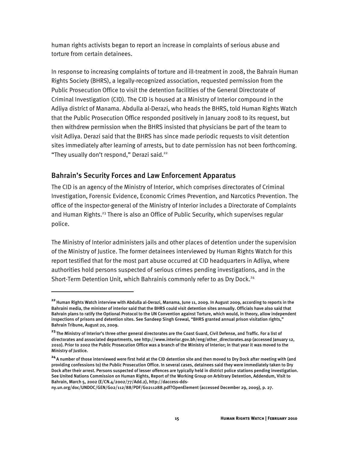human rights activists began to report an increase in complaints of serious abuse and torture from certain detainees.

In response to increasing complaints of torture and ill-treatment in 2008, the Bahrain Human Rights Society (BHRS), a legally-recognized association, requested permission from the Public Prosecution Office to visit the detention facilities of the General Directorate of Criminal Investigation (CID). The CID is housed at a Ministry of Interior compound in the Adliya district of Manama. Abdulla al-Derazi, who heads the BHRS, told Human Rights Watch that the Public Prosecution Office responded positively in January 2008 to its request, but then withdrew permission when the BHRS insisted that physicians be part of the team to visit Adliya. Derazi said that the BHRS has since made periodic requests to visit detention sites immediately after learning of arrests, but to date permission has not been forthcoming. "They usually don't respond," Derazi said.<sup>22</sup>

## Bahrain's Security Forces and Law Enforcement Apparatus

İ

The CID is an agency of the Ministry of Interior, which comprises directorates of Criminal Investigation, Forensic Evidence, Economic Crimes Prevention, and Narcotics Prevention. The office of the inspector-general of the Ministry of Interior includes a Directorate of Complaints and Human Rights.<sup>23</sup> There is also an Office of Public Security, which supervises regular police.

The Ministry of Interior administers jails and other places of detention under the supervision of the Ministry of Justice. The former detainees interviewed by Human Rights Watch for this report testified that for the most part abuse occurred at CID headquarters in Adliya, where authorities hold persons suspected of serious crimes pending investigations, and in the Short-Term Detention Unit, which Bahrainis commonly refer to as Dry Dock.24

**<sup>22</sup>**Human Rights Watch interview with Abdulla al-Derazi, Manama, June 11, 2009. In August 2009, according to reports in the Bahraini media, the minister of interior said that the BHRS could visit detention sites annually. Officials have also said that Bahrain plans to ratify the Optional Protocol to the UN Convention against Torture, which would, in theory, allow independent inspections of prisons and detention sites. See Sandeep Singh Grewal, "BHRS granted annual prison visitation rights," Bahrain Tribune, August 20, 2009.

**<sup>23</sup>**The Ministry of Interior's three other general directorates are the Coast Guard, Civil Defense, and Traffic. For a list of directorates and associated departments, see http://www.interior.gov.bh/eng/other\_directorates.asp (accessed January 12, 2010). Prior to 2002 the Public Prosecution Office was a branch of the Ministry of Interior; in that year it was moved to the Ministry of Iustice.

**<sup>24</sup>**A number of those interviewed were first held at the CID detention site and then moved to Dry Dock after meeting with (and providing confessions to) the Public Prosecution Office. In several cases, detainees said they were immediately taken to Dry Dock after their arrest. Persons suspected of lesser offences are typically held in district police stations pending investigation. See United Nations Commission on Human Rights, Report of the Working Group on Arbitrary Detention, Addendum, Visit to Bahrain, March 5, 2002 (E/CN.4/2002/77/Add.2), http://daccess-dds-

ny.un.org/doc/UNDOC/GEN/G02/112/88/PDF/G0211288.pdf?OpenElement (accessed December 29, 2009), p. 27.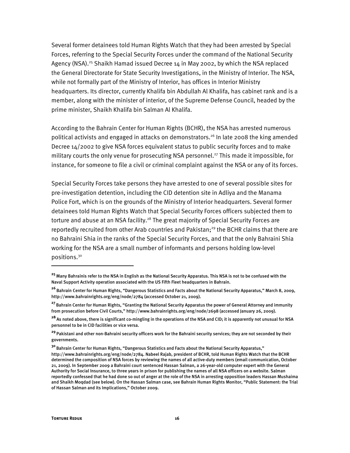Several former detainees told Human Rights Watch that they had been arrested by Special Forces, referring to the Special Security Forces under the command of the National Security Agency (NSA).<sup>25</sup> Shaikh Hamad issued Decree  $14$  in May 2002, by which the NSA replaced the General Directorate for State Security Investigations, in the Ministry of Interior. The NSA, while not formally part of the Ministry of Interior, has offices in Interior Ministry headquarters. Its director, currently Khalifa bin Abdullah Al Khalifa, has cabinet rank and is a member, along with the minister of interior, of the Supreme Defense Council, headed by the prime minister, Shaikh Khalifa bin Salman Al Khalifa.

According to the Bahrain Center for Human Rights (BCHR), the NSA has arrested numerous political activists and engaged in attacks on demonstrators.<sup>26</sup> In late 2008 the king amended Decree 14/2002 to give NSA forces equivalent status to public security forces and to make military courts the only venue for prosecuting NSA personnel.<sup>27</sup> This made it impossible, for instance, for someone to file a civil or criminal complaint against the NSA or any of its forces.

Special Security Forces take persons they have arrested to one of several possible sites for pre-investigation detention, including the CID detention site in Adliya and the Manama Police Fort, which is on the grounds of the Ministry of Interior headquarters. Several former detainees told Human Rights Watch that Special Security Forces officers subjected them to torture and abuse at an NSA facility.<sup>28</sup> The great majority of Special Security Forces are reportedly recruited from other Arab countries and Pakistan;<sup>29</sup> the BCHR claims that there are no Bahraini Shia in the ranks of the Special Security Forces, and that the only Bahraini Shia working for the NSA are a small number of informants and persons holding low-level positions.30

:

**<sup>25</sup>**Many Bahrainis refer to the NSA in English as the National Security Apparatus. This NSA is not to be confused with the Naval Support Activity operation associated with the US Fifth Fleet headquarters in Bahrain.

**<sup>26</sup>**Bahrain Center for Human Rights, "Dangerous Statistics and Facts about the National Security Apparatus," March 8, 2009, http://www.bahrainrights.org/eng/node/2784 (accessed October 21, 2009).

**<sup>27</sup>**Bahrain Center for Human Rights, "Granting the National Security Apparatus the power of General Attorney and immunity from prosecution before Civil Courts," http://www.bahrainrights.org/eng/node/2698 (accessed January 26, 2009).

**<sup>28</sup>**As noted above, there is significant co-mingling in the operations of the NSA and CID; it is apparently not unusual for NSA personnel to be in CID facilities or vice versa.

**<sup>29</sup>**Pakistani and other non-Bahraini security officers work for the Bahraini security services; they are not seconded by their governments.

**<sup>30</sup>**Bahrain Center for Human Rights, "Dangerous Statistics and Facts about the National Security Apparatus," http://www.bahrainrights.org/eng/node/2784. Nabeel Rajab, president of BCHR, told Human Rights Watch that the BCHR determined the composition of NSA forces by reviewing the names of all active-duty members (email communication, October 21, 2009). In September 2009 a Bahraini court sentenced Hassan Salman, a 26-year-old computer expert with the General Authority for Social Insurance, to three years in prison for publishing the names of all NSA officers on a website. Salman reportedly confessed that he had done so out of anger at the role of the NSA in arresting opposition leaders Hassan Mushaima and Shaikh Moqdad (see below). On the Hassan Salman case, see Bahrain Human Rights Monitor, "Public Statement: the Trial of Hassan Salman and its Implications," October 2009.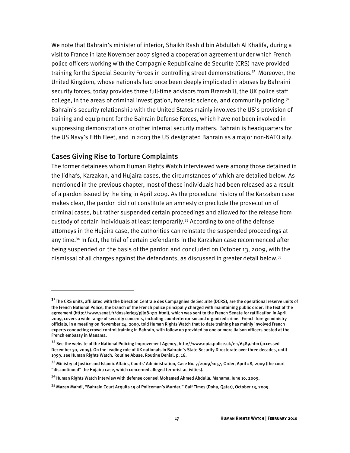We note that Bahrain's minister of interior, Shaikh Rashid bin Abdullah Al Khalifa, during a visit to France in late November 2007 signed a cooperation agreement under which French police officers working with the Compagnie Republicaine de Securite (CRS) have provided training for the Special Security Forces in controlling street demonstrations.<sup>31</sup> Moreover, the United Kingdom, whose nationals had once been deeply implicated in abuses by Bahraini security forces, today provides three full-time advisors from Bramshill, the UK police staff college, in the areas of criminal investigation, forensic science, and community policing.<sup>32</sup> Bahrain's security relationship with the United States mainly involves the US's provision of training and equipment for the Bahrain Defense Forces, which have not been involved in suppressing demonstrations or other internal security matters. Bahrain is headquarters for the US Navy's Fifth Fleet, and in 2003 the US designated Bahrain as a major non-NATO ally.

#### Cases Giving Rise to Torture Complaints

İ

The former detainees whom Human Rights Watch interviewed were among those detained in the Jidhafs, Karzakan, and Hujaira cases, the circumstances of which are detailed below. As mentioned in the previous chapter, most of these individuals had been released as a result of a pardon issued by the king in April 2009. As the procedural history of the Karzakan case makes clear, the pardon did not constitute an amnesty or preclude the prosecution of criminal cases, but rather suspended certain proceedings and allowed for the release from custody of certain individuals at least temporarily.<sup>33</sup> According to one of the defense attorneys in the Hujaira case, the authorities can reinstate the suspended proceedings at any time.<sup>34</sup> In fact, the trial of certain defendants in the Karzakan case recommenced after being suspended on the basis of the pardon and concluded on October 13, 2009, with the dismissal of all charges against the defendants, as discussed in greater detail below.35

**<sup>31</sup>**The CRS units, affiliated with the Direction Centrale des Compagnies de Securite (DCRS), are the operational reserve units of the French National Police, the branch of the French police principally charged with maintaining public order. The text of the agreement (http://www.senat.fr/dossierleg/pjl08-312.html), which was sent to the French Senate for ratification in April 2009, covers a wide range of security concerns, including counterterrorism and organized crime. French foreign ministry officials, in a meeting on November 24, 2009, told Human Rights Watch that to date training has mainly involved French experts conducting crowd control training in Bahrain, with follow up provided by one or more liaison officers posted at the French embassy in Manama.

**<sup>32</sup>**See the website of the National Policing Improvement Agency, http://www.npia.police.uk/en/6589.htm (accessed December 30, 2009). On the leading role of UK nationals in Bahrain's State Security Directorate over three decades, until 1999, see Human Rights Watch, Routine Abuse, Routine Denial, p. 16.

**<sup>33</sup>**Ministry of Justice and Islamic Affairs, Courts' Administration, Case No. 7/2009/1057, Order, April 28, 2009 (the court "discontinued" the Hujaira case, which concerned alleged terrorist activities).

**<sup>34</sup>**Human Rights Watch interview with defense counsel Mohamed Ahmed Abdulla, Manama, June 10, 2009.

**<sup>35</sup>**Mazen Mahdi, "Bahrain Court Acquits 19 of Policeman's Murder," Gulf Times (Doha, Qatar), October 13, 2009.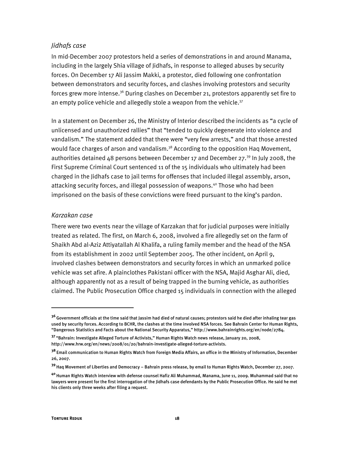#### *Jidhafs case*

In mid-December 2007 protestors held a series of demonstrations in and around Manama, including in the largely Shia village of Jidhafs, in response to alleged abuses by security forces. On December 17 Ali Jassim Makki, a protestor, died following one confrontation between demonstrators and security forces, and clashes involving protestors and security forces grew more intense.<sup>36</sup> During clashes on December 21, protestors apparently set fire to an empty police vehicle and allegedly stole a weapon from the vehicle. $37$ 

In a statement on December 26, the Ministry of Interior described the incidents as "a cycle of unlicensed and unauthorized rallies" that "tended to quickly degenerate into violence and vandalism." The statement added that there were "very few arrests," and that those arrested would face charges of arson and vandalism. $38$  According to the opposition Haq Movement, authorities detained 48 persons between December 17 and December 27.<sup>39</sup> In July 2008, the First Supreme Criminal Court sentenced 11 of the 15 individuals who ultimately had been charged in the Jidhafs case to jail terms for offenses that included illegal assembly, arson, attacking security forces, and illegal possession of weapons.<sup>40</sup> Those who had been imprisoned on the basis of these convictions were freed pursuant to the king's pardon.

#### *Karzakan case*

There were two events near the village of Karzakan that for judicial purposes were initially treated as related. The first, on March 6, 2008, involved a fire allegedly set on the farm of Shaikh Abd al-Aziz Attiyatallah Al Khalifa, a ruling family member and the head of the NSA from its establishment in 2002 until September 2005. The other incident, on April 9, involved clashes between demonstrators and security forces in which an unmarked police vehicle was set afire. A plainclothes Pakistani officer with the NSA, Majid Asghar Ali, died, although apparently not as a result of being trapped in the burning vehicle, as authorities claimed. The Public Prosecution Office charged 15 individuals in connection with the alleged

I

**<sup>36</sup>**Government officials at the time said that Jassim had died of natural causes; protestors said he died after inhaling tear gas used by security forces. According to BCHR, the clashes at the time involved NSA forces. See Bahrain Center for Human Rights, "Dangerous Statistics and Facts about the National Security Apparatus," http://www.bahrainrights.org/en/node/2784.

**<sup>37</sup>**"Bahrain: Investigate Alleged Torture of Activists," Human Rights Watch news release, January 20, 2008, http://www.hrw.org/en/news/2008/01/20/bahrain-investigate-alleged-torture-activists.

**<sup>38</sup>**Email communication to Human Rights Watch from Foreign Media Affairs, an office in the Ministry of Information, December 26, 2007.

**<sup>39</sup>**Haq Movement of Liberties and Democracy – Bahrain press release, by email to Human Rights Watch, December 27, 2007.

**<sup>40</sup>**Human Rights Watch interview with defense counsel Hafiz Ali Muhammad, Manama, June 11, 2009. Muhammad said that no lawyers were present for the first interrogation of the Jidhafs case defendants by the Public Prosecution Office. He said he met his clients only three weeks after filing a request.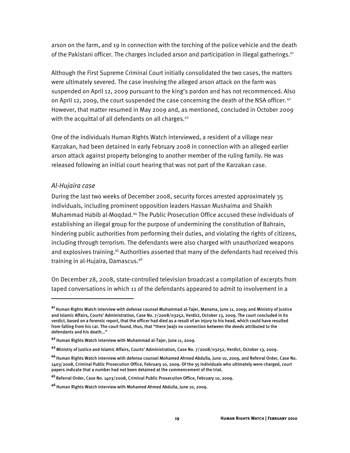arson on the farm, and 19 in connection with the torching of the police vehicle and the death of the Pakistani officer. The charges included arson and participation in illegal gatherings.<sup>41</sup>

Although the First Supreme Criminal Court initially consolidated the two cases, the matters were ultimately severed. The case involving the alleged arson attack on the farm was suspended on April 12, 2009 pursuant to the king's pardon and has not recommenced. Also on April 12, 2009, the court suspended the case concerning the death of the NSA officer.<sup>42</sup> However, that matter resumed in May 2009 and, as mentioned, concluded in October 2009 with the acquittal of all defendants on all charges.<sup>43</sup>

One of the individuals Human Rights Watch interviewed, a resident of a village near Karzakan, had been detained in early February 2008 in connection with an alleged earlier arson attack against property belonging to another member of the ruling family. He was released following an initial court hearing that was not part of the Karzakan case.

### *Al-Hujaira case*

İ

During the last two weeks of December 2008, security forces arrested approximately 35 individuals, including prominent opposition leaders Hassan Mushaima and Shaikh Muhammad Habib al-Moqdad.44 The Public Prosecution Office accused these individuals of establishing an illegal group for the purpose of undermining the constitution of Bahrain, hindering public authorities from performing their duties, and violating the rights of citizens, including through terrorism. The defendants were also charged with unauthorized weapons and explosives training.<sup>45</sup> Authorities asserted that many of the defendants had received this training in al-Hujaira, Damascus.46

On December 28, 2008, state-controlled television broadcast a compilation of excerpts from taped conversations in which 11 of the defendants appeared to admit to involvement in a

**<sup>41</sup>**Human Rights Watch interview with defense counsel Muhammad al-Tajer, Manama, June 11, 2009; and Ministry of Justice and Islamic Affairs, Courts' Administration, Case No. 7/2008/03252, Verdict, October 13, 2009. The court concluded in its verdict, based on a forensic report, that the officer had died as a result of an injury to his head, which could have resulted from falling from his car. The court found, thus, that "there [wa]s no connection between the deeds attributed to the defendants and his death..."

**<sup>42</sup>**Human Rights Watch interview with Muhammad al-Tajer, June 11, 2009.

**<sup>43</sup>**Ministry of Justice and Islamic Affairs, Courts' Administration, Case No. 7/2008/03252, Verdict, October 13, 2009.

**<sup>44</sup>**Human Rights Watch interview with defense counsel Mohamed Ahmed Abdulla, June 10, 2009, and Referral Order, Case No. 1403/2008, Criminal Public Prosecution Office, February 10, 2009. Of the 35 individuals who ultimately were charged, court papers indicate that a number had not been detained at the commencement of the trial.

**<sup>45</sup>**Referral Order, Case No. 1403/2008, Criminal Public Prosecution Office, February 10, 2009.

**<sup>46</sup>**Human Rights Watch interview with Mohamed Ahmed Abdulla, June 10, 2009.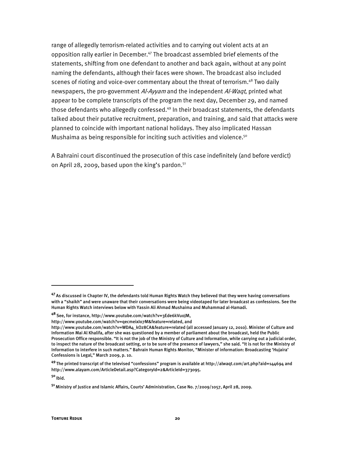range of allegedly terrorism-related activities and to carrying out violent acts at an opposition rally earlier in December. $47$  The broadcast assembled brief elements of the statements, shifting from one defendant to another and back again, without at any point naming the defendants, although their faces were shown. The broadcast also included scenes of rioting and voice-over commentary about the threat of terrorism.<sup>48</sup> Two daily newspapers, the pro-government Al-Ayyam and the independent Al-Waqt, printed what appear to be complete transcripts of the program the next day, December 29, and named those defendants who allegedly confessed.<sup>49</sup> In their broadcast statements, the defendants talked about their putative recruitment, preparation, and training, and said that attacks were planned to coincide with important national holidays. They also implicated Hassan Mushaima as being responsible for inciting such activities and violence.<sup>50</sup>

A Bahraini court discontinued the prosecution of this case indefinitely (and before verdict) on April 28, 2009, based upon the king's pardon.<sup>51</sup>

**<sup>47</sup>**As discussed in Chapter IV, the defendants told Human Rights Watch they believed that they were having conversations with a "shaikh" and were unaware that their conversations were being videotaped for later broadcast as confessions. See the Human Rights Watch interviews below with Yassin Ali Ahmad Mushaima and Muhammad al-Hamadi.

**<sup>48</sup>**See, for instance, http://www.youtube.com/watch?v=3Ede6kVu0JM,

http://www.youtube.com/watch?v=qecmeixIo7M&feature=related, and

http://www.youtube.com/watch?v=WDA4\_kOz8CA&feature=related (all accessed January 12, 2010). Minister of Culture and Information Mai Al Khalifa, after she was questioned by a member of parliament about the broadcast, held the Public Prosecution Office responsible. "It is not the job of the Ministry of Culture and Information, while carrying out a judicial order, to inspect the nature of the broadcast setting, or to be sure of the presence of lawyers," she said. "It is not for the Ministry of Information to interfere in such matters." Bahrain Human Rights Monitor, "Minister of information: Broadcasting 'Hujaira' Confessions is Legal," March 2009, p. 10.

**<sup>49</sup>**The printed transcript of the televised "confessions" program is available at http://alwaqt.com/art.php?aid=144694 and http://www.alayam.com/ArticleDetail.asp?CategoryId=2&ArticleId=373095.

**<sup>50</sup>**Ibid.

**<sup>51</sup>**Ministry of Justice and Islamic Affairs, Courts' Administration, Case No. 7/2009/1057, April 28, 2009.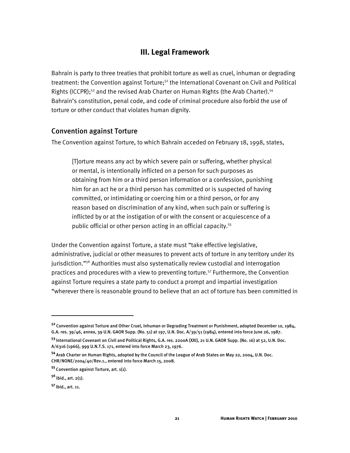## **III. Legal Framework**

Bahrain is party to three treaties that prohibit torture as well as cruel, inhuman or degrading treatment: the Convention against Torture;<sup>52</sup> the International Covenant on Civil and Political Rights (ICCPR);<sup>53</sup> and the revised Arab Charter on Human Rights (the Arab Charter).<sup>54</sup> Bahrain's constitution, penal code, and code of criminal procedure also forbid the use of torture or other conduct that violates human dignity.

#### Convention against Torture

The Convention against Torture, to which Bahrain acceded on February 18, 1998, states,

[T]orture means any act by which severe pain or suffering, whether physical or mental, is intentionally inflicted on a person for such purposes as obtaining from him or a third person information or a confession, punishing him for an act he or a third person has committed or is suspected of having committed, or intimidating or coercing him or a third person, or for any reason based on discrimination of any kind, when such pain or suffering is inflicted by or at the instigation of or with the consent or acquiescence of a public official or other person acting in an official capacity.<sup>55</sup>

Under the Convention against Torture, a state must "take effective legislative, administrative, judicial or other measures to prevent acts of torture in any territory under its jurisdiction."<sup>56</sup> Authorities must also systematically review custodial and interrogation practices and procedures with a view to preventing torture.<sup>57</sup> Furthermore, the Convention against Torture requires a state party to conduct a prompt and impartial investigation "wherever there is reasonable ground to believe that an act of torture has been committed in

I

**<sup>52</sup>**Convention against Torture and Other Cruel, Inhuman or Degrading Treatment or Punishment, adopted December 10, 1984, G.A. res. 39/46, annex, 39 U.N. GAOR Supp. (No. 51) at 197, U.N. Doc. A/39/51 (1984), entered into force June 26, 1987.

**<sup>53</sup>**International Covenant on Civil and Political Rights, G.A. res. 2200A (XXI), 21 U.N. GAOR Supp. (No. 16) at 52, U.N. Doc. A/6316 (1966), 999 U.N.T.S. 171, entered into force March 23, 1976.

**<sup>54</sup>**Arab Charter on Human Rights, adopted by the Council of the League of Arab States on May 22, 2004, U.N. Doc. CHR/NONE/2004/40/Rev.1., entered into force March 15, 2008.

**<sup>55</sup>**Convention against Torture, art. 1(1).

**<sup>56</sup>**Ibid., art. 2(1).

**<sup>57</sup>**Ibid., art. 11.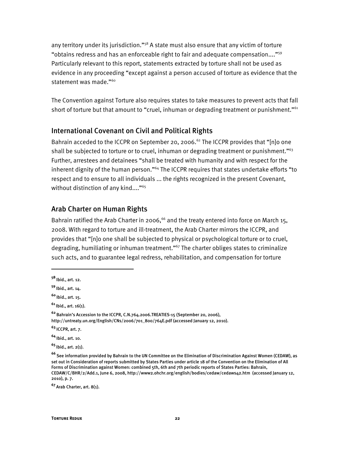any territory under its jurisdiction."<sup>58</sup> A state must also ensure that any victim of torture "obtains redress and has an enforceable right to fair and adequate compensation...."59 Particularly relevant to this report, statements extracted by torture shall not be used as evidence in any proceeding "except against a person accused of torture as evidence that the statement was made."<sup>60</sup>

The Convention against Torture also requires states to take measures to prevent acts that fall short of torture but that amount to "cruel, inhuman or degrading treatment or punishment."<sup>61</sup>

## International Covenant on Civil and Political Rights

Bahrain acceded to the ICCPR on September 20, 2006.<sup>62</sup> The ICCPR provides that "[n]o one shall be subjected to torture or to cruel, inhuman or degrading treatment or punishment."<sup>63</sup> Further, arrestees and detainees "shall be treated with humanity and with respect for the inherent dignity of the human person."<sup>64</sup> The ICCPR requires that states undertake efforts "to respect and to ensure to all individuals ... the rights recognized in the present Covenant, without distinction of any kind...."<sup>65</sup>

#### Arab Charter on Human Rights

Bahrain ratified the Arab Charter in 2006,<sup>66</sup> and the treaty entered into force on March 15, 2008. With regard to torture and ill-treatment, the Arab Charter mirrors the ICCPR, and provides that "[n]o one shall be subjected to physical or psychological torture or to cruel, degrading, humiliating or inhuman treatment."<sup>67</sup> The charter obliges states to criminalize such acts, and to guarantee legal redress, rehabilitation, and compensation for torture

I

**<sup>64</sup>**Ibid., art. 10.

**<sup>65</sup>**Ibid., art. 2(1).

**<sup>67</sup>**Arab Charter, art. 8(1).

**<sup>58</sup>**Ibid., art. 12.

**<sup>59</sup>**Ibid., art. 14.

**<sup>60</sup>**Ibid., art. 15.

**<sup>61</sup>**Ibid., art. 16(1).

**<sup>62</sup>**Bahrain's Accession to the ICCPR, C.N.764.2006.TREATIES-15 (September 20, 2006), http://untreaty.un.org/English/CNs/2006/701\_800/764E.pdf (accessed January 12, 2010).

**<sup>63</sup>**ICCPR, art. 7.

**<sup>66</sup>**See information provided by Bahrain to the UN Committee on the Elimination of Discrimination Against Women (CEDAW), as set out in Consideration of reports submitted by States Parties under article 18 of the Convention on the Elimination of All Forms of Discrimination against Women: combined 5th, 6th and 7th periodic reports of States Parties: Bahrain, CEDAW/C/BHR/2/Add.1, June 6, 2008, http://www2.ohchr.org/english/bodies/cedaw/cedaws42.htm (accessed January 12, 2010), p. 7.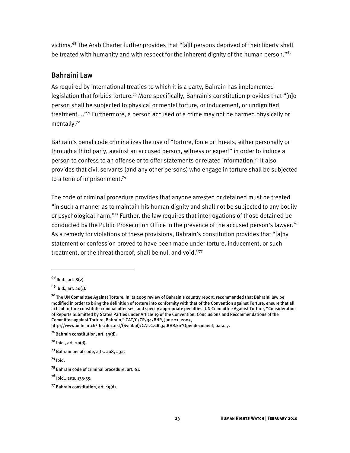victims.68 The Arab Charter further provides that "[a]ll persons deprived of their liberty shall be treated with humanity and with respect for the inherent dignity of the human person."<sup>69</sup>

## Bahraini Law

As required by international treaties to which it is a party, Bahrain has implemented legislation that forbids torture.<sup>70</sup> More specifically, Bahrain's constitution provides that "[n]o person shall be subjected to physical or mental torture, or inducement, or undignified treatment...."71 Furthermore, a person accused of a crime may not be harmed physically or mentally.<sup>72</sup>

Bahrain's penal code criminalizes the use of "torture, force or threats, either personally or through a third party, against an accused person, witness or expert" in order to induce a person to confess to an offense or to offer statements or related information.73 It also provides that civil servants (and any other persons) who engage in torture shall be subjected to a term of imprisonment.<sup>74</sup>

The code of criminal procedure provides that anyone arrested or detained must be treated "in such a manner as to maintain his human dignity and shall not be subjected to any bodily or psychological harm."75 Further, the law requires that interrogations of those detained be conducted by the Public Prosecution Office in the presence of the accused person's lawyer.<sup>76</sup> As a remedy for violations of these provisions, Bahrain's constitution provides that "[a]ny statement or confession proved to have been made under torture, inducement, or such treatment, or the threat thereof, shall be null and void."77

**<sup>68</sup>**Ibid., art. 8(2).

**<sup>69</sup>**Ibid., art. 20(1).

**<sup>70</sup>**The UN Committee Against Torture, in its 2005 review of Bahrain's country report, recommended that Bahraini law be modified in order to bring the definition of torture into conformity with that of the Convention against Torture, ensure that all acts of torture constitute criminal offenses, and specify appropriate penalties. UN Committee Against Torture, "Consideration of Reports Submitted by States Parties under Article 19 of the Convention, Conclusions and Recommendations of the Committee against Torture, Bahrain," CAT/C/CR/34/BHR, June 21, 2005,

http://www.unhchr.ch/tbs/doc.nsf/(Symbol)/CAT.C.CR.34.BHR.En?Opendocument, para. 7.

**<sup>71</sup>**Bahrain constitution, art. 19(d).

**<sup>72</sup>**Ibid., art. 20(d).

**<sup>73</sup>**Bahrain penal code, arts. 208, 232.

**<sup>74</sup>**Ibid.

**<sup>75</sup>**Bahrain code of criminal procedure, art. 61.

**<sup>76</sup>**Ibid., arts. 133-35.

**<sup>77</sup>**Bahrain constitution, art. 19(d).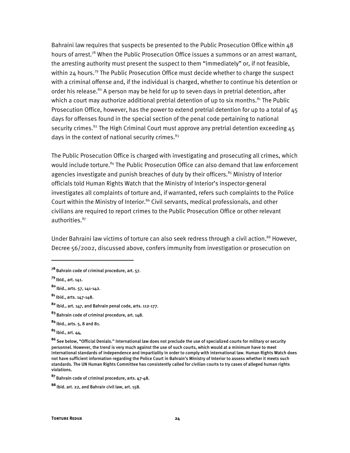Bahraini law requires that suspects be presented to the Public Prosecution Office within 48 hours of arrest.<sup>78</sup> When the Public Prosecution Office issues a summons or an arrest warrant, the arresting authority must present the suspect to them "immediately" or, if not feasible, within 24 hours.<sup>79</sup> The Public Prosecution Office must decide whether to charge the suspect with a criminal offense and, if the individual is charged, whether to continue his detention or order his release.<sup>80</sup> A person may be held for up to seven days in pretrial detention, after which a court may authorize additional pretrial detention of up to six months. $81$  The Public Prosecution Office, however, has the power to extend pretrial detention for up to a total of 45 days for offenses found in the special section of the penal code pertaining to national security crimes.<sup>82</sup> The High Criminal Court must approve any pretrial detention exceeding  $45$ days in the context of national security crimes. $83$ 

The Public Prosecution Office is charged with investigating and prosecuting all crimes, which would include torture.<sup>84</sup> The Public Prosecution Office can also demand that law enforcement agencies investigate and punish breaches of duty by their officers.<sup>85</sup> Ministry of Interior officials told Human Rights Watch that the Ministry of Interior's inspector-general investigates all complaints of torture and, if warranted, refers such complaints to the Police Court within the Ministry of Interior.<sup>86</sup> Civil servants, medical professionals, and other civilians are required to report crimes to the Public Prosecution Office or other relevant authorities.<sup>87</sup>

Under Bahraini law victims of torture can also seek redress through a civil action.<sup>88</sup> However, Decree 56/2002, discussed above, confers immunity from investigation or prosecution on

**<sup>78</sup>**Bahrain code of criminal procedure, art. 57.

**<sup>79</sup>**Ibid., art. 141.

**<sup>80</sup>**Ibid., arts. 57, 141-142.

**<sup>81</sup>**Ibid., arts. 147-148.

**<sup>82</sup>**Ibid., art. 147, and Bahrain penal code, arts. 112-177.

**<sup>83</sup>**Bahrain code of criminal procedure, art. 148.

**<sup>84</sup>**Ibid., arts. 5, 8 and 81.

**<sup>85</sup>**Ibid., art. 44,

**<sup>86</sup>**See below, "Official Denials." International law does not preclude the use of specialized courts for military or security personnel. However, the trend is very much against the use of such courts, which would at a minimum have to meet international standards of independence and impartiality in order to comply with international law. Human Rights Watch does not have sufficient information regarding the Police Court in Bahrain's Ministry of Interior to assess whether it meets such standards. The UN Human Rights Committee has consistently called for civilian courts to try cases of alleged human rights violations.

**<sup>87</sup>**Bahrain code of criminal procedure, arts. 47-48.

**<sup>88</sup>**Ibid. art. 22, and Bahrain civil law, art. 158.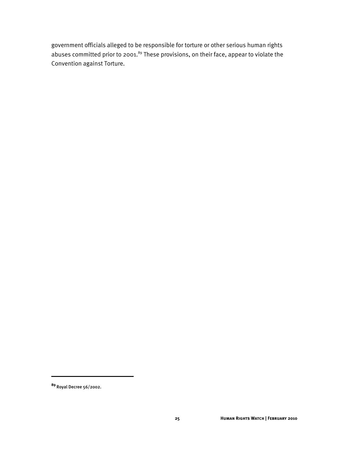government officials alleged to be responsible for torture or other serious human rights abuses committed prior to 2001.<sup>89</sup> These provisions, on their face, appear to violate the Convention against Torture.

I

**<sup>89</sup>**Royal Decree 56/2002.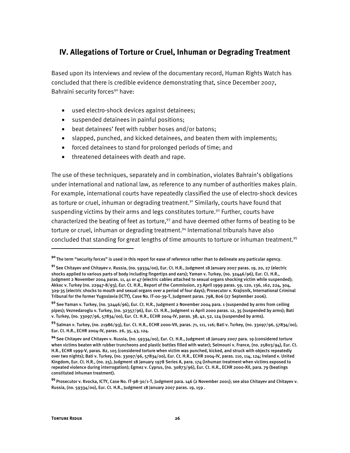## **IV. Allegations of Torture or Cruel, Inhuman or Degrading Treatment**

Based upon its interviews and review of the documentary record, Human Rights Watch has concluded that there is credible evidence demonstrating that, since December 2007, Bahraini security forces<sup>90</sup> have:

- used electro-shock devices against detainees;
- suspended detainees in painful positions;
- beat detainees' feet with rubber hoses and/or batons;
- slapped, punched, and kicked detainees, and beaten them with implements;
- forced detainees to stand for prolonged periods of time; and
- threatened detainees with death and rape.

The use of these techniques, separately and in combination, violates Bahrain's obligations under international and national law, as reference to any number of authorities makes plain. For example, international courts have repeatedly classified the use of electro-shock devices as torture or cruel, inhuman or degrading treatment.<sup>91</sup> Similarly, courts have found that suspending victims by their arms and legs constitutes torture.<sup>92</sup> Further, courts have characterized the beating of feet as torture,<sup>93</sup> and have deemed other forms of beating to be torture or cruel, inhuman or degrading treatment.<sup>94</sup> International tribunals have also concluded that standing for great lengths of time amounts to torture or inhuman treatment.<sup>95</sup>

I

**<sup>90</sup>**The term "security forces" is used in this report for ease of reference rather than to delineate any particular agency.

**<sup>91</sup>**See Chitayev and Chitayev v. Russia, (no. 59334/00), Eur. Ct. H.R., Judgment 18 January 2007 paras. 19, 20, 27 (electric shocks applied to various parts of body including fingertips and ears); Yaman v. Turkey, (no. 32446/96), Eur. Ct. H.R., Judgment 2 November 2004 paras. 11, 41 or 47 (electric cables attached to sexual organs shocking victim while suspended); Akkoc v. Turkey (no. 22947-8/93), Eur. Ct. H.R., Report of the Commission, 23 April 1999 paras. 59, 120, 136, 162, 224, 304, 329-35 (electric shocks to mouth and sexual organs over a period of four days); Prosecutor v. Krajisnik, International Criminal Tribunal for the former Yugoslavia (ICTY), Case No. IT-00-39-T, Judgment paras. 798, 806 (27 September 2006).

**<sup>92</sup>**See Yaman v. Turkey, (no. 32446/96), Eur. Ct. H.R., Judgment 2 November 2004 para. 1 (suspended by arms from ceiling pipes); Veznedaroglu v. Turkey, (no. 32357/96), Eur. Ct. H.R., Judgment 11 April 2000 paras. 12, 35 (suspended by arms); Bati v. Turkey, (no. 33097/96, 57834/00), Eur. Ct. H.R., ECHR 2004-IV, paras. 38, 42, 52, 124 (suspended by arms).

**<sup>93</sup>**Salman v. Turkey, (no. 21986/93), Eur. Ct. H.R., ECHR 2000-VII, paras. 71, 111, 116; Bati v. Turkey, (no. 33097/96, 57834/00), Eur. Ct. H.R., ECHR 2004-IV, paras. 26, 35, 43, 124.

**<sup>94</sup>**See Chitayev and Chitayev v. Russia, (no. 59334/00), Eur. Ct. H.R., Judgment 18 January 2007 para. 19 (considered torture when victims beaten with rubber truncheons and plastic bottles filled with water); Selmouni v. France, (no. 25803/94), Eur. Ct. H.R., ECHR 1999-V, paras. 82, 105 (considered torture when victim was punched, kicked, and struck with objects repeatedly over two nights); Bati v. Turkey, (no. 33097/96, 57834/00), Eur. Ct. H.R., ECHR 2004-IV, paras. 110, 114, 124; Ireland v. United Kingdom, Eur. Ct. H.R., (no. 25), Judgment 18 January 1978 Series A, para. 174 (inhuman treatment when victims exposed to repeated violence during interrogation); Egmez v. Cyprus, (no. 30873/96), Eur. Ct. H.R., ECHR 2000-XII, para. 79 (beatings constituted inhuman treatment).

**<sup>95</sup>**Prosecutor v. Kvocka, ICTY, Case No. IT-98-30/1-T, Judgment para. 146 (2 November 2001); see also Chitayev and Chitayev v. Russia, (no. 59334/00), Eur. Ct. H.R., Judgment 18 January 2007 paras. 19, 159 .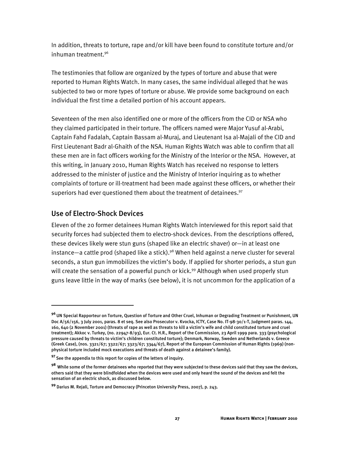In addition, threats to torture, rape and/or kill have been found to constitute torture and/or inhuman treatment.96

The testimonies that follow are organized by the types of torture and abuse that were reported to Human Rights Watch. In many cases, the same individual alleged that he was subjected to two or more types of torture or abuse. We provide some background on each individual the first time a detailed portion of his account appears.

Seventeen of the men also identified one or more of the officers from the CID or NSA who they claimed participated in their torture. The officers named were Major Yusuf al-Arabi, Captain Fahd Fadalah, Captain Bassam al-Muraj, and Lieutenant Isa al-Majali of the CID and First Lieutenant Badr al-Ghaith of the NSA. Human Rights Watch was able to confirm that all these men are in fact officers working for the Ministry of the Interior or the NSA. However, at this writing, in January 2010, Human Rights Watch has received no response to letters addressed to the minister of justice and the Ministry of Interior inquiring as to whether complaints of torture or ill-treatment had been made against these officers, or whether their superiors had ever questioned them about the treatment of detainees.<sup>97</sup>

## Use of Electro-Shock Devices

I

Eleven of the 20 former detainees Human Rights Watch interviewed for this report said that security forces had subjected them to electro-shock devices. From the descriptions offered, these devices likely were stun guns (shaped like an electric shaver) or—in at least one instance—a cattle prod (shaped like a stick).<sup>98</sup> When held against a nerve cluster for several seconds, a stun gun immobilizes the victim's body. If applied for shorter periods, a stun gun will create the sensation of a powerful punch or kick.<sup>99</sup> Although when used properly stun guns leave little in the way of marks (see below), it is not uncommon for the application of a

**<sup>96</sup>**UN Special Rapporteur on Torture, Question of Torture and Other Cruel, Inhuman or Degrading Treatment or Punishment, UN Doc A/56/156, 3 July 2001, paras. 8 et seq. See also Prosecutor v. Kvocka, ICTY, Case No. IT-98-30/1-T, Judgment paras. 144, 160, 640 (2 November 2001) (threats of rape as well as threats to kill a victim's wife and child constituted torture and cruel treatment); Akkoc v. Turkey, (no. 22947-8/93), Eur. Ct. H.R., Report of the Commission, 23 April 1999 para. 333 (psychological pressure caused by threats to victim's children constituted torture); Denmark, Norway, Sweden and Netherlands v. Greece (Greek Case), (nos. 3321/67; 3322/67; 3323/67; 3344/67), Report of the European Commission of Human Rights (1969) (nonphysical torture included mock executions and threats of death against a detainee's family).

**<sup>97</sup>**See the appendix to this report for copies of the letters of inquiry.

**<sup>98</sup>**While some of the former detainees who reported that they were subjected to these devices said that they saw the devices, others said that they were blindfolded when the devices were used and only heard the sound of the devices and felt the sensation of an electric shock, as discussed below.

**<sup>99</sup>** Darius M. Rejali, Torture and Democracy (Princeton University Press, 2007), p. 243.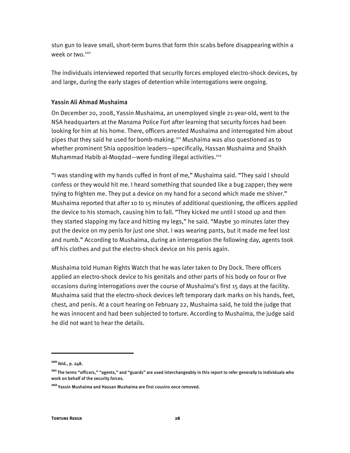stun gun to leave small, short-term burns that form thin scabs before disappearing within a week or two.<sup>100</sup>

The individuals interviewed reported that security forces employed electro-shock devices, by and large, during the early stages of detention while interrogations were ongoing.

#### Yassin Ali Ahmad Mushaima

On December 20, 2008, Yassin Mushaima, an unemployed single 21-year-old, went to the NSA headquarters at the Manama Police Fort after learning that security forces had been looking for him at his home. There, officers arrested Mushaima and interrogated him about pipes that they said he used for bomb-making.101 Mushaima was also questioned as to whether prominent Shia opposition leaders—specifically, Hassan Mushaima and Shaikh Muhammad Habib al-Moqdad—were funding illegal activities.102

"I was standing with my hands cuffed in front of me," Mushaima said. "They said I should confess or they would hit me. I heard something that sounded like a bug zapper; they were trying to frighten me. They put a device on my hand for a second which made me shiver." Mushaima reported that after 10 to 15 minutes of additional questioning, the officers applied the device to his stomach, causing him to fall. "They kicked me until I stood up and then they started slapping my face and hitting my legs," he said. "Maybe 30 minutes later they put the device on my penis for just one shot. I was wearing pants, but it made me feel lost and numb." According to Mushaima, during an interrogation the following day, agents took off his clothes and put the electro-shock device on his penis again.

Mushaima told Human Rights Watch that he was later taken to Dry Dock. There officers applied an electro-shock device to his genitals and other parts of his body on four or five occasions during interrogations over the course of Mushaima's first 15 days at the facility. Mushaima said that the electro-shock devices left temporary dark marks on his hands, feet, chest, and penis. At a court hearing on February 22, Mushaima said, he told the judge that he was innocent and had been subjected to torture. According to Mushaima, the judge said he did not want to hear the details.

1

**<sup>100</sup>**Ibid., p. 248.

**<sup>101</sup>**The terms "officers," "agents," and "guards" are used interchangeably in this report to refer generally to individuals who work on behalf of the security forces.

**<sup>102</sup>**Yassin Mushaima and Hassan Mushaima are first cousins once removed.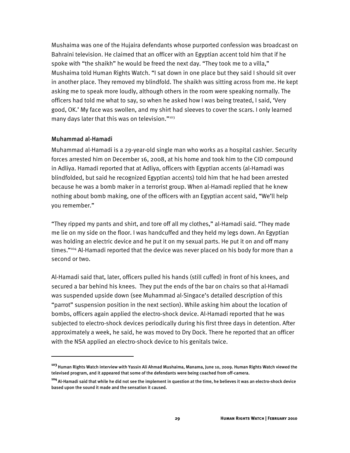Mushaima was one of the Hujaira defendants whose purported confession was broadcast on Bahraini television. He claimed that an officer with an Egyptian accent told him that if he spoke with "the shaikh" he would be freed the next day. "They took me to a villa," Mushaima told Human Rights Watch. "I sat down in one place but they said I should sit over in another place. They removed my blindfold. The shaikh was sitting across from me. He kept asking me to speak more loudly, although others in the room were speaking normally. The officers had told me what to say, so when he asked how I was being treated, I said, 'Very good, OK.' My face was swollen, and my shirt had sleeves to cover the scars. I only learned many days later that this was on television."<sup>103</sup>

#### Muhammad al-Hamadi

:

Muhammad al-Hamadi is a 29-year-old single man who works as a hospital cashier. Security forces arrested him on December 16, 2008, at his home and took him to the CID compound in Adliya. Hamadi reported that at Adliya, officers with Egyptian accents (al-Hamadi was blindfolded, but said he recognized Egyptian accents) told him that he had been arrested because he was a bomb maker in a terrorist group. When al-Hamadi replied that he knew nothing about bomb making, one of the officers with an Egyptian accent said, "We'll help you remember."

"They ripped my pants and shirt, and tore off all my clothes," al-Hamadi said. "They made me lie on my side on the floor. I was handcuffed and they held my legs down. An Egyptian was holding an electric device and he put it on my sexual parts. He put it on and off many times."<sup>104</sup> Al-Hamadi reported that the device was never placed on his body for more than a second or two.

Al-Hamadi said that, later, officers pulled his hands (still cuffed) in front of his knees, and secured a bar behind his knees. They put the ends of the bar on chairs so that al-Hamadi was suspended upside down (see Muhammad al-Singace's detailed description of this "parrot" suspension position in the next section). While asking him about the location of bombs, officers again applied the electro-shock device. Al-Hamadi reported that he was subjected to electro-shock devices periodically during his first three days in detention. After approximately a week, he said, he was moved to Dry Dock. There he reported that an officer with the NSA applied an electro-shock device to his genitals twice.

**<sup>103</sup>**Human Rights Watch interview with Yassin Ali Ahmad Mushaima, Manama, June 10, 2009. Human Rights Watch viewed the televised program, and it appeared that some of the defendants were being coached from off-camera.

**<sup>104</sup>**Al-Hamadi said that while he did not see the implement in question at the time, he believes it was an electro-shock device based upon the sound it made and the sensation it caused.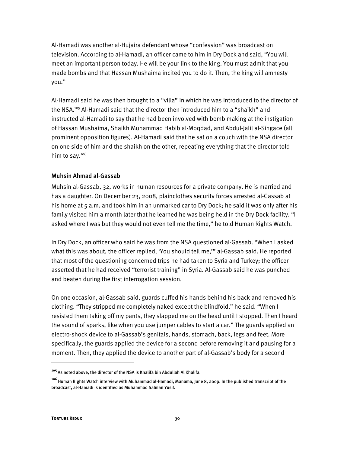Al-Hamadi was another al-Hujaira defendant whose "confession" was broadcast on television. According to al-Hamadi, an officer came to him in Dry Dock and said, "You will meet an important person today. He will be your link to the king. You must admit that you made bombs and that Hassan Mushaima incited you to do it. Then, the king will amnesty you."

Al-Hamadi said he was then brought to a "villa" in which he was introduced to the director of the NSA.105 Al-Hamadi said that the director then introduced him to a "shaikh" and instructed al-Hamadi to say that he had been involved with bomb making at the instigation of Hassan Mushaima, Shaikh Muhammad Habib al-Moqdad, and Abdul-Jalil al-Singace (all prominent opposition figures). Al-Hamadi said that he sat on a couch with the NSA director on one side of him and the shaikh on the other, repeating everything that the director told him to say.<sup>106</sup>

#### Muhsin Ahmad al-Gassab

Muhsin al-Gassab, 32, works in human resources for a private company. He is married and has a daughter. On December 23, 2008, plainclothes security forces arrested al-Gassab at his home at 5 a.m. and took him in an unmarked car to Dry Dock; he said it was only after his family visited him a month later that he learned he was being held in the Dry Dock facility. "I asked where I was but they would not even tell me the time," he told Human Rights Watch.

In Dry Dock, an officer who said he was from the NSA questioned al-Gassab. "When I asked what this was about, the officer replied, 'You should tell me,'" al-Gassab said. He reported that most of the questioning concerned trips he had taken to Syria and Turkey; the officer asserted that he had received "terrorist training" in Syria. Al-Gassab said he was punched and beaten during the first interrogation session.

On one occasion, al-Gassab said, guards cuffed his hands behind his back and removed his clothing. "They stripped me completely naked except the blindfold," he said. "When I resisted them taking off my pants, they slapped me on the head until I stopped. Then I heard the sound of sparks, like when you use jumper cables to start a car." The guards applied an electro-shock device to al-Gassab's genitals, hands, stomach, back, legs and feet. More specifically, the guards applied the device for a second before removing it and pausing for a moment. Then, they applied the device to another part of al-Gassab's body for a second

ֺ

**<sup>105</sup>**As noted above, the director of the NSA is Khalifa bin Abdullah Al Khalifa.

**<sup>106</sup>**Human Rights Watch interview with Muhammad al-Hamadi, Manama, June 8, 2009. In the published transcript of the broadcast, al-Hamadi is identified as Muhammad Salman Yusif.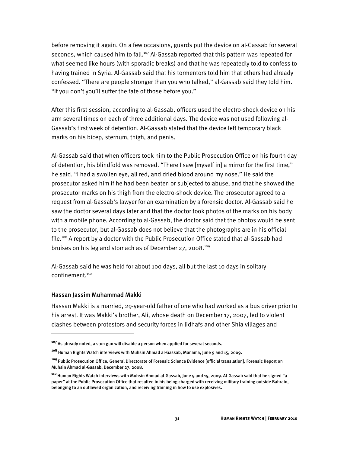before removing it again. On a few occasions, guards put the device on al-Gassab for several seconds, which caused him to fall.<sup>107</sup> Al-Gassab reported that this pattern was repeated for what seemed like hours (with sporadic breaks) and that he was repeatedly told to confess to having trained in Syria. Al-Gassab said that his tormentors told him that others had already confessed. "There are people stronger than you who talked," al-Gassab said they told him. "If you don't you'll suffer the fate of those before you."

After this first session, according to al-Gassab, officers used the electro-shock device on his arm several times on each of three additional days. The device was not used following al-Gassab's first week of detention. Al-Gassab stated that the device left temporary black marks on his bicep, sternum, thigh, and penis.

Al-Gassab said that when officers took him to the Public Prosecution Office on his fourth day of detention, his blindfold was removed. "There I saw [myself in] a mirror for the first time," he said. "I had a swollen eye, all red, and dried blood around my nose." He said the prosecutor asked him if he had been beaten or subjected to abuse, and that he showed the prosecutor marks on his thigh from the electro-shock device. The prosecutor agreed to a request from al-Gassab's lawyer for an examination by a forensic doctor. Al-Gassab said he saw the doctor several days later and that the doctor took photos of the marks on his body with a mobile phone. According to al-Gassab, the doctor said that the photos would be sent to the prosecutor, but al-Gassab does not believe that the photographs are in his official file.<sup>108</sup> A report by a doctor with the Public Prosecution Office stated that al-Gassab had bruises on his leg and stomach as of December 27, 2008.<sup>109</sup>

Al-Gassab said he was held for about 100 days, all but the last 10 days in solitary confinement.<sup>110</sup>

#### Hassan Jassim Muhammad Makki

İ

Hassan Makki is a married, 29-year-old father of one who had worked as a bus driver prior to his arrest. It was Makki's brother, Ali, whose death on December 17, 2007, led to violent clashes between protestors and security forces in Jidhafs and other Shia villages and

**<sup>107</sup>**As already noted, a stun gun will disable a person when applied for several seconds.

**<sup>108</sup>**Human Rights Watch interviews with Muhsin Ahmad al-Gassab, Manama, June 9 and 15, 2009.

**<sup>109</sup>**Public Prosecution Office, General Directorate of Forensic Science Evidence [official translation], Forensic Report on Muhsin Ahmad al-Gassab, December 27, 2008.

**<sup>110</sup>**Human Rights Watch interviews with Muhsin Ahmad al-Gassab, June 9 and 15, 2009. Al-Gassab said that he signed "a paper" at the Public Prosecution Office that resulted in his being charged with receiving military training outside Bahrain, belonging to an outlawed organization, and receiving training in how to use explosives.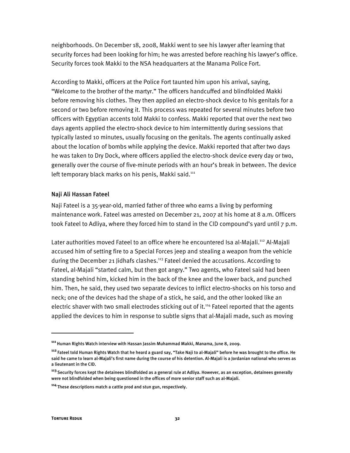neighborhoods. On December 18, 2008, Makki went to see his lawyer after learning that security forces had been looking for him; he was arrested before reaching his lawyer's office. Security forces took Makki to the NSA headquarters at the Manama Police Fort.

According to Makki, officers at the Police Fort taunted him upon his arrival, saying, "Welcome to the brother of the martyr." The officers handcuffed and blindfolded Makki before removing his clothes. They then applied an electro-shock device to his genitals for a second or two before removing it. This process was repeated for several minutes before two officers with Egyptian accents told Makki to confess. Makki reported that over the next two days agents applied the electro-shock device to him intermittently during sessions that typically lasted 10 minutes, usually focusing on the genitals. The agents continually asked about the location of bombs while applying the device. Makki reported that after two days he was taken to Dry Dock, where officers applied the electro-shock device every day or two, generally over the course of five-minute periods with an hour's break in between. The device left temporary black marks on his penis, Makki said.<sup>111</sup>

#### Naji Ali Hassan Fateel

Naji Fateel is a 35-year-old, married father of three who earns a living by performing maintenance work. Fateel was arrested on December 21, 2007 at his home at 8 a.m. Officers took Fateel to Adliya, where they forced him to stand in the CID compound's yard until 7 p.m.

Later authorities moved Fateel to an office where he encountered Isa al-Majali.<sup>112</sup> Al-Majali accused him of setting fire to a Special Forces jeep and stealing a weapon from the vehicle during the December 21 Jidhafs clashes.<sup>113</sup> Fateel denied the accusations. According to Fateel, al-Majali "started calm, but then got angry." Two agents, who Fateel said had been standing behind him, kicked him in the back of the knee and the lower back, and punched him. Then, he said, they used two separate devices to inflict electro-shocks on his torso and neck; one of the devices had the shape of a stick, he said, and the other looked like an electric shaver with two small electrodes sticking out of it.<sup>114</sup> Fateel reported that the agents applied the devices to him in response to subtle signs that al-Majali made, such as moving

I

**<sup>111</sup>**Human Rights Watch interview with Hassan Jassim Muhammad Makki, Manama, June 8, 2009.

**<sup>112</sup>**Fateel told Human Rights Watch that he heard a guard say, "Take Naji to al-Majali" before he was brought to the office. He said he came to learn al-Majali's first name during the course of his detention. Al-Majali is a Jordanian national who serves as a lieutenant in the CID.

**<sup>113</sup>**Security forces kept the detainees blindfolded as a general rule at Adliya. However, as an exception, detainees generally were not blindfolded when being questioned in the offices of more senior staff such as al-Majali.

**<sup>114</sup>**These descriptions match a cattle prod and stun gun, respectively.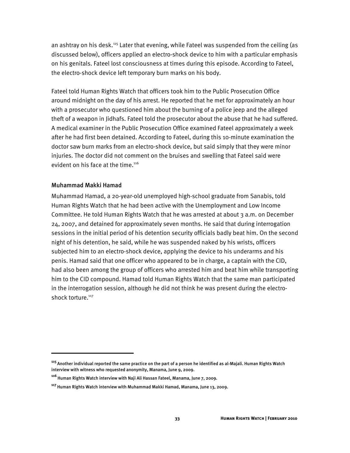an ashtray on his desk.<sup>115</sup> Later that evening, while Fateel was suspended from the ceiling (as discussed below), officers applied an electro-shock device to him with a particular emphasis on his genitals. Fateel lost consciousness at times during this episode. According to Fateel, the electro-shock device left temporary burn marks on his body.

Fateel told Human Rights Watch that officers took him to the Public Prosecution Office around midnight on the day of his arrest. He reported that he met for approximately an hour with a prosecutor who questioned him about the burning of a police jeep and the alleged theft of a weapon in Jidhafs. Fateel told the prosecutor about the abuse that he had suffered. A medical examiner in the Public Prosecution Office examined Fateel approximately a week after he had first been detained. According to Fateel, during this 10-minute examination the doctor saw burn marks from an electro-shock device, but said simply that they were minor injuries. The doctor did not comment on the bruises and swelling that Fateel said were evident on his face at the time.<sup>116</sup>

### Muhammad Makki Hamad

ֺ

Muhammad Hamad, a 20-year-old unemployed high-school graduate from Sanabis, told Human Rights Watch that he had been active with the Unemployment and Low Income Committee. He told Human Rights Watch that he was arrested at about 3 a.m. on December 24, 2007, and detained for approximately seven months. He said that during interrogation sessions in the initial period of his detention security officials badly beat him. On the second night of his detention, he said, while he was suspended naked by his wrists, officers subjected him to an electro-shock device, applying the device to his underarms and his penis. Hamad said that one officer who appeared to be in charge, a captain with the CID, had also been among the group of officers who arrested him and beat him while transporting him to the CID compound. Hamad told Human Rights Watch that the same man participated in the interrogation session, although he did not think he was present during the electroshock torture.<sup>117</sup>

**<sup>115</sup>**Another individual reported the same practice on the part of a person he identified as al-Majali. Human Rights Watch interview with witness who requested anonymity, Manama, June 9, 2009.

**<sup>116</sup>**Human Rights Watch interview with Naji Ali Hassan Fateel, Manama, June 7, 2009.

**<sup>117</sup>**Human Rights Watch interview with Muhammad Makki Hamad, Manama, June 13, 2009.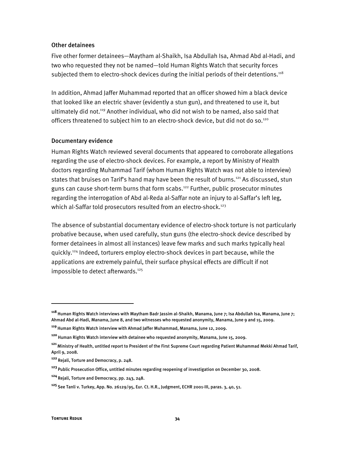#### Other detainees

Five other former detainees—Maytham al-Shaikh, Isa Abdullah Isa, Ahmad Abd al-Hadi, and two who requested they not be named—told Human Rights Watch that security forces subjected them to electro-shock devices during the initial periods of their detentions.<sup>118</sup>

In addition, Ahmad Jaffer Muhammad reported that an officer showed him a black device that looked like an electric shaver (evidently a stun gun), and threatened to use it, but ultimately did not.<sup>119</sup> Another individual, who did not wish to be named, also said that officers threatened to subject him to an electro-shock device, but did not do so.<sup>120</sup>

#### Documentary evidence

Human Rights Watch reviewed several documents that appeared to corroborate allegations regarding the use of electro-shock devices. For example, a report by Ministry of Health doctors regarding Muhammad Tarif (whom Human Rights Watch was not able to interview) states that bruises on Tarif's hand may have been the result of burns.<sup>121</sup> As discussed, stun guns can cause short-term burns that form scabs.<sup>122</sup> Further, public prosecutor minutes regarding the interrogation of Abd al-Reda al-Saffar note an injury to al-Saffar's left leg, which al-Saffar told prosecutors resulted from an electro-shock.<sup>123</sup>

The absence of substantial documentary evidence of electro-shock torture is not particularly probative because, when used carefully, stun guns (the electro-shock device described by former detainees in almost all instances) leave few marks and such marks typically heal quickly.124 Indeed, torturers employ electro-shock devices in part because, while the applications are extremely painful, their surface physical effects are difficult if not impossible to detect afterwards.<sup>125</sup>

**<sup>118</sup>**Human Rights Watch interviews with Maytham Badr Jassim al-Shaikh, Manama, June 7; Isa Abdullah Isa, Manama, June 7; Ahmad Abd al-Hadi, Manama, June 8, and two witnesses who requested anonymity, Manama, June 9 and 15, 2009.

**<sup>119</sup>**Human Rights Watch interview with Ahmad Jaffer Muhammad, Manama, June 12, 2009.

**<sup>120</sup>**Human Rights Watch interview with detainee who requested anonymity, Manama, June 15, 2009.

**<sup>121</sup>**Ministry of Health, untitled report to President of the First Supreme Court regarding Patient Muhammad Mekki Ahmad Tarif, April 9, 2008.

**<sup>122</sup>**Rejali, Torture and Democracy, p. 248.

**<sup>123</sup>**Public Prosecution Office, untitled minutes regarding reopening of investigation on December 30, 2008.

**<sup>124</sup>**Rejali, Torture and Democracy, pp. 243, 248.

**<sup>125</sup>**See Tanli v. Turkey, App. No. 26129/95, Eur. Ct. H.R., Judgment, ECHR 2001-III, paras. 3, 40, 51.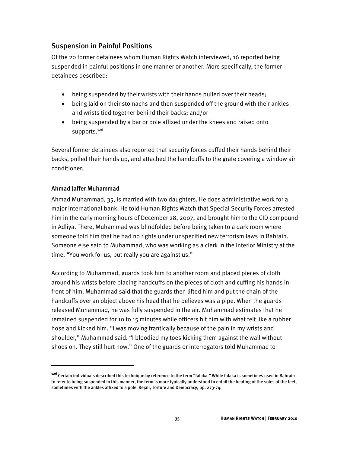## Suspension in Painful Positions

Of the 20 former detainees whom Human Rights Watch interviewed, 16 reported being suspended in painful positions in one manner or another. More specifically, the former detainees described:

- being suspended by their wrists with their hands pulled over their heads;
- being laid on their stomachs and then suspended off the ground with their ankles and wrists tied together behind their backs; and/or
- being suspended by a bar or pole affixed under the knees and raised onto supports.<sup>126</sup>

Several former detainees also reported that security forces cuffed their hands behind their backs, pulled their hands up, and attached the handcuffs to the grate covering a window air conditioner.

## Ahmad Jaffer Muhammad

İ

Ahmad Muhammad, 35, is married with two daughters. He does administrative work for a major international bank. He told Human Rights Watch that Special Security Forces arrested him in the early morning hours of December 28, 2007, and brought him to the CID compound in Adliya. There, Muhammad was blindfolded before being taken to a dark room where someone told him that he had no rights under unspecified new terrorism laws in Bahrain. Someone else said to Muhammad, who was working as a clerk in the Interior Ministry at the time, "You work for us, but really you are against us."

According to Muhammad, guards took him to another room and placed pieces of cloth around his wrists before placing handcuffs on the pieces of cloth and cuffing his hands in front of him. Muhammad said that the guards then lifted him and put the chain of the handcuffs over an object above his head that he believes was a pipe. When the guards released Muhammad, he was fully suspended in the air. Muhammad estimates that he remained suspended for 10 to 15 minutes while officers hit him with what felt like a rubber hose and kicked him. "I was moving frantically because of the pain in my wrists and shoulder," Muhammad said. "I bloodied my toes kicking them against the wall without shoes on. They still hurt now." One of the guards or interrogators told Muhammad to

**<sup>126</sup>**Certain individuals described this technique by reference to the term "falaka." While falaka is sometimes used in Bahrain to refer to being suspended in this manner, the term is more typically understood to entail the beating of the soles of the feet, sometimes with the ankles affixed to a pole. Rejali, Torture and Democracy, pp. 273-74.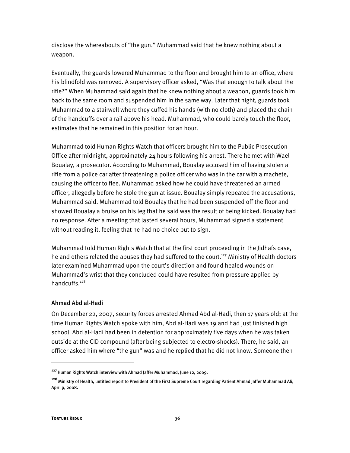disclose the whereabouts of "the gun." Muhammad said that he knew nothing about a weapon.

Eventually, the guards lowered Muhammad to the floor and brought him to an office, where his blindfold was removed. A supervisory officer asked, "Was that enough to talk about the rifle?" When Muhammad said again that he knew nothing about a weapon, guards took him back to the same room and suspended him in the same way. Later that night, guards took Muhammad to a stairwell where they cuffed his hands (with no cloth) and placed the chain of the handcuffs over a rail above his head. Muhammad, who could barely touch the floor, estimates that he remained in this position for an hour.

Muhammad told Human Rights Watch that officers brought him to the Public Prosecution Office after midnight, approximately 24 hours following his arrest. There he met with Wael Boualay, a prosecutor. According to Muhammad, Boualay accused him of having stolen a rifle from a police car after threatening a police officer who was in the car with a machete, causing the officer to flee. Muhammad asked how he could have threatened an armed officer, allegedly before he stole the gun at issue. Boualay simply repeated the accusations, Muhammad said. Muhammad told Boualay that he had been suspended off the floor and showed Boualay a bruise on his leg that he said was the result of being kicked. Boualay had no response. After a meeting that lasted several hours, Muhammad signed a statement without reading it, feeling that he had no choice but to sign.

Muhammad told Human Rights Watch that at the first court proceeding in the Jidhafs case, he and others related the abuses they had suffered to the court.<sup>127</sup> Ministry of Health doctors later examined Muhammad upon the court's direction and found healed wounds on Muhammad's wrist that they concluded could have resulted from pressure applied by handcuffs.128

### Ahmad Abd al-Hadi

On December 22, 2007, security forces arrested Ahmad Abd al-Hadi, then 17 years old; at the time Human Rights Watch spoke with him, Abd al-Hadi was 19 and had just finished high school. Abd al-Hadi had been in detention for approximately five days when he was taken outside at the CID compound (after being subjected to electro-shocks). There, he said, an officer asked him where "the gun" was and he replied that he did not know. Someone then

**<sup>127</sup>**Human Rights Watch interview with Ahmad Jaffer Muhammad, June 12, 2009.

**<sup>128</sup>**Ministry of Health, untitled report to President of the First Supreme Court regarding Patient Ahmad Jaffer Muhammad Ali, April 9, 2008.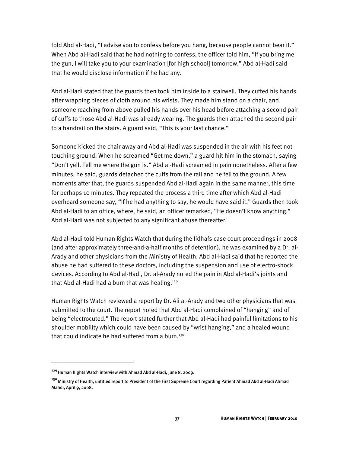told Abd al-Hadi, "I advise you to confess before you hang, because people cannot bear it." When Abd al-Hadi said that he had nothing to confess, the officer told him, "If you bring me the gun, I will take you to your examination [for high school] tomorrow." Abd al-Hadi said that he would disclose information if he had any.

Abd al-Hadi stated that the guards then took him inside to a stairwell. They cuffed his hands after wrapping pieces of cloth around his wrists. They made him stand on a chair, and someone reaching from above pulled his hands over his head before attaching a second pair of cuffs to those Abd al-Hadi was already wearing. The guards then attached the second pair to a handrail on the stairs. A guard said, "This is your last chance."

Someone kicked the chair away and Abd al-Hadi was suspended in the air with his feet not touching ground. When he screamed "Get me down," a guard hit him in the stomach, saying "Don't yell. Tell me where the gun is." Abd al-Hadi screamed in pain nonetheless. After a few minutes, he said, guards detached the cuffs from the rail and he fell to the ground. A few moments after that, the guards suspended Abd al-Hadi again in the same manner, this time for perhaps 10 minutes. They repeated the process a third time after which Abd al-Hadi overheard someone say, "If he had anything to say, he would have said it." Guards then took Abd al-Hadi to an office, where, he said, an officer remarked, "He doesn't know anything." Abd al-Hadi was not subjected to any significant abuse thereafter.

Abd al-Hadi told Human Rights Watch that during the Jidhafs case court proceedings in 2008 (and after approximately three-and-a-half months of detention), he was examined by a Dr. al-Arady and other physicians from the Ministry of Health. Abd al-Hadi said that he reported the abuse he had suffered to these doctors, including the suspension and use of electro-shock devices. According to Abd al-Hadi, Dr. al-Arady noted the pain in Abd al-Hadi's joints and that Abd al-Hadi had a burn that was healing.<sup>129</sup>

Human Rights Watch reviewed a report by Dr. Ali al-Arady and two other physicians that was submitted to the court. The report noted that Abd al-Hadi complained of "hanging" and of being "electrocuted." The report stated further that Abd al-Hadi had painful limitations to his shoulder mobility which could have been caused by "wrist hanging," and a healed wound that could indicate he had suffered from a burn.<sup>130</sup>

**<sup>129</sup>**Human Rights Watch interview with Ahmad Abd al-Hadi, June 8, 2009.

**<sup>130</sup>**Ministry of Health, untitled report to President of the First Supreme Court regarding Patient Ahmad Abd al-Hadi Ahmad Mahdi, April 9, 2008.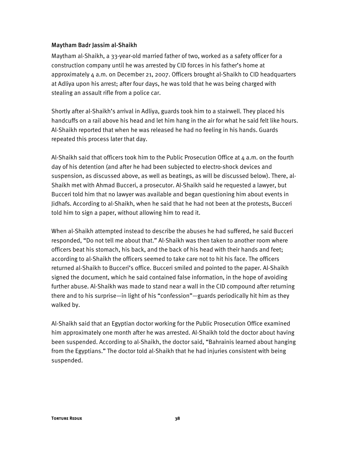#### Maytham Badr Jassim al-Shaikh

Maytham al-Shaikh, a 33-year-old married father of two, worked as a safety officer for a construction company until he was arrested by CID forces in his father's home at approximately 4 a.m. on December 21, 2007. Officers brought al-Shaikh to CID headquarters at Adliya upon his arrest; after four days, he was told that he was being charged with stealing an assault rifle from a police car.

Shortly after al-Shaikh's arrival in Adliya, guards took him to a stairwell. They placed his handcuffs on a rail above his head and let him hang in the air for what he said felt like hours. Al-Shaikh reported that when he was released he had no feeling in his hands. Guards repeated this process later that day.

Al-Shaikh said that officers took him to the Public Prosecution Office at  $4$  a.m. on the fourth day of his detention (and after he had been subjected to electro-shock devices and suspension, as discussed above, as well as beatings, as will be discussed below). There, al-Shaikh met with Ahmad Bucceri, a prosecutor. Al-Shaikh said he requested a lawyer, but Bucceri told him that no lawyer was available and began questioning him about events in Jidhafs. According to al-Shaikh, when he said that he had not been at the protests, Bucceri told him to sign a paper, without allowing him to read it.

When al-Shaikh attempted instead to describe the abuses he had suffered, he said Bucceri responded, "Do not tell me about that." Al-Shaikh was then taken to another room where officers beat his stomach, his back, and the back of his head with their hands and feet; according to al-Shaikh the officers seemed to take care not to hit his face. The officers returned al-Shaikh to Bucceri's office. Bucceri smiled and pointed to the paper. Al-Shaikh signed the document, which he said contained false information, in the hope of avoiding further abuse. Al-Shaikh was made to stand near a wall in the CID compound after returning there and to his surprise—in light of his "confession"—guards periodically hit him as they walked by.

Al-Shaikh said that an Egyptian doctor working for the Public Prosecution Office examined him approximately one month after he was arrested. Al-Shaikh told the doctor about having been suspended. According to al-Shaikh, the doctor said, "Bahrainis learned about hanging from the Egyptians." The doctor told al-Shaikh that he had injuries consistent with being suspended.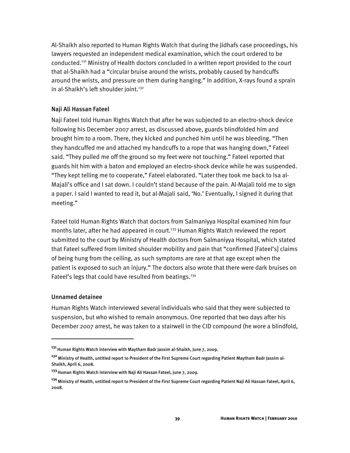Al-Shaikh also reported to Human Rights Watch that during the Jidhafs case proceedings, his lawyers requested an independent medical examination, which the court ordered to be conducted.131 Ministry of Health doctors concluded in a written report provided to the court that al-Shaikh had a "circular bruise around the wrists, probably caused by handcuffs around the wrists, and pressure on them during hanging." In addition, X-rays found a sprain in al-Shaikh's left shoulder joint.<sup>132</sup>

### Naji Ali Hassan Fateel

Naji Fateel told Human Rights Watch that after he was subjected to an electro-shock device following his December 2007 arrest, as discussed above, guards blindfolded him and brought him to a room. There, they kicked and punched him until he was bleeding. "Then they handcuffed me and attached my handcuffs to a rope that was hanging down," Fateel said. "They pulled me off the ground so my feet were not touching." Fateel reported that guards hit him with a baton and employed an electro-shock device while he was suspended. "They kept telling me to cooperate," Fateel elaborated. "Later they took me back to Isa al-Majali's office and I sat down. I couldn't stand because of the pain. Al-Majali told me to sign a paper. I said I wanted to read it, but al-Majali said, 'No.' Eventually, I signed it during that meeting."

Fateel told Human Rights Watch that doctors from Salmaniyya Hospital examined him four months later, after he had appeared in court.<sup>133</sup> Human Rights Watch reviewed the report submitted to the court by Ministry of Health doctors from Salmaniyya Hospital, which stated that Fateel suffered from limited shoulder mobility and pain that "confirmed [Fateel's] claims of being hung from the ceiling, as such symptoms are rare at that age except when the patient is exposed to such an injury." The doctors also wrote that there were dark bruises on Fateel's legs that could have resulted from beatings.<sup>134</sup>

### Unnamed detainee

İ

Human Rights Watch interviewed several individuals who said that they were subjected to suspension, but who wished to remain anonymous. One reported that two days after his December 2007 arrest, he was taken to a stairwell in the CID compound (he wore a blindfold,

**<sup>131</sup>**Human Rights Watch interview with Maytham Badr Jassim al-Shaikh, June 7, 2009.

**<sup>132</sup>**Ministry of Health, untitled report to President of the First Supreme Court regarding Patient Maytham Badr Jassim al-Shaikh, April 6, 2008.

**<sup>133</sup>**Human Rights Watch interview with Naji Ali Hassan Fateel, June 7, 2009.

**<sup>134</sup>**Ministry of Health, untitled report to President of the First Supreme Court regarding Patient Naji Ali Hassan Fateel, April 6, 2008.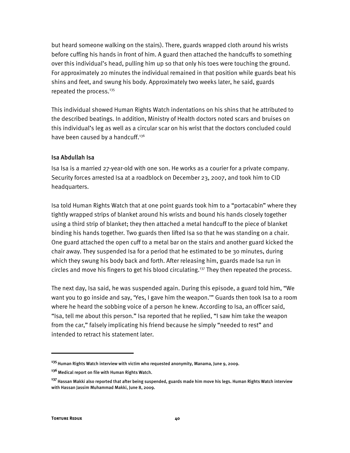but heard someone walking on the stairs). There, guards wrapped cloth around his wrists before cuffing his hands in front of him. A guard then attached the handcuffs to something over this individual's head, pulling him up so that only his toes were touching the ground. For approximately 20 minutes the individual remained in that position while guards beat his shins and feet, and swung his body. Approximately two weeks later, he said, guards repeated the process.<sup>135</sup>

This individual showed Human Rights Watch indentations on his shins that he attributed to the described beatings. In addition, Ministry of Health doctors noted scars and bruises on this individual's leg as well as a circular scar on his wrist that the doctors concluded could have been caused by a handcuff.<sup>136</sup>

## Isa Abdullah Isa

Isa Isa is a married 27-year-old with one son. He works as a courier for a private company. Security forces arrested Isa at a roadblock on December 23, 2007, and took him to CID headquarters.

Isa told Human Rights Watch that at one point guards took him to a "portacabin" where they tightly wrapped strips of blanket around his wrists and bound his hands closely together using a third strip of blanket; they then attached a metal handcuff to the piece of blanket binding his hands together. Two guards then lifted Isa so that he was standing on a chair. One guard attached the open cuff to a metal bar on the stairs and another guard kicked the chair away. They suspended Isa for a period that he estimated to be 30 minutes, during which they swung his body back and forth. After releasing him, guards made Isa run in circles and move his fingers to get his blood circulating.<sup>137</sup> They then repeated the process.

The next day, Isa said, he was suspended again. During this episode, a guard told him, "We want you to go inside and say, 'Yes, I gave him the weapon.'" Guards then took Isa to a room where he heard the sobbing voice of a person he knew. According to Isa, an officer said, "Isa, tell me about this person." Isa reported that he replied, "I saw him take the weapon from the car," falsely implicating his friend because he simply "needed to rest" and intended to retract his statement later.

**<sup>135</sup>**Human Rights Watch interview with victim who requested anonymity, Manama, June 9, 2009.

**<sup>136</sup>**Medical report on file with Human Rights Watch.

**<sup>137</sup>**Hassan Makki also reported that after being suspended, guards made him move his legs. Human Rights Watch interview with Hassan Jassim Muhammad Makki, June 8, 2009.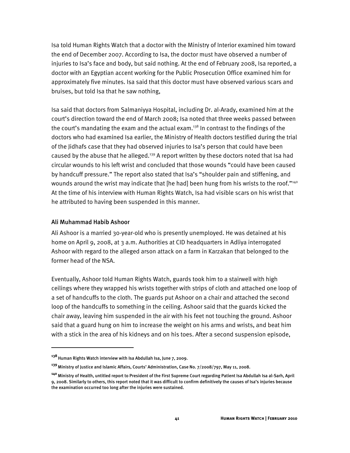Isa told Human Rights Watch that a doctor with the Ministry of Interior examined him toward the end of December 2007. According to Isa, the doctor must have observed a number of injuries to Isa's face and body, but said nothing. At the end of February 2008, Isa reported, a doctor with an Egyptian accent working for the Public Prosecution Office examined him for approximately five minutes. Isa said that this doctor must have observed various scars and bruises, but told Isa that he saw nothing,

Isa said that doctors from Salmaniyya Hospital, including Dr. al-Arady, examined him at the court's direction toward the end of March 2008; Isa noted that three weeks passed between the court's mandating the exam and the actual exam.<sup>138</sup> In contrast to the findings of the doctors who had examined Isa earlier, the Ministry of Health doctors testified during the trial of the Jidhafs case that they had observed injuries to Isa's person that could have been caused by the abuse that he alleged.<sup>139</sup> A report written by these doctors noted that Isa had circular wounds to his left wrist and concluded that those wounds "could have been caused by handcuff pressure." The report also stated that Isa's "shoulder pain and stiffening, and wounds around the wrist may indicate that [he had] been hung from his wrists to the roof."<sup>140</sup> At the time of his interview with Human Rights Watch, Isa had visible scars on his wrist that he attributed to having been suspended in this manner.

### Ali Muhammad Habib Ashoor

1

Ali Ashoor is a married 30-year-old who is presently unemployed. He was detained at his home on April 9, 2008, at 3 a.m. Authorities at CID headquarters in Adliya interrogated Ashoor with regard to the alleged arson attack on a farm in Karzakan that belonged to the former head of the NSA.

Eventually, Ashoor told Human Rights Watch, guards took him to a stairwell with high ceilings where they wrapped his wrists together with strips of cloth and attached one loop of a set of handcuffs to the cloth. The guards put Ashoor on a chair and attached the second loop of the handcuffs to something in the ceiling. Ashoor said that the guards kicked the chair away, leaving him suspended in the air with his feet not touching the ground. Ashoor said that a guard hung on him to increase the weight on his arms and wrists, and beat him with a stick in the area of his kidneys and on his toes. After a second suspension episode,

**<sup>138</sup>**Human Rights Watch interview with Isa Abdullah Isa, June 7, 2009.

**<sup>139</sup>**Ministry of Justice and Islamic Affairs, Courts' Administration, Case No. 7/2008/797, May 11, 2008.

**<sup>140</sup>**Ministry of Health, untitled report to President of the First Supreme Court regarding Patient Isa Abdullah Isa al-Sarh, April 9, 2008. Similarly to others, this report noted that it was difficult to confirm definitively the causes of Isa's injuries because the examination occurred too long after the injuries were sustained.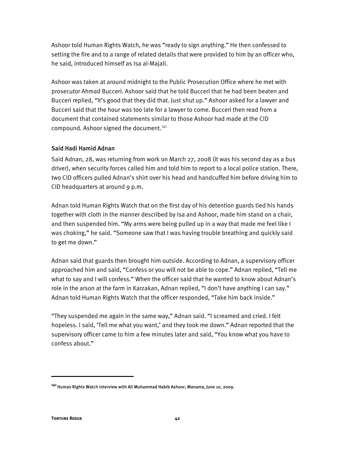Ashoor told Human Rights Watch, he was "ready to sign anything." He then confessed to setting the fire and to a range of related details that were provided to him by an officer who, he said, introduced himself as Isa al-Majali.

Ashoor was taken at around midnight to the Public Prosecution Office where he met with prosecutor Ahmad Bucceri. Ashoor said that he told Bucceri that he had been beaten and Bucceri replied, "It's good that they did that. Just shut up." Ashoor asked for a lawyer and Bucceri said that the hour was too late for a lawyer to come. Bucceri then read from a document that contained statements similar to those Ashoor had made at the CID compound. Ashoor signed the document.<sup>141</sup>

## Said Hadi Hamid Adnan

Said Adnan, 28, was returning from work on March 27, 2008 (it was his second day as a bus driver), when security forces called him and told him to report to a local police station. There, two CID officers pulled Adnan's shirt over his head and handcuffed him before driving him to CID headquarters at around 9 p.m.

Adnan told Human Rights Watch that on the first day of his detention guards tied his hands together with cloth in the manner described by Isa and Ashoor, made him stand on a chair, and then suspended him. "My arms were being pulled up in a way that made me feel like I was choking," he said. "Someone saw that I was having trouble breathing and quickly said to get me down."

Adnan said that guards then brought him outside. According to Adnan, a supervisory officer approached him and said, "Confess or you will not be able to cope." Adnan replied, "Tell me what to say and I will confess." When the officer said that he wanted to know about Adnan's role in the arson at the farm in Karzakan, Adnan replied, "I don't have anything I can say." Adnan told Human Rights Watch that the officer responded, "Take him back inside."

"They suspended me again in the same way," Adnan said. "I screamed and cried. I felt hopeless. I said, 'Tell me what you want,' and they took me down." Adnan reported that the supervisory officer came to him a few minutes later and said, "You know what you have to confess about."

**<sup>141</sup>**Human Rights Watch interview with Ali Muhammad Habib Ashoor, Manama, June 10, 2009.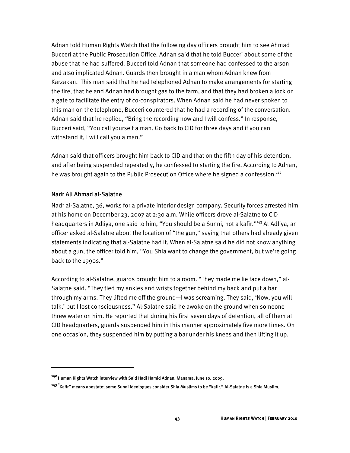Adnan told Human Rights Watch that the following day officers brought him to see Ahmad Bucceri at the Public Prosecution Office. Adnan said that he told Bucceri about some of the abuse that he had suffered. Bucceri told Adnan that someone had confessed to the arson and also implicated Adnan. Guards then brought in a man whom Adnan knew from Karzakan. This man said that he had telephoned Adnan to make arrangements for starting the fire, that he and Adnan had brought gas to the farm, and that they had broken a lock on a gate to facilitate the entry of co-conspirators. When Adnan said he had never spoken to this man on the telephone, Bucceri countered that he had a recording of the conversation. Adnan said that he replied, "Bring the recording now and I will confess." In response, Bucceri said, "You call yourself a man. Go back to CID for three days and if you can withstand it, I will call you a man."

Adnan said that officers brought him back to CID and that on the fifth day of his detention, and after being suspended repeatedly, he confessed to starting the fire. According to Adnan, he was brought again to the Public Prosecution Office where he signed a confession.<sup>142</sup>

### Nadr Ali Ahmad al-Salatne

:

Nadr al-Salatne, 36, works for a private interior design company. Security forces arrested him at his home on December 23, 2007 at 2:30 a.m. While officers drove al-Salatne to CID headquarters in Adliya, one said to him, "You should be a Sunni, not a kafir."<sup>143</sup> At Adliya, an officer asked al-Salatne about the location of "the gun," saying that others had already given statements indicating that al-Salatne had it. When al-Salatne said he did not know anything about a gun, the officer told him, "You Shia want to change the government, but we're going back to the 1990s."

According to al-Salatne, guards brought him to a room. "They made me lie face down," al-Salatne said. "They tied my ankles and wrists together behind my back and put a bar through my arms. They lifted me off the ground—I was screaming. They said, 'Now, you will talk,' but I lost consciousness." Al-Salatne said he awoke on the ground when someone threw water on him. He reported that during his first seven days of detention, all of them at CID headquarters, guards suspended him in this manner approximately five more times. On one occasion, they suspended him by putting a bar under his knees and then lifting it up.

**<sup>142</sup>**Human Rights Watch interview with Said Hadi Hamid Adnan, Manama, June 10, 2009.

**<sup>143 &</sup>quot;**Kafir" means apostate; some Sunni ideologues consider Shia Muslims to be "kafir." Al-Salatne is a Shia Muslim.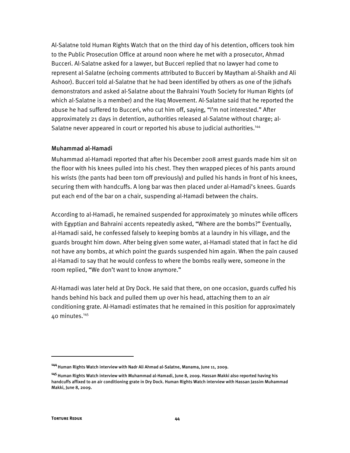Al-Salatne told Human Rights Watch that on the third day of his detention, officers took him to the Public Prosecution Office at around noon where he met with a prosecutor, Ahmad Bucceri. Al-Salatne asked for a lawyer, but Bucceri replied that no lawyer had come to represent al-Salatne (echoing comments attributed to Bucceri by Maytham al-Shaikh and Ali Ashoor). Bucceri told al-Salatne that he had been identified by others as one of the Jidhafs demonstrators and asked al-Salatne about the Bahraini Youth Society for Human Rights (of which al-Salatne is a member) and the Haq Movement. Al-Salatne said that he reported the abuse he had suffered to Bucceri, who cut him off, saying, "I'm not interested." After approximately 21 days in detention, authorities released al-Salatne without charge; al-Salatne never appeared in court or reported his abuse to judicial authorities.144

#### Muhammad al-Hamadi

Muhammad al-Hamadi reported that after his December 2008 arrest guards made him sit on the floor with his knees pulled into his chest. They then wrapped pieces of his pants around his wrists (the pants had been torn off previously) and pulled his hands in front of his knees, securing them with handcuffs. A long bar was then placed under al-Hamadi's knees. Guards put each end of the bar on a chair, suspending al-Hamadi between the chairs.

According to al-Hamadi, he remained suspended for approximately 30 minutes while officers with Egyptian and Bahraini accents repeatedly asked, "Where are the bombs?" Eventually, al-Hamadi said, he confessed falsely to keeping bombs at a laundry in his village, and the guards brought him down. After being given some water, al-Hamadi stated that in fact he did not have any bombs, at which point the guards suspended him again. When the pain caused al-Hamadi to say that he would confess to where the bombs really were, someone in the room replied, "We don't want to know anymore."

Al-Hamadi was later held at Dry Dock. He said that there, on one occasion, guards cuffed his hands behind his back and pulled them up over his head, attaching them to an air conditioning grate. Al-Hamadi estimates that he remained in this position for approximately  $40$  minutes.<sup>145</sup>

<sup>&</sup>lt;sup>144</sup> Human Rights Watch interview with Nadr Ali Ahmad al-Salatne, Manama, June 11, 2009.

**<sup>145</sup>**Human Rights Watch interview with Muhammad al-Hamadi, June 8, 2009. Hassan Makki also reported having his handcuffs affixed to an air conditioning grate in Dry Dock. Human Rights Watch interview with Hassan Jassim Muhammad Makki, June 8, 2009.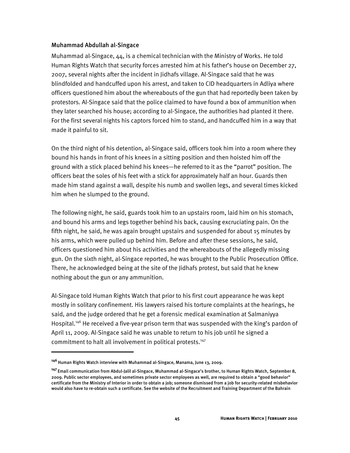#### Muhammad Abdullah al-Singace

Muhammad al-Singace, 44, is a chemical technician with the Ministry of Works. He told Human Rights Watch that security forces arrested him at his father's house on December 27, 2007, several nights after the incident in Jidhafs village. Al-Singace said that he was blindfolded and handcuffed upon his arrest, and taken to CID headquarters in Adliya where officers questioned him about the whereabouts of the gun that had reportedly been taken by protestors. Al-Singace said that the police claimed to have found a box of ammunition when they later searched his house; according to al-Singace, the authorities had planted it there. For the first several nights his captors forced him to stand, and handcuffed him in a way that made it painful to sit.

On the third night of his detention, al-Singace said, officers took him into a room where they bound his hands in front of his knees in a sitting position and then hoisted him off the ground with a stick placed behind his knees—he referred to it as the "parrot" position. The officers beat the soles of his feet with a stick for approximately half an hour. Guards then made him stand against a wall, despite his numb and swollen legs, and several times kicked him when he slumped to the ground.

The following night, he said, guards took him to an upstairs room, laid him on his stomach, and bound his arms and legs together behind his back, causing excruciating pain. On the fifth night, he said, he was again brought upstairs and suspended for about 15 minutes by his arms, which were pulled up behind him. Before and after these sessions, he said, officers questioned him about his activities and the whereabouts of the allegedly missing gun. On the sixth night, al-Singace reported, he was brought to the Public Prosecution Office. There, he acknowledged being at the site of the Jidhafs protest, but said that he knew nothing about the gun or any ammunition.

Al-Singace told Human Rights Watch that prior to his first court appearance he was kept mostly in solitary confinement. His lawyers raised his torture complaints at the hearings, he said, and the judge ordered that he get a forensic medical examination at Salmaniyya Hospital.<sup>146</sup> He received a five-year prison term that was suspended with the king's pardon of April 11, 2009. Al-Singace said he was unable to return to his job until he signed a commitment to halt all involvement in political protests.<sup>147</sup>

İ

**<sup>146</sup>**Human Rights Watch interview with Muhammad al-Singace, Manama, June 13, 2009.

**<sup>147</sup>**Email communication from Abdul-Jalil al-Singace, Muhammad al-Singace's brother, to Human Rights Watch, September 8, 2009. Public sector employees, and sometimes private sector employees as well, are required to obtain a "good behavior" certificate from the Ministry of Interior in order to obtain a job; someone dismissed from a job for security-related misbehavior would also have to re-obtain such a certificate. See the website of the Recruitment and Training Department of the Bahrain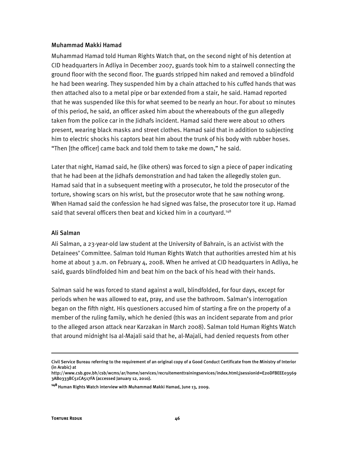#### Muhammad Makki Hamad

Muhammad Hamad told Human Rights Watch that, on the second night of his detention at CID headquarters in Adliya in December 2007, guards took him to a stairwell connecting the ground floor with the second floor. The guards stripped him naked and removed a blindfold he had been wearing. They suspended him by a chain attached to his cuffed hands that was then attached also to a metal pipe or bar extended from a stair, he said. Hamad reported that he was suspended like this for what seemed to be nearly an hour. For about 10 minutes of this period, he said, an officer asked him about the whereabouts of the gun allegedly taken from the police car in the Jidhafs incident. Hamad said there were about 10 others present, wearing black masks and street clothes. Hamad said that in addition to subjecting him to electric shocks his captors beat him about the trunk of his body with rubber hoses. "Then [the officer] came back and told them to take me down," he said.

Later that night, Hamad said, he (like others) was forced to sign a piece of paper indicating that he had been at the Jidhafs demonstration and had taken the allegedly stolen gun. Hamad said that in a subsequent meeting with a prosecutor, he told the prosecutor of the torture, showing scars on his wrist, but the prosecutor wrote that he saw nothing wrong. When Hamad said the confession he had signed was false, the prosecutor tore it up. Hamad said that several officers then beat and kicked him in a courtyard.<sup>148</sup>

### Ali Salman

Ali Salman, a 23-year-old law student at the University of Bahrain, is an activist with the Detainees' Committee. Salman told Human Rights Watch that authorities arrested him at his home at about 3 a.m. on February 4, 2008. When he arrived at CID headquarters in Adliya, he said, guards blindfolded him and beat him on the back of his head with their hands.

Salman said he was forced to stand against a wall, blindfolded, for four days, except for periods when he was allowed to eat, pray, and use the bathroom. Salman's interrogation began on the fifth night. His questioners accused him of starting a fire on the property of a member of the ruling family, which he denied (this was an incident separate from and prior to the alleged arson attack near Karzakan in March 2008). Salman told Human Rights Watch that around midnight Isa al-Majali said that he, al-Majali, had denied requests from other

1

Civil Service Bureau referring to the requirement of an original copy of a Good Conduct Certificate from the Ministry of Interior (in Arabic) at

http://www.csb.gov.bh/csb/wcms/ar/home/services/recruitementtrainingservices/index.html;jsessionid=E20DFBEEE03569 3AB0333BC51CA517FA (accessed January 12, 2010).

**<sup>148</sup>**Human Rights Watch interview with Muhammad Makki Hamad, June 13, 2009.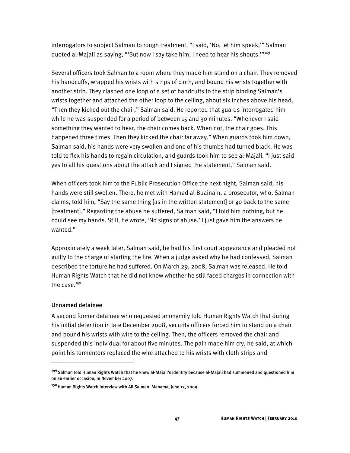interrogators to subject Salman to rough treatment. "I said, 'No, let him speak,'" Salman quoted al-Majali as saying, "'But now I say take him, I need to hear his shouts.'"149

Several officers took Salman to a room where they made him stand on a chair. They removed his handcuffs, wrapped his wrists with strips of cloth, and bound his wrists together with another strip. They clasped one loop of a set of handcuffs to the strip binding Salman's wrists together and attached the other loop to the ceiling, about six inches above his head. "Then they kicked out the chair," Salman said. He reported that guards interrogated him while he was suspended for a period of between 15 and 30 minutes. "Whenever I said something they wanted to hear, the chair comes back. When not, the chair goes. This happened three times. Then they kicked the chair far away." When guards took him down, Salman said, his hands were very swollen and one of his thumbs had turned black. He was told to flex his hands to regain circulation, and guards took him to see al-Majali. "I just said yes to all his questions about the attack and I signed the statement," Salman said.

When officers took him to the Public Prosecution Office the next night, Salman said, his hands were still swollen. There, he met with Hamad al-Buainain, a prosecutor, who, Salman claims, told him, "Say the same thing [as in the written statement] or go back to the same [treatment]." Regarding the abuse he suffered, Salman said, "I told him nothing, but he could see my hands. Still, he wrote, 'No signs of abuse.' I just gave him the answers he wanted."

Approximately a week later, Salman said, he had his first court appearance and pleaded not guilty to the charge of starting the fire. When a judge asked why he had confessed, Salman described the torture he had suffered. On March 29, 2008, Salman was released. He told Human Rights Watch that he did not know whether he still faced charges in connection with the case. $150$ 

### Unnamed detainee

ֺ

A second former detainee who requested anonymity told Human Rights Watch that during his initial detention in late December 2008, security officers forced him to stand on a chair and bound his wrists with wire to the ceiling. Then, the officers removed the chair and suspended this individual for about five minutes. The pain made him cry, he said, at which point his tormentors replaced the wire attached to his wrists with cloth strips and

**<sup>149</sup>**Salman told Human Rights Watch that he knew al-Majali's identity because al-Majali had summoned and questioned him on an earlier occasion, in November 2007.

**<sup>150</sup>**Human Rights Watch interview with Ali Salman, Manama, June 13, 2009.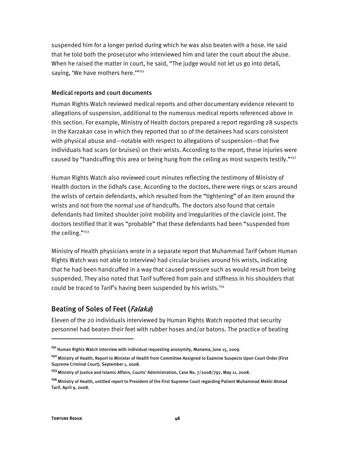suspended him for a longer period during which he was also beaten with a hose. He said that he told both the prosecutor who interviewed him and later the court about the abuse. When he raised the matter in court, he said, "The judge would not let us go into detail, saying, 'We have mothers here.""<sup>151</sup>

### Medical reports and court documents

Human Rights Watch reviewed medical reports and other documentary evidence relevant to allegations of suspension, additional to the numerous medical reports referenced above in this section. For example, Ministry of Health doctors prepared a report regarding 28 suspects in the Karzakan case in which they reported that 10 of the detainees had scars consistent with physical abuse and—notable with respect to allegations of suspension—that five individuals had scars (or bruises) on their wrists. According to the report, these injuries were caused by "handcuffing this area or being hung from the ceiling as most suspects testify."<sup>152</sup>

Human Rights Watch also reviewed court minutes reflecting the testimony of Ministry of Health doctors in the Jidhafs case. According to the doctors, there were rings or scars around the wrists of certain defendants, which resulted from the "tightening" of an item around the wrists and not from the normal use of handcuffs. The doctors also found that certain defendants had limited shoulder joint mobility and irregularities of the clavicle joint. The doctors testified that it was "probable" that these defendants had been "suspended from the ceiling."<sup>153</sup>

Ministry of Health physicians wrote in a separate report that Muhammad Tarif (whom Human Rights Watch was not able to interview) had circular bruises around his wrists, indicating that he had been handcuffed in a way that caused pressure such as would result from being suspended. They also noted that Tarif suffered from pain and stiffness in his shoulders that could be traced to Tarif's having been suspended by his wrists.<sup>154</sup>

## Beating of Soles of Feet (Falaka)

Eleven of the 20 individuals interviewed by Human Rights Watch reported that security personnel had beaten their feet with rubber hoses and/or batons. The practice of beating

I

**<sup>151</sup>**Human Rights Watch interview with individual requesting anonymity, Manama, June 15, 2009.

**<sup>152</sup>**Ministry of Health, Report to Minister of Health from Committee Assigned to Examine Suspects Upon Court Order (First Supreme Criminal Court), September 1, 2008.

**<sup>153</sup>**Ministry of Justice and Islamic Affairs, Courts' Administration, Case No. 7/2008/797, May 11, 2008.

**<sup>154</sup>**Ministry of Health, untitled report to President of the First Supreme Court regarding Patient Muhammad Mekki Ahmad Tarif, April 9, 2008.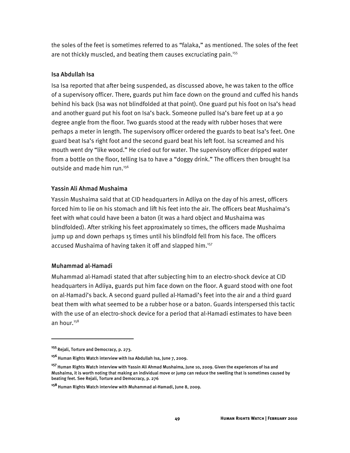the soles of the feet is sometimes referred to as "falaka," as mentioned. The soles of the feet are not thickly muscled, and beating them causes excruciating pain.<sup>155</sup>

## Isa Abdullah Isa

Isa Isa reported that after being suspended, as discussed above, he was taken to the office of a supervisory officer. There, guards put him face down on the ground and cuffed his hands behind his back (Isa was not blindfolded at that point). One guard put his foot on Isa's head and another guard put his foot on Isa's back. Someone pulled Isa's bare feet up at a 90 degree angle from the floor. Two guards stood at the ready with rubber hoses that were perhaps a meter in length. The supervisory officer ordered the guards to beat Isa's feet. One guard beat Isa's right foot and the second guard beat his left foot. Isa screamed and his mouth went dry "like wood." He cried out for water. The supervisory officer dripped water from a bottle on the floor, telling Isa to have a "doggy drink." The officers then brought Isa outside and made him run.<sup>156</sup>

## Yassin Ali Ahmad Mushaima

Yassin Mushaima said that at CID headquarters in Adliya on the day of his arrest, officers forced him to lie on his stomach and lift his feet into the air. The officers beat Mushaima's feet with what could have been a baton (it was a hard object and Mushaima was blindfolded). After striking his feet approximately 10 times, the officers made Mushaima jump up and down perhaps 15 times until his blindfold fell from his face. The officers accused Mushaima of having taken it off and slapped him.<sup>157</sup>

## Muhammad al-Hamadi

Muhammad al-Hamadi stated that after subjecting him to an electro-shock device at CID headquarters in Adliya, guards put him face down on the floor. A guard stood with one foot on al-Hamadi's back. A second guard pulled al-Hamadi's feet into the air and a third guard beat them with what seemed to be a rubber hose or a baton. Guards interspersed this tactic with the use of an electro-shock device for a period that al-Hamadi estimates to have been an hour.<sup>158</sup>

I

**<sup>155</sup>**Rejali, Torture and Democracy, p. 273.

<sup>&</sup>lt;sup>156</sup> Human Rights Watch interview with Isa Abdullah Isa, June 7, 2009.

**<sup>157</sup>**Human Rights Watch interview with Yassin Ali Ahmad Mushaima, June 10, 2009. Given the experiences of Isa and Mushaima, it is worth noting that making an individual move or jump can reduce the swelling that is sometimes caused by beating feet. See Rejali, Torture and Democracy, p. 276

**<sup>158</sup>**Human Rights Watch interview with Muhammad al-Hamadi, June 8, 2009.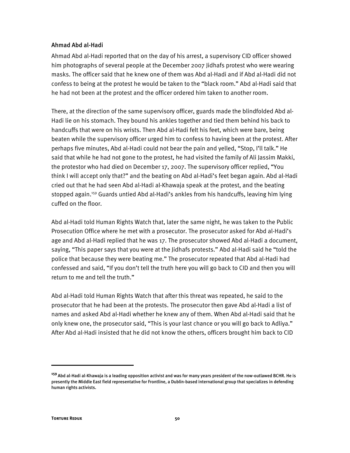#### Ahmad Abd al-Hadi

Ahmad Abd al-Hadi reported that on the day of his arrest, a supervisory CID officer showed him photographs of several people at the December 2007 Jidhafs protest who were wearing masks. The officer said that he knew one of them was Abd al-Hadi and if Abd al-Hadi did not confess to being at the protest he would be taken to the "black room." Abd al-Hadi said that he had not been at the protest and the officer ordered him taken to another room.

There, at the direction of the same supervisory officer, guards made the blindfolded Abd al-Hadi lie on his stomach. They bound his ankles together and tied them behind his back to handcuffs that were on his wrists. Then Abd al-Hadi felt his feet, which were bare, being beaten while the supervisory officer urged him to confess to having been at the protest. After perhaps five minutes, Abd al-Hadi could not bear the pain and yelled, "Stop, I'll talk." He said that while he had not gone to the protest, he had visited the family of Ali Jassim Makki, the protestor who had died on December 17, 2007. The supervisory officer replied, "You think I will accept only that?" and the beating on Abd al-Hadi's feet began again. Abd al-Hadi cried out that he had seen Abd al-Hadi al-Khawaja speak at the protest, and the beating stopped again.159 Guards untied Abd al-Hadi's ankles from his handcuffs, leaving him lying cuffed on the floor.

Abd al-Hadi told Human Rights Watch that, later the same night, he was taken to the Public Prosecution Office where he met with a prosecutor. The prosecutor asked for Abd al-Hadi's age and Abd al-Hadi replied that he was 17. The prosecutor showed Abd al-Hadi a document, saying, "This paper says that you were at the Jidhafs protests." Abd al-Hadi said he "told the police that because they were beating me." The prosecutor repeated that Abd al-Hadi had confessed and said, "If you don't tell the truth here you will go back to CID and then you will return to me and tell the truth."

Abd al-Hadi told Human Rights Watch that after this threat was repeated, he said to the prosecutor that he had been at the protests. The prosecutor then gave Abd al-Hadi a list of names and asked Abd al-Hadi whether he knew any of them. When Abd al-Hadi said that he only knew one, the prosecutor said, "This is your last chance or you will go back to Adliya." After Abd al-Hadi insisted that he did not know the others, officers brought him back to CID

İ

**<sup>159</sup>**Abd al-Hadi al-Khawaja is a leading opposition activist and was for many years president of the now-outlawed BCHR. He is presently the Middle East field representative for Frontline, a Dublin-based international group that specializes in defending human rights activists.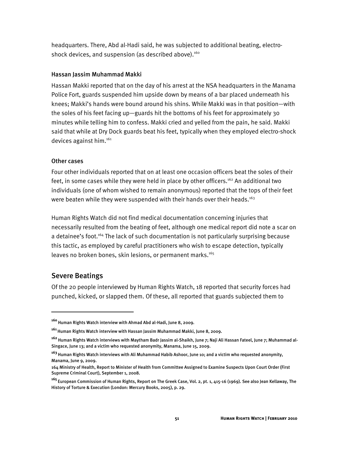headquarters. There, Abd al-Hadi said, he was subjected to additional beating, electroshock devices, and suspension (as described above).<sup>160</sup>

## Hassan Jassim Muhammad Makki

Hassan Makki reported that on the day of his arrest at the NSA headquarters in the Manama Police Fort, guards suspended him upside down by means of a bar placed underneath his knees; Makki's hands were bound around his shins. While Makki was in that position—with the soles of his feet facing up—guards hit the bottoms of his feet for approximately 30 minutes while telling him to confess. Makki cried and yelled from the pain, he said. Makki said that while at Dry Dock guards beat his feet, typically when they employed electro-shock devices against him.<sup>161</sup>

## Other cases

Four other individuals reported that on at least one occasion officers beat the soles of their feet, in some cases while they were held in place by other officers.<sup>162</sup> An additional two individuals (one of whom wished to remain anonymous) reported that the tops of their feet were beaten while they were suspended with their hands over their heads.<sup>163</sup>

Human Rights Watch did not find medical documentation concerning injuries that necessarily resulted from the beating of feet, although one medical report did note a scar on a detainee's foot.<sup>164</sup> The lack of such documentation is not particularly surprising because this tactic, as employed by careful practitioners who wish to escape detection, typically leaves no broken bones, skin lesions, or permanent marks.<sup>165</sup>

# Severe Beatings

ֺ

Of the 20 people interviewed by Human Rights Watch, 18 reported that security forces had punched, kicked, or slapped them. Of these, all reported that guards subjected them to

**<sup>160</sup>**Human Rights Watch interview with Ahmad Abd al-Hadi, June 8, 2009.

**<sup>161</sup>**Human Rights Watch interview with Hassan Jassim Muhammad Makki, June 8, 2009.

**<sup>162</sup>**Human Rights Watch interviews with Maytham Badr Jassim al-Shaikh, June 7; Naji Ali Hassan Fateel, June 7; Muhammad al-Singace, June 13; and a victim who requested anonymity, Manama, June 15, 2009.

**<sup>163</sup>**Human Rights Watch interviews with Ali Muhammad Habib Ashoor, June 10; and a victim who requested anonymity, Manama, June 9, 2009.

<sup>164</sup> Ministry of Health, Report to Minister of Health from Committee Assigned to Examine Suspects Upon Court Order (First Supreme Criminal Court), September 1, 2008.

**<sup>165</sup>**European Commission of Human Rights, Report on The Greek Case, Vol. 2, pt. 1, 415-16 (1969). See also Jean Kellaway, The History of Torture & Execution (London: Mercury Books, 2005), p. 29.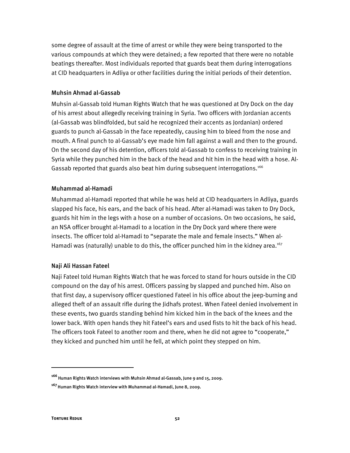some degree of assault at the time of arrest or while they were being transported to the various compounds at which they were detained; a few reported that there were no notable beatings thereafter. Most individuals reported that guards beat them during interrogations at CID headquarters in Adliya or other facilities during the initial periods of their detention.

## Muhsin Ahmad al-Gassab

Muhsin al-Gassab told Human Rights Watch that he was questioned at Dry Dock on the day of his arrest about allegedly receiving training in Syria. Two officers with Jordanian accents (al-Gassab was blindfolded, but said he recognized their accents as Jordanian) ordered guards to punch al-Gassab in the face repeatedly, causing him to bleed from the nose and mouth. A final punch to al-Gassab's eye made him fall against a wall and then to the ground. On the second day of his detention, officers told al-Gassab to confess to receiving training in Syria while they punched him in the back of the head and hit him in the head with a hose. Al-Gassab reported that guards also beat him during subsequent interrogations.<sup>166</sup>

## Muhammad al-Hamadi

Muhammad al-Hamadi reported that while he was held at CID headquarters in Adliya, guards slapped his face, his ears, and the back of his head. After al-Hamadi was taken to Dry Dock, guards hit him in the legs with a hose on a number of occasions. On two occasions, he said, an NSA officer brought al-Hamadi to a location in the Dry Dock yard where there were insects. The officer told al-Hamadi to "separate the male and female insects." When al-Hamadi was (naturally) unable to do this, the officer punched him in the kidney area.<sup>167</sup>

## Naji Ali Hassan Fateel

Naji Fateel told Human Rights Watch that he was forced to stand for hours outside in the CID compound on the day of his arrest. Officers passing by slapped and punched him. Also on that first day, a supervisory officer questioned Fateel in his office about the jeep-burning and alleged theft of an assault rifle during the Jidhafs protest. When Fateel denied involvement in these events, two guards standing behind him kicked him in the back of the knees and the lower back. With open hands they hit Fateel's ears and used fists to hit the back of his head. The officers took Fateel to another room and there, when he did not agree to "cooperate," they kicked and punched him until he fell, at which point they stepped on him.

:

**<sup>166</sup>**Human Rights Watch interviews with Muhsin Ahmad al-Gassab, June 9 and 15, 2009.

**<sup>167</sup>**Human Rights Watch interview with Muhammad al-Hamadi, June 8, 2009.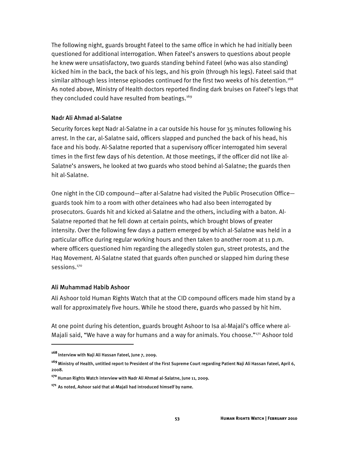The following night, guards brought Fateel to the same office in which he had initially been questioned for additional interrogation. When Fateel's answers to questions about people he knew were unsatisfactory, two guards standing behind Fateel (who was also standing) kicked him in the back, the back of his legs, and his groin (through his legs). Fateel said that similar although less intense episodes continued for the first two weeks of his detention.<sup>168</sup> As noted above, Ministry of Health doctors reported finding dark bruises on Fateel's legs that they concluded could have resulted from beatings.<sup>169</sup>

### Nadr Ali Ahmad al-Salatne

Security forces kept Nadr al-Salatne in a car outside his house for 35 minutes following his arrest. In the car, al-Salatne said, officers slapped and punched the back of his head, his face and his body. Al-Salatne reported that a supervisory officer interrogated him several times in the first few days of his detention. At those meetings, if the officer did not like al-Salatne's answers, he looked at two guards who stood behind al-Salatne; the guards then hit al-Salatne.

One night in the CID compound—after al-Salatne had visited the Public Prosecution Office guards took him to a room with other detainees who had also been interrogated by prosecutors. Guards hit and kicked al-Salatne and the others, including with a baton. Al-Salatne reported that he fell down at certain points, which brought blows of greater intensity. Over the following few days a pattern emerged by which al-Salatne was held in a particular office during regular working hours and then taken to another room at 11 p.m. where officers questioned him regarding the allegedly stolen gun, street protests, and the Haq Movement. Al-Salatne stated that guards often punched or slapped him during these sessions.<sup>170</sup>

### Ali Muhammad Habib Ashoor

 $\overline{a}$ 

Ali Ashoor told Human Rights Watch that at the CID compound officers made him stand by a wall for approximately five hours. While he stood there, guards who passed by hit him.

At one point during his detention, guards brought Ashoor to Isa al-Majali's office where al-Majali said, "We have a way for humans and a way for animals. You choose."<sup>171</sup> Ashoor told

**<sup>168</sup>**Interview with Naji Ali Hassan Fateel, June 7, 2009.

**<sup>169</sup>**Ministry of Health, untitled report to President of the First Supreme Court regarding Patient Naji Ali Hassan Fateel, April 6, 2008.

**<sup>170</sup>**Human Rights Watch interview with Nadr Ali Ahmad al-Salatne, June 11, 2009.

**<sup>171</sup>**As noted, Ashoor said that al-Majali had introduced himself by name.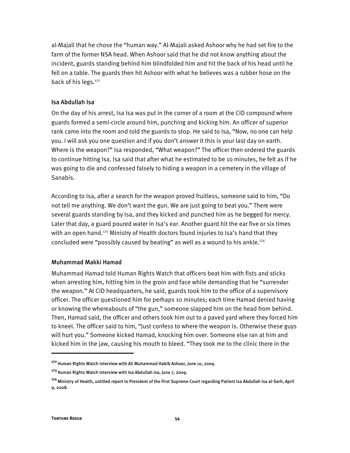al-Majali that he chose the "human way." Al-Majali asked Ashoor why he had set fire to the farm of the former NSA head. When Ashoor said that he did not know anything about the incident, guards standing behind him blindfolded him and hit the back of his head until he fell on a table. The guards then hit Ashoor with what he believes was a rubber hose on the back of his legs.<sup>172</sup>

### Isa Abdullah Isa

On the day of his arrest, Isa Isa was put in the corner of a room at the CID compound where guards formed a semi-circle around him, punching and kicking him. An officer of superior rank came into the room and told the guards to stop. He said to Isa, "Now, no one can help you. I will ask you one question and if you don't answer it this is your last day on earth. Where is the weapon?" Isa responded, "What weapon?" The officer then ordered the guards to continue hitting Isa. Isa said that after what he estimated to be 10 minutes, he felt as if he was going to die and confessed falsely to hiding a weapon in a cemetery in the village of Sanabis.

According to Isa, after a search for the weapon proved fruitless, someone said to him, "Do not tell me anything. We don't want the gun. We are just going to beat you." There were several guards standing by Isa, and they kicked and punched him as he begged for mercy. Later that day, a guard poured water in Isa's ear. Another guard hit the ear five or six times with an open hand.<sup>173</sup> Ministry of Health doctors found injuries to Isa's hand that they concluded were "possibly caused by beating" as well as a wound to his ankle.<sup>174</sup>

### Muhammad Makki Hamad

Muhammad Hamad told Human Rights Watch that officers beat him with fists and sticks when arresting him, hitting him in the groin and face while demanding that he "surrender the weapon." At CID headquarters, he said, guards took him to the office of a supervisory officer. The officer questioned him for perhaps 10 minutes; each time Hamad denied having or knowing the whereabouts of "the gun," someone slapped him on the head from behind. Then, Hamad said, the officer and others took him out to a paved yard where they forced him to kneel. The officer said to him, "Just confess to where the weapon is. Otherwise these guys will hurt you." Someone kicked Hamad, knocking him over. Someone else ran at him and kicked him in the jaw, causing his mouth to bleed. "They took me to the clinic there in the

:

**<sup>172</sup>**Human Rights Watch interview with Ali Muhammad Habib Ashoor, June 10, 2009.

**<sup>173</sup>**Human Rights Watch interview with Isa Abdullah Isa, June 7, 2009.

**<sup>174</sup>**Ministry of Health, untitled report to President of the First Supreme Court regarding Patient Isa Abdullah Isa al-Sarh, April 9, 2008.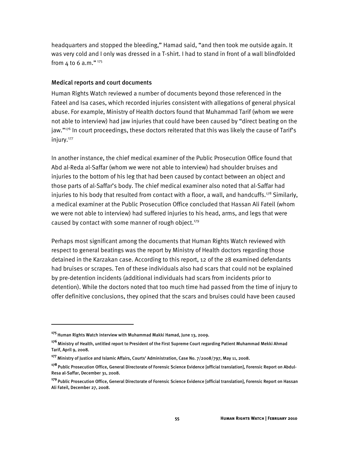headquarters and stopped the bleeding," Hamad said, "and then took me outside again. It was very cold and I only was dressed in a T-shirt. I had to stand in front of a wall blindfolded from  $4$  to 6 a.m." $175$ 

#### Medical reports and court documents

Human Rights Watch reviewed a number of documents beyond those referenced in the Fateel and Isa cases, which recorded injuries consistent with allegations of general physical abuse. For example, Ministry of Health doctors found that Muhammad Tarif (whom we were not able to interview) had jaw injuries that could have been caused by "direct beating on the jaw."<sup>176</sup> In court proceedings, these doctors reiterated that this was likely the cause of Tarif's injury.177

In another instance, the chief medical examiner of the Public Prosecution Office found that Abd al-Reda al-Saffar (whom we were not able to interview) had shoulder bruises and injuries to the bottom of his leg that had been caused by contact between an object and those parts of al-Saffar's body. The chief medical examiner also noted that al-Saffar had injuries to his body that resulted from contact with a floor, a wall, and handcuffs.<sup>178</sup> Similarly, a medical examiner at the Public Prosecution Office concluded that Hassan Ali Fateil (whom we were not able to interview) had suffered injuries to his head, arms, and legs that were caused by contact with some manner of rough object.<sup>179</sup>

Perhaps most significant among the documents that Human Rights Watch reviewed with respect to general beatings was the report by Ministry of Health doctors regarding those detained in the Karzakan case. According to this report, 12 of the 28 examined defendants had bruises or scrapes. Ten of these individuals also had scars that could not be explained by pre-detention incidents (additional individuals had scars from incidents prior to detention). While the doctors noted that too much time had passed from the time of injury to offer definitive conclusions, they opined that the scars and bruises could have been caused

I

**<sup>175</sup>**Human Rights Watch interview with Muhammad Makki Hamad, June 13, 2009.

**<sup>176</sup>**Ministry of Health, untitled report to President of the First Supreme Court regarding Patient Muhammad Mekki Ahmad Tarif, April 9, 2008.

**<sup>177</sup>**Ministry of Justice and Islamic Affairs, Courts' Administration, Case No. 7/2008/797, May 11, 2008.

**<sup>178</sup>**Public Prosecution Office, General Directorate of Forensic Science Evidence [official translation], Forensic Report on Abdul-Resa al-Saffar, December 31, 2008.

**<sup>179</sup>**Public Prosecution Office, General Directorate of Forensic Science Evidence [official translation], Forensic Report on Hassan Ali Fateil, December 27, 2008.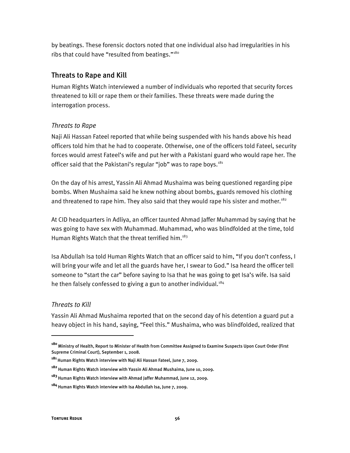by beatings. These forensic doctors noted that one individual also had irregularities in his ribs that could have "resulted from beatings."<sup>180</sup>

## Threats to Rape and Kill

Human Rights Watch interviewed a number of individuals who reported that security forces threatened to kill or rape them or their families. These threats were made during the interrogation process.

## *Threats to Rape*

Naji Ali Hassan Fateel reported that while being suspended with his hands above his head officers told him that he had to cooperate. Otherwise, one of the officers told Fateel, security forces would arrest Fateel's wife and put her with a Pakistani guard who would rape her. The officer said that the Pakistani's regular "job" was to rape boys. $181$ 

On the day of his arrest, Yassin Ali Ahmad Mushaima was being questioned regarding pipe bombs. When Mushaima said he knew nothing about bombs, guards removed his clothing and threatened to rape him. They also said that they would rape his sister and mother.<sup>182</sup>

At CID headquarters in Adliya, an officer taunted Ahmad Jaffer Muhammad by saying that he was going to have sex with Muhammad. Muhammad, who was blindfolded at the time, told Human Rights Watch that the threat terrified him.<sup>183</sup>

Isa Abdullah Isa told Human Rights Watch that an officer said to him, "If you don't confess, I will bring your wife and let all the guards have her, I swear to God." Isa heard the officer tell someone to "start the car" before saying to Isa that he was going to get Isa's wife. Isa said he then falsely confessed to giving a gun to another individual.<sup>184</sup>

## *Threats to Kill*

I

Yassin Ali Ahmad Mushaima reported that on the second day of his detention a guard put a heavy object in his hand, saying, "Feel this." Mushaima, who was blindfolded, realized that

**<sup>180</sup>**Ministry of Health, Report to Minister of Health from Committee Assigned to Examine Suspects Upon Court Order (First Supreme Criminal Court), September 1, 2008.

**<sup>181</sup>**Human Rights Watch interview with Naji Ali Hassan Fateel, June 7, 2009.

**<sup>182</sup>**Human Rights Watch interview with Yassin Ali Ahmad Mushaima, June 10, 2009.

**<sup>183</sup>**Human Rights Watch interview with Ahmad Jaffer Muhammad, June 12, 2009.

**<sup>184</sup>**Human Rights Watch interview with Isa Abdullah Isa, June 7, 2009.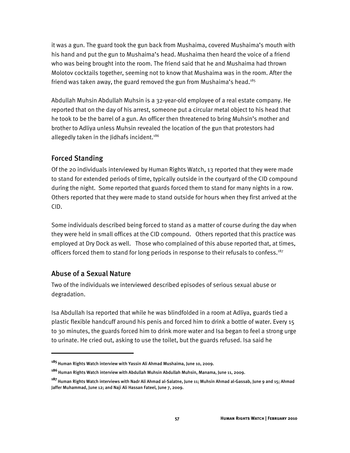it was a gun. The guard took the gun back from Mushaima, covered Mushaima's mouth with his hand and put the gun to Mushaima's head. Mushaima then heard the voice of a friend who was being brought into the room. The friend said that he and Mushaima had thrown Molotov cocktails together, seeming not to know that Mushaima was in the room. After the friend was taken away, the guard removed the gun from Mushaima's head.<sup>185</sup>

Abdullah Muhsin Abdullah Muhsin is a 32-year-old employee of a real estate company. He reported that on the day of his arrest, someone put a circular metal object to his head that he took to be the barrel of a gun. An officer then threatened to bring Muhsin's mother and brother to Adliya unless Muhsin revealed the location of the gun that protestors had allegedly taken in the Jidhafs incident.<sup>186</sup>

## Forced Standing

Of the 20 individuals interviewed by Human Rights Watch, 13 reported that they were made to stand for extended periods of time, typically outside in the courtyard of the CID compound during the night. Some reported that guards forced them to stand for many nights in a row. Others reported that they were made to stand outside for hours when they first arrived at the CID.

Some individuals described being forced to stand as a matter of course during the day when they were held in small offices at the CID compound. Others reported that this practice was employed at Dry Dock as well. Those who complained of this abuse reported that, at times, officers forced them to stand for long periods in response to their refusals to confess.<sup>187</sup>

# Abuse of a Sexual Nature

ֺ

Two of the individuals we interviewed described episodes of serious sexual abuse or degradation.

Isa Abdullah Isa reported that while he was blindfolded in a room at Adliya, guards tied a plastic flexible handcuff around his penis and forced him to drink a bottle of water. Every 15 to 30 minutes, the guards forced him to drink more water and Isa began to feel a strong urge to urinate. He cried out, asking to use the toilet, but the guards refused. Isa said he

**<sup>185</sup>**Human Rights Watch interview with Yassin Ali Ahmad Mushaima, June 10, 2009.

**<sup>186</sup>**Human Rights Watch interview with Abdullah Muhsin Abdullah Muhsin, Manama, June 11, 2009.

**<sup>187</sup>**Human Rights Watch interviews with Nadr Ali Ahmad al-Salatne, June 11; Muhsin Ahmad al-Gassab, June 9 and 15; Ahmad Jaffer Muhammad, June 12; and Naji Ali Hassan Fateel, June 7, 2009.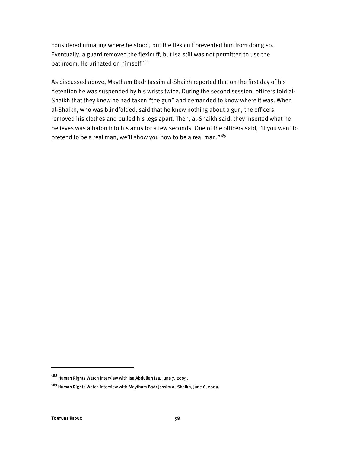considered urinating where he stood, but the flexicuff prevented him from doing so. Eventually, a guard removed the flexicuff, but Isa still was not permitted to use the bathroom. He urinated on himself.<sup>188</sup>

As discussed above, Maytham Badr Jassim al-Shaikh reported that on the first day of his detention he was suspended by his wrists twice. During the second session, officers told al-Shaikh that they knew he had taken "the gun" and demanded to know where it was. When al-Shaikh, who was blindfolded, said that he knew nothing about a gun, the officers removed his clothes and pulled his legs apart. Then, al-Shaikh said, they inserted what he believes was a baton into his anus for a few seconds. One of the officers said, "If you want to pretend to be a real man, we'll show you how to be a real man."<sup>189</sup>

**<sup>188</sup>**Human Rights Watch interview with Isa Abdullah Isa, June 7, 2009.

**<sup>189</sup>**Human Rights Watch interview with Maytham Badr Jassim al-Shaikh, June 6, 2009.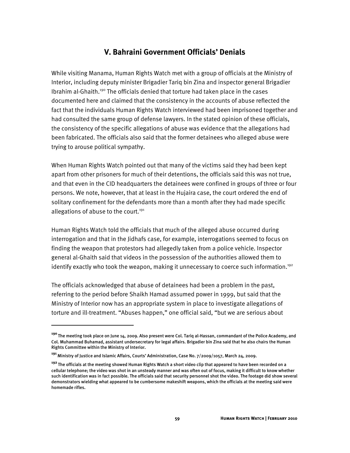# **V. Bahraini Government Officials' Denials**

While visiting Manama, Human Rights Watch met with a group of officials at the Ministry of Interior, including deputy minister Brigadier Tariq bin Zina and inspector general Brigadier Ibrahim al-Ghaith.<sup>190</sup> The officials denied that torture had taken place in the cases documented here and claimed that the consistency in the accounts of abuse reflected the fact that the individuals Human Rights Watch interviewed had been imprisoned together and had consulted the same group of defense lawyers. In the stated opinion of these officials, the consistency of the specific allegations of abuse was evidence that the allegations had been fabricated. The officials also said that the former detainees who alleged abuse were trying to arouse political sympathy.

When Human Rights Watch pointed out that many of the victims said they had been kept apart from other prisoners for much of their detentions, the officials said this was not true, and that even in the CID headquarters the detainees were confined in groups of three or four persons. We note, however, that at least in the Hujaira case, the court ordered the end of solitary confinement for the defendants more than a month after they had made specific allegations of abuse to the court.<sup>191</sup>

Human Rights Watch told the officials that much of the alleged abuse occurred during interrogation and that in the Jidhafs case, for example, interrogations seemed to focus on finding the weapon that protestors had allegedly taken from a police vehicle. Inspector general al-Ghaith said that videos in the possession of the authorities allowed them to identify exactly who took the weapon, making it unnecessary to coerce such information.<sup>192</sup>

The officials acknowledged that abuse of detainees had been a problem in the past, referring to the period before Shaikh Hamad assumed power in 1999, but said that the Ministry of Interior now has an appropriate system in place to investigate allegations of torture and ill-treatment. "Abuses happen," one official said, "but we are serious about

İ

**<sup>190</sup>**The meeting took place on June 14, 2009. Also present were Col. Tariq al-Hassan, commandant of the Police Academy, and Col. Muhammad Buhamad, assistant undersecretary for legal affairs. Brigadier bin Zina said that he also chairs the Human Rights Committee within the Ministry of Interior.

**<sup>191</sup>**Ministry of Justice and Islamic Affairs, Courts' Administration, Case No. 7/2009/1057, March 24, 2009.

**<sup>192</sup>**The officials at the meeting showed Human Rights Watch a short video clip that appeared to have been recorded on a cellular telephone; the video was shot in an unsteady manner and was often out of focus, making it difficult to know whether such identification was in fact possible. The officials said that security personnel shot the video. The footage did show several demonstrators wielding what appeared to be cumbersome makeshift weapons, which the officials at the meeting said were homemade rifles.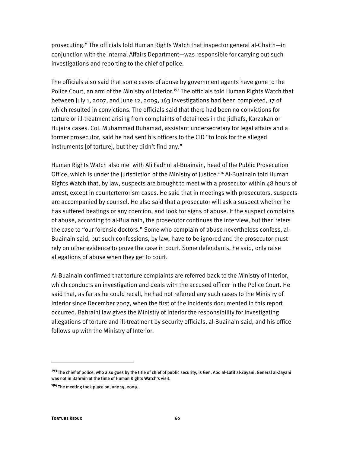prosecuting." The officials told Human Rights Watch that inspector general al-Ghaith—in conjunction with the Internal Affairs Department—was responsible for carrying out such investigations and reporting to the chief of police.

The officials also said that some cases of abuse by government agents have gone to the Police Court, an arm of the Ministry of Interior.<sup>193</sup> The officials told Human Rights Watch that between July 1, 2007, and June 12, 2009, 163 investigations had been completed, 17 of which resulted in convictions. The officials said that there had been no convictions for torture or ill-treatment arising from complaints of detainees in the Jidhafs, Karzakan or Hujaira cases. Col. Muhammad Buhamad, assistant undersecretary for legal affairs and a former prosecutor, said he had sent his officers to the CID "to look for the alleged instruments [of torture], but they didn't find any."

Human Rights Watch also met with Ali Fadhul al-Buainain, head of the Public Prosecution Office, which is under the jurisdiction of the Ministry of Justice.194 Al-Buainain told Human Rights Watch that, by law, suspects are brought to meet with a prosecutor within 48 hours of arrest, except in counterterrorism cases. He said that in meetings with prosecutors, suspects are accompanied by counsel. He also said that a prosecutor will ask a suspect whether he has suffered beatings or any coercion, and look for signs of abuse. If the suspect complains of abuse, according to al-Buainain, the prosecutor continues the interview, but then refers the case to "our forensic doctors." Some who complain of abuse nevertheless confess, al-Buainain said, but such confessions, by law, have to be ignored and the prosecutor must rely on other evidence to prove the case in court. Some defendants, he said, only raise allegations of abuse when they get to court.

Al-Buainain confirmed that torture complaints are referred back to the Ministry of Interior, which conducts an investigation and deals with the accused officer in the Police Court. He said that, as far as he could recall, he had not referred any such cases to the Ministry of Interior since December 2007, when the first of the incidents documented in this report occurred. Bahraini law gives the Ministry of Interior the responsibility for investigating allegations of torture and ill-treatment by security officials, al-Buainain said, and his office follows up with the Ministry of Interior.

**<sup>193</sup>**The chief of police, who also goes by the title of chief of public security, is Gen. Abd al-Latif al-Zayani. General al-Zayani was not in Bahrain at the time of Human Rights Watch's visit.

**<sup>194</sup>**The meeting took place on June 15, 2009.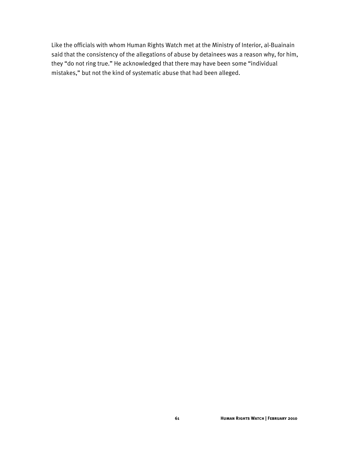Like the officials with whom Human Rights Watch met at the Ministry of Interior, al-Buainain said that the consistency of the allegations of abuse by detainees was a reason why, for him, they "do not ring true." He acknowledged that there may have been some "individual mistakes," but not the kind of systematic abuse that had been alleged.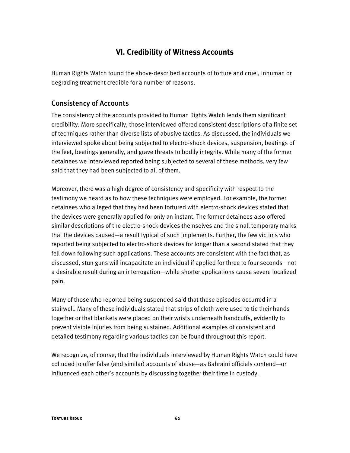# **VI. Credibility of Witness Accounts**

Human Rights Watch found the above-described accounts of torture and cruel, inhuman or degrading treatment credible for a number of reasons.

## Consistency of Accounts

The consistency of the accounts provided to Human Rights Watch lends them significant credibility. More specifically, those interviewed offered consistent descriptions of a finite set of techniques rather than diverse lists of abusive tactics. As discussed, the individuals we interviewed spoke about being subjected to electro-shock devices, suspension, beatings of the feet, beatings generally, and grave threats to bodily integrity. While many of the former detainees we interviewed reported being subjected to several of these methods, very few said that they had been subjected to all of them.

Moreover, there was a high degree of consistency and specificity with respect to the testimony we heard as to how these techniques were employed. For example, the former detainees who alleged that they had been tortured with electro-shock devices stated that the devices were generally applied for only an instant. The former detainees also offered similar descriptions of the electro-shock devices themselves and the small temporary marks that the devices caused—a result typical of such implements. Further, the few victims who reported being subjected to electro-shock devices for longer than a second stated that they fell down following such applications. These accounts are consistent with the fact that, as discussed, stun guns will incapacitate an individual if applied for three to four seconds—not a desirable result during an interrogation—while shorter applications cause severe localized pain.

Many of those who reported being suspended said that these episodes occurred in a stairwell. Many of these individuals stated that strips of cloth were used to tie their hands together or that blankets were placed on their wrists underneath handcuffs, evidently to prevent visible injuries from being sustained. Additional examples of consistent and detailed testimony regarding various tactics can be found throughout this report.

We recognize, of course, that the individuals interviewed by Human Rights Watch could have colluded to offer false (and similar) accounts of abuse—as Bahraini officials contend—or influenced each other's accounts by discussing together their time in custody.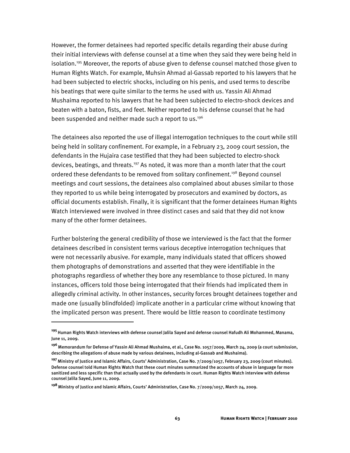However, the former detainees had reported specific details regarding their abuse during their initial interviews with defense counsel at a time when they said they were being held in isolation.<sup>195</sup> Moreover, the reports of abuse given to defense counsel matched those given to Human Rights Watch. For example, Muhsin Ahmad al-Gassab reported to his lawyers that he had been subjected to electric shocks, including on his penis, and used terms to describe his beatings that were quite similar to the terms he used with us. Yassin Ali Ahmad Mushaima reported to his lawyers that he had been subjected to electro-shock devices and beaten with a baton, fists, and feet. Neither reported to his defense counsel that he had been suspended and neither made such a report to us.<sup>196</sup>

The detainees also reported the use of illegal interrogation techniques to the court while still being held in solitary confinement. For example, in a February 23, 2009 court session, the defendants in the Hujaira case testified that they had been subjected to electro-shock devices, beatings, and threats.<sup>197</sup> As noted, it was more than a month later that the court ordered these defendants to be removed from solitary confinement.<sup>198</sup> Beyond counsel meetings and court sessions, the detainees also complained about abuses similar to those they reported to us while being interrogated by prosecutors and examined by doctors, as official documents establish. Finally, it is significant that the former detainees Human Rights Watch interviewed were involved in three distinct cases and said that they did not know many of the other former detainees.

Further bolstering the general credibility of those we interviewed is the fact that the former detainees described in consistent terms various deceptive interrogation techniques that were not necessarily abusive. For example, many individuals stated that officers showed them photographs of demonstrations and asserted that they were identifiable in the photographs regardless of whether they bore any resemblance to those pictured. In many instances, officers told those being interrogated that their friends had implicated them in allegedly criminal activity. In other instances, security forces brought detainees together and made one (usually blindfolded) implicate another in a particular crime without knowing that the implicated person was present. There would be little reason to coordinate testimony

I

**<sup>195</sup>**Human Rights Watch interviews with defense counsel Jalila Sayed and defense counsel Hafudh Ali Mohammed, Manama, June 11, 2009.

**<sup>196</sup>**Memorandum for Defense of Yassin Ali Ahmad Mushaima, et al., Case No. 1057/2009, March 24, 2009 (a court submission, describing the allegations of abuse made by various detainees, including al-Gassab and Mushaima).

**<sup>197</sup>**Ministry of Justice and Islamic Affairs, Courts' Administration, Case No. 7/2009/1057, February 23, 2009 (court minutes). Defense counsel told Human Rights Watch that these court minutes summarized the accounts of abuse in language far more sanitized and less specific than that actually used by the defendants in court. Human Rights Watch interview with defense counsel Jalila Sayed, June 11, 2009.

**<sup>198</sup>**Ministry of Justice and Islamic Affairs, Courts' Administration, Case No. 7/2009/1057, March 24, 2009.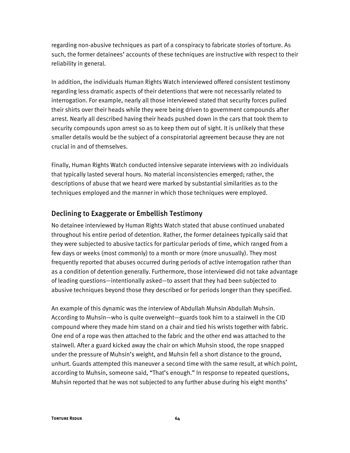regarding non-abusive techniques as part of a conspiracy to fabricate stories of torture. As such, the former detainees' accounts of these techniques are instructive with respect to their reliability in general.

In addition, the individuals Human Rights Watch interviewed offered consistent testimony regarding less dramatic aspects of their detentions that were not necessarily related to interrogation. For example, nearly all those interviewed stated that security forces pulled their shirts over their heads while they were being driven to government compounds after arrest. Nearly all described having their heads pushed down in the cars that took them to security compounds upon arrest so as to keep them out of sight. It is unlikely that these smaller details would be the subject of a conspiratorial agreement because they are not crucial in and of themselves.

Finally, Human Rights Watch conducted intensive separate interviews with 20 individuals that typically lasted several hours. No material inconsistencies emerged; rather, the descriptions of abuse that we heard were marked by substantial similarities as to the techniques employed and the manner in which those techniques were employed.

## Declining to Exaggerate or Embellish Testimony

No detainee interviewed by Human Rights Watch stated that abuse continued unabated throughout his entire period of detention. Rather, the former detainees typically said that they were subjected to abusive tactics for particular periods of time, which ranged from a few days or weeks (most commonly) to a month or more (more unusually). They most frequently reported that abuses occurred during periods of active interrogation rather than as a condition of detention generally. Furthermore, those interviewed did not take advantage of leading questions—intentionally asked—to assert that they had been subjected to abusive techniques beyond those they described or for periods longer than they specified.

An example of this dynamic was the interview of Abdullah Muhsin Abdullah Muhsin. According to Muhsin—who is quite overweight—guards took him to a stairwell in the CID compound where they made him stand on a chair and tied his wrists together with fabric. One end of a rope was then attached to the fabric and the other end was attached to the stairwell. After a guard kicked away the chair on which Muhsin stood, the rope snapped under the pressure of Muhsin's weight, and Muhsin fell a short distance to the ground, unhurt. Guards attempted this maneuver a second time with the same result, at which point, according to Muhsin, someone said, "That's enough." In response to repeated questions, Muhsin reported that he was not subjected to any further abuse during his eight months'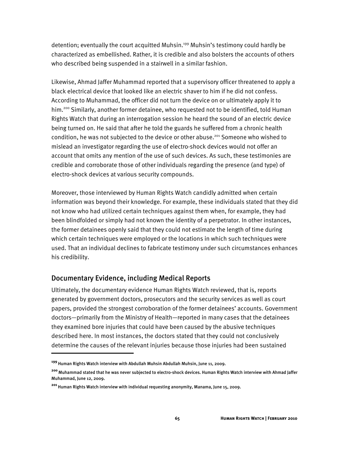detention; eventually the court acquitted Muhsin.<sup>199</sup> Muhsin's testimony could hardly be characterized as embellished. Rather, it is credible and also bolsters the accounts of others who described being suspended in a stairwell in a similar fashion.

Likewise, Ahmad Jaffer Muhammad reported that a supervisory officer threatened to apply a black electrical device that looked like an electric shaver to him if he did not confess. According to Muhammad, the officer did not turn the device on or ultimately apply it to him.<sup>200</sup> Similarly, another former detainee, who requested not to be identified, told Human Rights Watch that during an interrogation session he heard the sound of an electric device being turned on. He said that after he told the guards he suffered from a chronic health condition, he was not subjected to the device or other abuse.<sup>201</sup> Someone who wished to mislead an investigator regarding the use of electro-shock devices would not offer an account that omits any mention of the use of such devices. As such, these testimonies are credible and corroborate those of other individuals regarding the presence (and type) of electro-shock devices at various security compounds.

Moreover, those interviewed by Human Rights Watch candidly admitted when certain information was beyond their knowledge. For example, these individuals stated that they did not know who had utilized certain techniques against them when, for example, they had been blindfolded or simply had not known the identity of a perpetrator. In other instances, the former detainees openly said that they could not estimate the length of time during which certain techniques were employed or the locations in which such techniques were used. That an individual declines to fabricate testimony under such circumstances enhances his credibility.

# Documentary Evidence, including Medical Reports

Ultimately, the documentary evidence Human Rights Watch reviewed, that is, reports generated by government doctors, prosecutors and the security services as well as court papers, provided the strongest corroboration of the former detainees' accounts. Government doctors—primarily from the Ministry of Health—reported in many cases that the detainees they examined bore injuries that could have been caused by the abusive techniques described here. In most instances, the doctors stated that they could not conclusively determine the causes of the relevant injuries because those injuries had been sustained

**<sup>199</sup>**Human Rights Watch interview with Abdullah Muhsin Abdullah Muhsin, June 11, 2009.

**<sup>200</sup>**Muhammad stated that he was never subjected to electro-shock devices. Human Rights Watch interview with Ahmad Jaffer Muhammad, June 12, 2009.

**<sup>201</sup>**Human Rights Watch interview with individual requesting anonymity, Manama, June 15, 2009.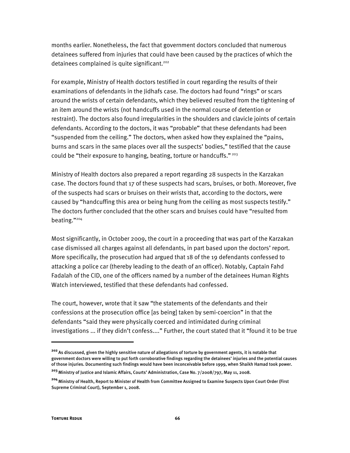months earlier. Nonetheless, the fact that government doctors concluded that numerous detainees suffered from injuries that could have been caused by the practices of which the detainees complained is quite significant.<sup>202</sup>

For example, Ministry of Health doctors testified in court regarding the results of their examinations of defendants in the Jidhafs case. The doctors had found "rings" or scars around the wrists of certain defendants, which they believed resulted from the tightening of an item around the wrists (not handcuffs used in the normal course of detention or restraint). The doctors also found irregularities in the shoulders and clavicle joints of certain defendants. According to the doctors, it was "probable" that these defendants had been "suspended from the ceiling." The doctors, when asked how they explained the "pains, burns and scars in the same places over all the suspects' bodies," testified that the cause could be "their exposure to hanging, beating, torture or handcuffs."<sup>203</sup>

Ministry of Health doctors also prepared a report regarding 28 suspects in the Karzakan case. The doctors found that 17 of these suspects had scars, bruises, or both. Moreover, five of the suspects had scars or bruises on their wrists that, according to the doctors, were caused by "handcuffing this area or being hung from the ceiling as most suspects testify." The doctors further concluded that the other scars and bruises could have "resulted from beating."204

Most significantly, in October 2009, the court in a proceeding that was part of the Karzakan case dismissed all charges against all defendants, in part based upon the doctors' report. More specifically, the prosecution had argued that 18 of the 19 defendants confessed to attacking a police car (thereby leading to the death of an officer). Notably, Captain Fahd Fadalah of the CID, one of the officers named by a number of the detainees Human Rights Watch interviewed, testified that these defendants had confessed.

The court, however, wrote that it saw "the statements of the defendants and their confessions at the prosecution office [as being] taken by semi-coercion" in that the defendants "said they were physically coerced and intimidated during criminal investigations ... if they didn't confess...." Further, the court stated that it "found it to be true

I

**<sup>202</sup>**As discussed, given the highly sensitive nature of allegations of torture by government agents, it is notable that government doctors were willing to put forth corroborative findings regarding the detainees' injuries and the potential causes of those injuries. Documenting such findings would have been inconceivable before 1999, when Shaikh Hamad took power.

**<sup>203</sup>**Ministry of Justice and Islamic Affairs, Courts' Administration, Case No. 7/2008/797, May 11, 2008.

**<sup>204</sup>**Ministry of Health, Report to Minister of Health from Committee Assigned to Examine Suspects Upon Court Order (First Supreme Criminal Court), September 1, 2008.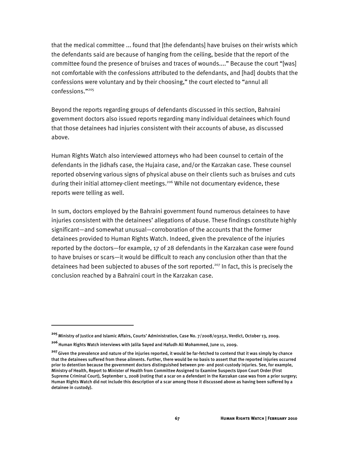that the medical committee ... found that [the defendants] have bruises on their wrists which the defendants said are because of hanging from the ceiling, beside that the report of the committee found the presence of bruises and traces of wounds...." Because the court "[was] not comfortable with the confessions attributed to the defendants, and [had] doubts that the confessions were voluntary and by their choosing," the court elected to "annul all confessions."205

Beyond the reports regarding groups of defendants discussed in this section, Bahraini government doctors also issued reports regarding many individual detainees which found that those detainees had injuries consistent with their accounts of abuse, as discussed above.

Human Rights Watch also interviewed attorneys who had been counsel to certain of the defendants in the Jidhafs case, the Hujaira case, and/or the Karzakan case. These counsel reported observing various signs of physical abuse on their clients such as bruises and cuts during their initial attorney-client meetings.<sup>206</sup> While not documentary evidence, these reports were telling as well.

In sum, doctors employed by the Bahraini government found numerous detainees to have injuries consistent with the detainees' allegations of abuse. These findings constitute highly significant—and somewhat unusual—corroboration of the accounts that the former detainees provided to Human Rights Watch. Indeed, given the prevalence of the injuries reported by the doctors—for example, 17 of 28 defendants in the Karzakan case were found to have bruises or scars—it would be difficult to reach any conclusion other than that the detainees had been subjected to abuses of the sort reported.<sup>207</sup> In fact, this is precisely the conclusion reached by a Bahraini court in the Karzakan case.

İ

**<sup>205</sup>**Ministry of Justice and Islamic Affairs, Courts' Administration, Case No. 7/2008/03252, Verdict, October 13, 2009.

**<sup>206</sup>**Human Rights Watch interviews with Jalila Sayed and Hafudh Ali Mohammed, June 11, 2009.

<sup>&</sup>lt;sup>207</sup> Given the prevalence and nature of the injuries reported, it would be far-fetched to contend that it was simply by chance that the detainees suffered from these ailments. Further, there would be no basis to assert that the reported injuries occurred prior to detention because the government doctors distinguished between pre- and post-custody injuries. See, for example, Ministry of Health, Report to Minister of Health from Committee Assigned to Examine Suspects Upon Court Order (First Supreme Criminal Court), September 1, 2008 (noting that a scar on a defendant in the Karzakan case was from a prior surgery; Human Rights Watch did not include this description of a scar among those it discussed above as having been suffered by a detainee in custody).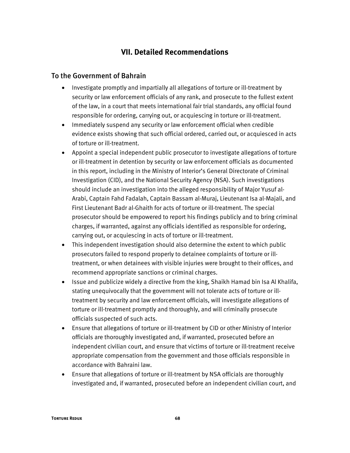# **VII. Detailed Recommendations**

## To the Government of Bahrain

- Investigate promptly and impartially all allegations of torture or ill-treatment by security or law enforcement officials of any rank, and prosecute to the fullest extent of the law, in a court that meets international fair trial standards, any official found responsible for ordering, carrying out, or acquiescing in torture or ill-treatment.
- Immediately suspend any security or law enforcement official when credible evidence exists showing that such official ordered, carried out, or acquiesced in acts of torture or ill-treatment.
- Appoint a special independent public prosecutor to investigate allegations of torture or ill-treatment in detention by security or law enforcement officials as documented in this report, including in the Ministry of Interior's General Directorate of Criminal Investigation (CID), and the National Security Agency (NSA). Such investigations should include an investigation into the alleged responsibility of Major Yusuf al-Arabi, Captain Fahd Fadalah, Captain Bassam al-Muraj, Lieutenant Isa al-Majali, and First Lieutenant Badr al-Ghaith for acts of torture or ill-treatment. The special prosecutor should be empowered to report his findings publicly and to bring criminal charges, if warranted, against any officials identified as responsible for ordering, carrying out, or acquiescing in acts of torture or ill-treatment.
- This independent investigation should also determine the extent to which public prosecutors failed to respond properly to detainee complaints of torture or illtreatment, or when detainees with visible injuries were brought to their offices, and recommend appropriate sanctions or criminal charges.
- Issue and publicize widely a directive from the king, Shaikh Hamad bin Isa Al Khalifa, stating unequivocally that the government will not tolerate acts of torture or illtreatment by security and law enforcement officials, will investigate allegations of torture or ill-treatment promptly and thoroughly, and will criminally prosecute officials suspected of such acts.
- Ensure that allegations of torture or ill-treatment by CID or other Ministry of Interior officials are thoroughly investigated and, if warranted, prosecuted before an independent civilian court, and ensure that victims of torture or ill-treatment receive appropriate compensation from the government and those officials responsible in accordance with Bahraini law.
- Ensure that allegations of torture or ill-treatment by NSA officials are thoroughly investigated and, if warranted, prosecuted before an independent civilian court, and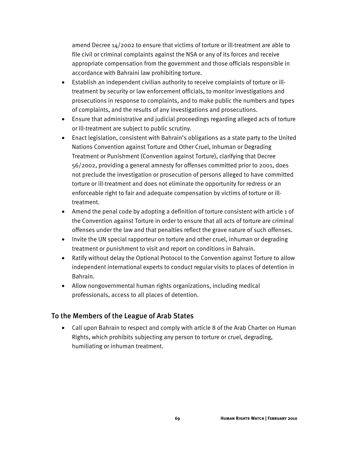amend Decree 14/2002 to ensure that victims of torture or ill-treatment are able to file civil or criminal complaints against the NSA or any of its forces and receive appropriate compensation from the government and those officials responsible in accordance with Bahraini law prohibiting torture.

- Establish an independent civilian authority to receive complaints of torture or illtreatment by security or law enforcement officials, to monitor investigations and prosecutions in response to complaints, and to make public the numbers and types of complaints, and the results of any investigations and prosecutions.
- Ensure that administrative and judicial proceedings regarding alleged acts of torture or ill-treatment are subject to public scrutiny.
- Enact legislation, consistent with Bahrain's obligations as a state party to the United Nations Convention against Torture and Other Cruel, Inhuman or Degrading Treatment or Punishment (Convention against Torture), clarifying that Decree 56/2002, providing a general amnesty for offenses committed prior to 2001, does not preclude the investigation or prosecution of persons alleged to have committed torture or ill-treatment and does not eliminate the opportunity for redress or an enforceable right to fair and adequate compensation by victims of torture or illtreatment.
- Amend the penal code by adopting a definition of torture consistent with article 1 of the Convention against Torture in order to ensure that all acts of torture are criminal offenses under the law and that penalties reflect the grave nature of such offenses.
- Invite the UN special rapporteur on torture and other cruel, inhuman or degrading treatment or punishment to visit and report on conditions in Bahrain.
- Ratify without delay the Optional Protocol to the Convention against Torture to allow independent international experts to conduct regular visits to places of detention in Bahrain.
- Allow nongovernmental human rights organizations, including medical professionals, access to all places of detention.

# To the Members of the League of Arab States

• Call upon Bahrain to respect and comply with article 8 of the Arab Charter on Human Rights, which prohibits subjecting any person to torture or cruel, degrading, humiliating or inhuman treatment.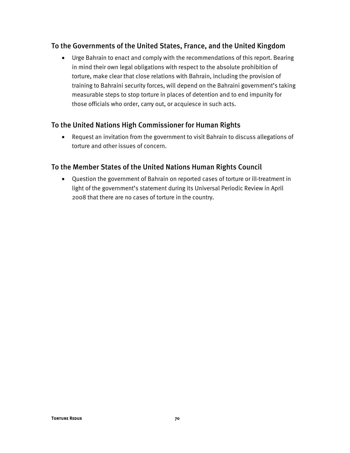## To the Governments of the United States, France, and the United Kingdom

• Urge Bahrain to enact and comply with the recommendations of this report. Bearing in mind their own legal obligations with respect to the absolute prohibition of torture, make clear that close relations with Bahrain, including the provision of training to Bahraini security forces, will depend on the Bahraini government's taking measurable steps to stop torture in places of detention and to end impunity for those officials who order, carry out, or acquiesce in such acts.

# To the United Nations High Commissioner for Human Rights

• Request an invitation from the government to visit Bahrain to discuss allegations of torture and other issues of concern.

## To the Member States of the United Nations Human Rights Council

• Question the government of Bahrain on reported cases of torture or ill-treatment in light of the government's statement during its Universal Periodic Review in April 2008 that there are no cases of torture in the country.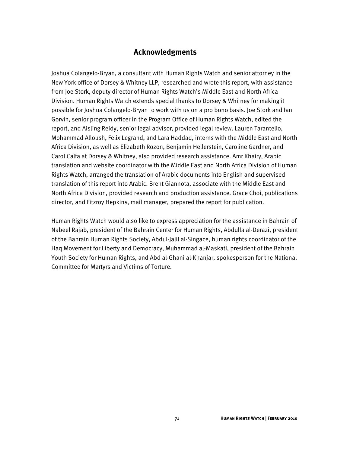# **Acknowledgments**

Joshua Colangelo-Bryan, a consultant with Human Rights Watch and senior attorney in the New York office of Dorsey & Whitney LLP, researched and wrote this report, with assistance from Joe Stork, deputy director of Human Rights Watch's Middle East and North Africa Division. Human Rights Watch extends special thanks to Dorsey & Whitney for making it possible for Joshua Colangelo-Bryan to work with us on a pro bono basis. Joe Stork and Ian Gorvin, senior program officer in the Program Office of Human Rights Watch, edited the report, and Aisling Reidy, senior legal advisor, provided legal review. Lauren Tarantello, Mohammad Alloush, Felix Legrand, and Lara Haddad, interns with the Middle East and North Africa Division, as well as Elizabeth Rozon, Benjamin Hellerstein, Caroline Gardner, and Carol Calfa at Dorsey & Whitney, also provided research assistance. Amr Khairy, Arabic translation and website coordinator with the Middle East and North Africa Division of Human Rights Watch, arranged the translation of Arabic documents into English and supervised translation of this report into Arabic. Brent Giannota, associate with the Middle East and North Africa Division, provided research and production assistance. Grace Choi, publications director, and Fitzroy Hepkins, mail manager, prepared the report for publication.

Human Rights Watch would also like to express appreciation for the assistance in Bahrain of Nabeel Rajab, president of the Bahrain Center for Human Rights, Abdulla al-Derazi, president of the Bahrain Human Rights Society, Abdul-Jalil al-Singace, human rights coordinator of the Haq Movement for Liberty and Democracy, Muhammad al-Maskati, president of the Bahrain Youth Society for Human Rights, and Abd al-Ghani al-Khanjar, spokesperson for the National Committee for Martyrs and Victims of Torture.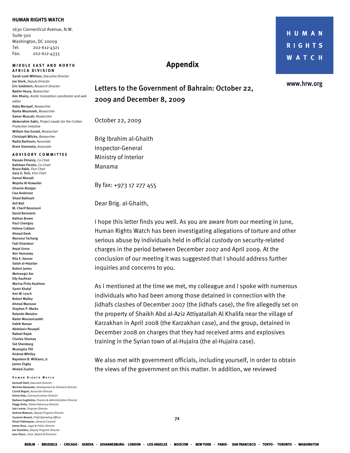### **HUMAN RIGHTS WATCH**

1630 Connecticut Avenue, N.W. Suite 500 Washington, DC 20009 Tel: 202-612-4321 Fax: 202-612-4333

## **MIDDLE EAST AND NORTH**

**A FRICA DIVISION**  Sarah Leah Whitson, *Executive Director* Joe Stork, *Deputy Director*  Eric Goldstein, *Research Director*  Nadim Houry, *Researcher* Amr Khairy, *Arabic translation coordinator and web editor*  Heba Morayef, *Researcher*  Rasha Moumneh, *Researcher*  Samer Muscati, *Researcher* Abderrahim Sabir, *Project Leader for the Civilian Protection Initiative*  William Van Esveld, *Researcher* Christoph Wilcke, *Researcher* Nadia Barhoum, *Associate*  Brent Giannotta, *Associate* 

### **A DVISORY COMMITTEE**

Hassan Elmasry, *Co-Chair*  Kathleen Peratis, *Co-Chair* Bruce Rabb, *Vice Chair*  Gary G. Sick, *Vice Chair* Gamal Abouali Wajeha Al Huwaider Ghanim Alnajjar Lisa Anderson Shaul Bakhash Asli Bali M. Cherif Bassiouni David Bernstein Nathan Brown Paul Chevigny Helena Cobban Ahmad Deek Mansour Farhang Fadi Ghandour Aeyal Gross Amr Hamzawy Rita E. Hauser Salah al-Hejailan Robert James Mehrangiz Kar Edy Kaufman Marina Pinto Kaufman Samir Khalaf Ann M. Lesch Robert Malley Ahmed Mansoor Stephen P. Marks Rolando Matalon Nader Mousavizadeh Habib Nassar Abdelaziz Nouaydi Nabeel Rajab Charles Shamas Sid Sheinberg Mustapha Tlili Andrew Whitley Napoleon B. Williams, Jr. James Zogby Ahmed Zuaiter

## **Human Rights Watch**

**To a** *T***orture Reduction 22 To a** *T***omain 22** Kenneth Roth, *Executive Director* Michele Alexander, *Development & Outreach Director*  Carroll Bogert, *Associate Director*  Emma Daly, *Communications Director* Barbara Guglielmo, *Finance & Administration Director*  Peggy Hicks, *Global Advocacy Director* Iain Levine, *Program Director*  Andrew Mawson, *Deputy Program Director*  Suzanne Nossel, *Chief Operating Officer*  Dinah PoKempner, *General Counsel*  James Ross, *Legal & Policy Director* Joe Saunders, *Deputy Program Director* Jane Olson, *Chair, Board of Directors*

# Letters to the Government of Bahrain: October 22, 2009 and December 8, 2009

**Appendix** 

October 22, 2009

Brig Ibrahim al-Ghaith Inspector-General Ministry of Interior Manama

By fax: +973 17 277 455

Dear Brig. al-Ghaith,

I hope this letter finds you well. As you are aware from our meeting in June, Human Rights Watch has been investigating allegations of torture and other serious abuse by individuals held in official custody on security-related charges in the period between December 2007 and April 2009. At the conclusion of our meeting it was suggested that I should address further inquiries and concerns to you.

As I mentioned at the time we met, my colleague and I spoke with numerous individuals who had been among those detained in connection with the Jidhafs clashes of December 2007 (the Jidhafs case), the fire allegedly set on the property of Shaikh Abd al-Aziz Attiyatallah Al Khalifa near the village of Karzakhan in April 2008 (the Karzakhan case), and the group, detained in December 2008 on charges that they had received arms and explosives training in the Syrian town of al-Hujaira (the al-Hujaira case).

We also met with government officials, including yourself, in order to obtain the views of the government on this matter. In addition, we reviewed

HUMAN **RIGHTS WATCH** 

www.hrw.org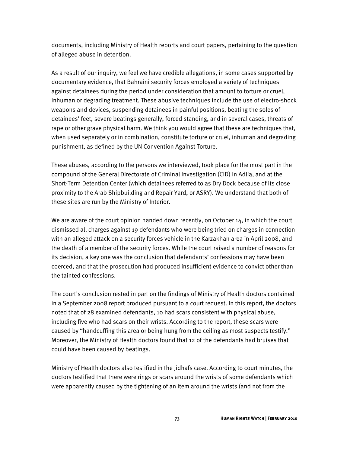documents, including Ministry of Health reports and court papers, pertaining to the question of alleged abuse in detention.

As a result of our inquiry, we feel we have credible allegations, in some cases supported by documentary evidence, that Bahraini security forces employed a variety of techniques against detainees during the period under consideration that amount to torture or cruel, inhuman or degrading treatment. These abusive techniques include the use of electro-shock weapons and devices, suspending detainees in painful positions, beating the soles of detainees' feet, severe beatings generally, forced standing, and in several cases, threats of rape or other grave physical harm. We think you would agree that these are techniques that, when used separately or in combination, constitute torture or cruel, inhuman and degrading punishment, as defined by the UN Convention Against Torture.

These abuses, according to the persons we interviewed, took place for the most part in the compound of the General Directorate of Criminal Investigation (CID) in Adlia, and at the Short-Term Detention Center (which detainees referred to as Dry Dock because of its close proximity to the Arab Shipbuilding and Repair Yard, or ASRY). We understand that both of these sites are run by the Ministry of Interior.

We are aware of the court opinion handed down recently, on October 14, in which the court dismissed all charges against 19 defendants who were being tried on charges in connection with an alleged attack on a security forces vehicle in the Karzakhan area in April 2008, and the death of a member of the security forces. While the court raised a number of reasons for its decision, a key one was the conclusion that defendants' confessions may have been coerced, and that the prosecution had produced insufficient evidence to convict other than the tainted confessions.

The court's conclusion rested in part on the findings of Ministry of Health doctors contained in a September 2008 report produced pursuant to a court request. In this report, the doctors noted that of 28 examined defendants, 10 had scars consistent with physical abuse, including five who had scars on their wrists. According to the report, these scars were caused by "handcuffing this area or being hung from the ceiling as most suspects testify." Moreover, the Ministry of Health doctors found that 12 of the defendants had bruises that could have been caused by beatings.

Ministry of Health doctors also testified in the Jidhafs case. According to court minutes, the doctors testified that there were rings or scars around the wrists of some defendants which were apparently caused by the tightening of an item around the wrists (and not from the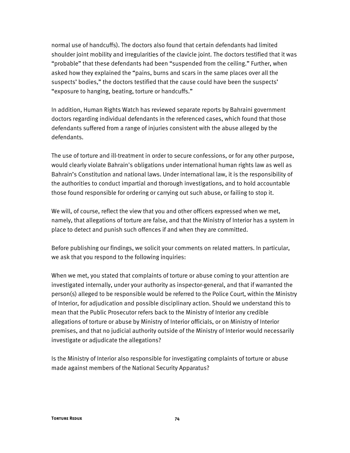normal use of handcuffs). The doctors also found that certain defendants had limited shoulder joint mobility and irregularities of the clavicle joint. The doctors testified that it was "probable" that these defendants had been "suspended from the ceiling." Further, when asked how they explained the "pains, burns and scars in the same places over all the suspects' bodies," the doctors testified that the cause could have been the suspects' "exposure to hanging, beating, torture or handcuffs."

In addition, Human Rights Watch has reviewed separate reports by Bahraini government doctors regarding individual defendants in the referenced cases, which found that those defendants suffered from a range of injuries consistent with the abuse alleged by the defendants.

The use of torture and ill-treatment in order to secure confessions, or for any other purpose, would clearly violate Bahrain's obligations under international human rights law as well as Bahrain's Constitution and national laws. Under international law, it is the responsibility of the authorities to conduct impartial and thorough investigations, and to hold accountable those found responsible for ordering or carrying out such abuse, or failing to stop it.

We will, of course, reflect the view that you and other officers expressed when we met, namely, that allegations of torture are false, and that the Ministry of Interior has a system in place to detect and punish such offences if and when they are committed.

Before publishing our findings, we solicit your comments on related matters. In particular, we ask that you respond to the following inquiries:

When we met, you stated that complaints of torture or abuse coming to your attention are investigated internally, under your authority as inspector-general, and that if warranted the person(s) alleged to be responsible would be referred to the Police Court, within the Ministry of Interior, for adjudication and possible disciplinary action. Should we understand this to mean that the Public Prosecutor refers back to the Ministry of Interior any credible allegations of torture or abuse by Ministry of Interior officials, or on Ministry of Interior premises, and that no judicial authority outside of the Ministry of Interior would necessarily investigate or adjudicate the allegations?

Is the Ministry of Interior also responsible for investigating complaints of torture or abuse made against members of the National Security Apparatus?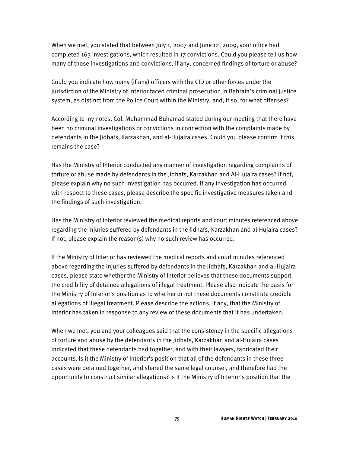When we met, you stated that between July 1, 2007 and June 12, 2009, your office had completed 163 investigations, which resulted in 17 convictions. Could you please tell us how many of those investigations and convictions, if any, concerned findings of torture or abuse?

Could you indicate how many (if any) officers with the CID or other forces under the jurisdiction of the Ministry of Interior faced criminal prosecution in Bahrain's criminal justice system, as distinct from the Police Court within the Ministry, and, if so, for what offenses?

According to my notes, Col. Muhammad Buhamad stated during our meeting that there have been no criminal investigations or convictions in connection with the complaints made by defendants in the Jidhafs, Karzakhan, and al-Hujaira cases. Could you please confirm if this remains the case?

Has the Ministry of Interior conducted any manner of investigation regarding complaints of torture or abuse made by defendants in the Jidhafs, Karzakhan and Al-Hujaira cases? If not, please explain why no such investigation has occurred. If any investigation has occurred with respect to these cases, please describe the specific investigative measures taken and the findings of such investigation.

Has the Ministry of Interior reviewed the medical reports and court minutes referenced above regarding the injuries suffered by defendants in the Jidhafs, Karzakhan and al-Hujaira cases? If not, please explain the reason(s) why no such review has occurred.

If the Ministry of Interior has reviewed the medical reports and court minutes referenced above regarding the injuries suffered by defendants in the Jidhafs, Karzakhan and al-Hujaira cases, please state whether the Ministry of Interior believes that these documents support the credibility of detainee allegations of illegal treatment. Please also indicate the basis for the Ministry of Interior's position as to whether or not these documents constitute credible allegations of illegal treatment. Please describe the actions, if any, that the Ministry of Interior has taken in response to any review of these documents that it has undertaken.

When we met, you and your colleagues said that the consistency in the specific allegations of torture and abuse by the defendants in the Jidhafs, Karzakhan and al-Hujaira cases indicated that these defendants had together, and with their lawyers, fabricated their accounts. Is it the Ministry of Interior's position that all of the defendants in these three cases were detained together, and shared the same legal counsel, and therefore had the opportunity to construct similar allegations? Is it the Ministry of Interior's position that the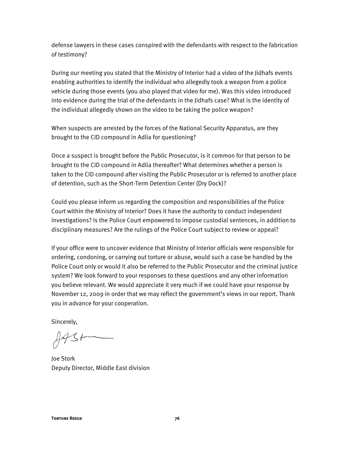defense lawyers in these cases conspired with the defendants with respect to the fabrication of testimony?

During our meeting you stated that the Ministry of Interior had a video of the Jidhafs events enabling authorities to identify the individual who allegedly took a weapon from a police vehicle during those events (you also played that video for me). Was this video introduced into evidence during the trial of the defendants in the Jidhafs case? What is the identity of the individual allegedly shown on the video to be taking the police weapon?

When suspects are arrested by the forces of the National Security Apparatus, are they brought to the CID compound in Adlia for questioning?

Once a suspect is brought before the Public Prosecutor, is it common for that person to be brought to the CID compound in Adlia thereafter? What determines whether a person is taken to the CID compound after visiting the Public Prosecutor or is referred to another place of detention, such as the Short-Term Detention Center (Dry Dock)?

Could you please inform us regarding the composition and responsibilities of the Police Court within the Ministry of Interior? Does it have the authority to conduct independent investigations? Is the Police Court empowered to impose custodial sentences, in addition to disciplinary measures? Are the rulings of the Police Court subject to review or appeal?

If your office were to uncover evidence that Ministry of Interior officials were responsible for ordering, condoning, or carrying out torture or abuse, would such a case be handled by the Police Court only or would it also be referred to the Public Prosecutor and the criminal justice system? We look forward to your responses to these questions and any other information you believe relevant. We would appreciate it very much if we could have your response by November 12, 2009 in order that we may reflect the government's views in our report. Thank you in advance for your cooperation.

Sincerely,

 $A431 -$ 

Joe Stork Deputy Director, Middle East division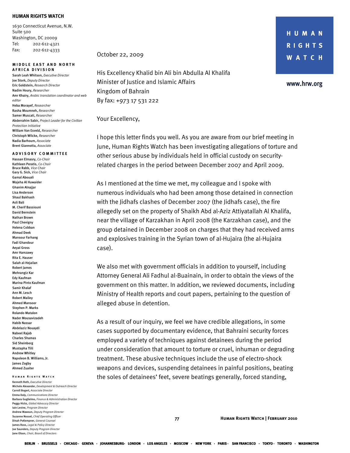#### **HUMAN RIGHTS WATCH**

1630 Connecticut Avenue, N.W. Suite 500 Washington, DC 20009 Tel: 202-612-4321 Fax: 202-612-4333

#### **MIDDLE EAST AND NORTH A FRICA DIVISION**

Sarah Leah Whitson, *Executive Director* Joe Stork, *Deputy Director*  Eric Goldstein, *Research Director*  Nadim Houry, *Researcher* Amr Khairy, *Arabic translation coordinator and web editor*  Heba Morayef, *Researcher*  Rasha Moumneh, *Researcher*  Samer Muscati, *Researcher* Abderrahim Sabir, *Project Leader for the Civilian Protection Initiative*  William Van Esveld, *Researcher* Christoph Wilcke, *Researcher* Nadia Barhoum, *Associate*  Brent Giannotta, *Associate* 

#### **A DVISORY COMMITTEE**

Hassan Elmasry, *Co-Chair*  Kathleen Peratis, *Co-Chair* Bruce Rabb, *Vice Chair*  Gary G. Sick, *Vice Chair* Gamal Abouali Wajeha Al Huwaider Ghanim Alnajjar Lisa Anderson Shaul Bakhash Asli Bali M. Cherif Bassiouni David Bernstein Nathan Brown Paul Chevigny Helena Cobban Ahmad Deek Mansour Farhang Fadi Ghandour Aeyal Gross Amr Hamzawy Rita E. Hauser Salah al-Hejailan Robert James Mehrangiz Kar Edy Kaufman Marina Pinto Kaufman Samir Khalaf Ann M. Lesch Robert Malley Ahmed Mansoor Stephen P. Marks Rolando Matalon Nader Mousavizadeh Habib Nassar Abdelaziz Nouaydi Nabeel Rajab Charles Shamas Sid Sheinberg Mustapha Tlili Andrew Whitley Napoleon B. Williams, Jr. James Zogby Ahmed Zuaiter

## **Human Rights Watch**

Kenneth Roth, *Executive Director* Michele Alexander, *Development & Outreach Director*  Carroll Bogert, *Associate Director*  Emma Daly, *Communications Director*  Barbara Guglielmo, *Finance & Administration Director*  Peggy Hicks, *Global Advocacy Director* Iain Levine, *Program Director* Andrew Mawson, *Deputy Program Director*  Suzanne Nossel, *Chief Operating Officer*  Dinah PoKempner, *General Counsel*  James Ross, *Legal & Policy Director* Joe Saunders, *Deputy Program Director* Jane Olson, *Chair, Board of Directors*

October 22, 2009

His Excellency Khalid bin Ali bin Abdulla Al Khalifa Minister of Justice and Islamic Affairs Kingdom of Bahrain By fax: +973 17 531 222

Your Excellency,

I hope this letter finds you well. As you are aware from our brief meeting in June, Human Rights Watch has been investigating allegations of torture and other serious abuse by individuals held in official custody on securityrelated charges in the period between December 2007 and April 2009.

As I mentioned at the time we met, my colleague and I spoke with numerous individuals who had been among those detained in connection with the Jidhafs clashes of December 2007 (the Jidhafs case), the fire allegedly set on the property of Shaikh Abd al-Aziz Attiyatallah Al Khalifa, near the village of Karzakhan in April 2008 (the Karzakhan case), and the group detained in December 2008 on charges that they had received arms and explosives training in the Syrian town of al-Hujaira (the al-Hujaira case).

We also met with government officials in addition to yourself, including Attorney General Ali Fadhul al-Buainain, in order to obtain the views of the government on this matter. In addition, we reviewed documents, including Ministry of Health reports and court papers, pertaining to the question of alleged abuse in detention.

As a result of our inquiry, we feel we have credible allegations, in some cases supported by documentary evidence, that Bahraini security forces employed a variety of techniques against detainees during the period under consideration that amount to torture or cruel, inhuman or degrading treatment. These abusive techniques include the use of electro-shock weapons and devices, suspending detainees in painful positions, beating the soles of detainees' feet, severe beatings generally, forced standing,

HUMAN **RIGHTS WATCH** 

www.hrw.org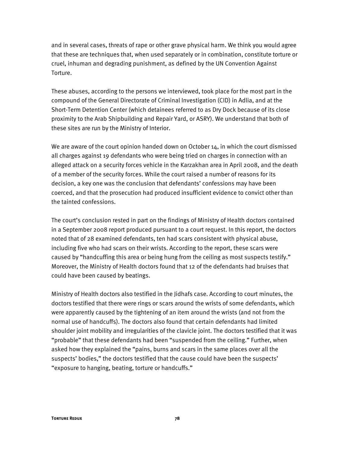and in several cases, threats of rape or other grave physical harm. We think you would agree that these are techniques that, when used separately or in combination, constitute torture or cruel, inhuman and degrading punishment, as defined by the UN Convention Against Torture.

These abuses, according to the persons we interviewed, took place for the most part in the compound of the General Directorate of Criminal Investigation (CID) in Adlia, and at the Short-Term Detention Center (which detainees referred to as Dry Dock because of its close proximity to the Arab Shipbuilding and Repair Yard, or ASRY). We understand that both of these sites are run by the Ministry of Interior.

We are aware of the court opinion handed down on October 14, in which the court dismissed all charges against 19 defendants who were being tried on charges in connection with an alleged attack on a security forces vehicle in the Karzakhan area in April 2008, and the death of a member of the security forces. While the court raised a number of reasons for its decision, a key one was the conclusion that defendants' confessions may have been coerced, and that the prosecution had produced insufficient evidence to convict other than the tainted confessions.

The court's conclusion rested in part on the findings of Ministry of Health doctors contained in a September 2008 report produced pursuant to a court request. In this report, the doctors noted that of 28 examined defendants, ten had scars consistent with physical abuse, including five who had scars on their wrists. According to the report, these scars were caused by "handcuffing this area or being hung from the ceiling as most suspects testify." Moreover, the Ministry of Health doctors found that 12 of the defendants had bruises that could have been caused by beatings.

Ministry of Health doctors also testified in the Jidhafs case. According to court minutes, the doctors testified that there were rings or scars around the wrists of some defendants, which were apparently caused by the tightening of an item around the wrists (and not from the normal use of handcuffs). The doctors also found that certain defendants had limited shoulder joint mobility and irregularities of the clavicle joint. The doctors testified that it was "probable" that these defendants had been "suspended from the ceiling." Further, when asked how they explained the "pains, burns and scars in the same places over all the suspects' bodies," the doctors testified that the cause could have been the suspects' "exposure to hanging, beating, torture or handcuffs."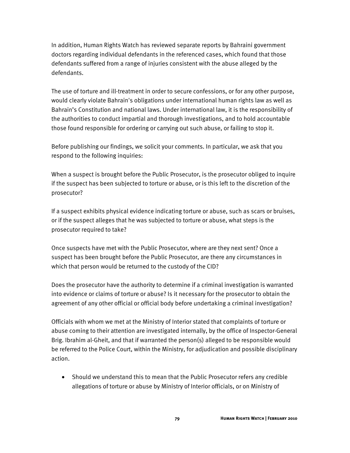In addition, Human Rights Watch has reviewed separate reports by Bahraini government doctors regarding individual defendants in the referenced cases, which found that those defendants suffered from a range of injuries consistent with the abuse alleged by the defendants.

The use of torture and ill-treatment in order to secure confessions, or for any other purpose, would clearly violate Bahrain's obligations under international human rights law as well as Bahrain's Constitution and national laws. Under international law, it is the responsibility of the authorities to conduct impartial and thorough investigations, and to hold accountable those found responsible for ordering or carrying out such abuse, or failing to stop it.

Before publishing our findings, we solicit your comments. In particular, we ask that you respond to the following inquiries:

When a suspect is brought before the Public Prosecutor, is the prosecutor obliged to inquire if the suspect has been subjected to torture or abuse, or is this left to the discretion of the prosecutor?

If a suspect exhibits physical evidence indicating torture or abuse, such as scars or bruises, or if the suspect alleges that he was subjected to torture or abuse, what steps is the prosecutor required to take?

Once suspects have met with the Public Prosecutor, where are they next sent? Once a suspect has been brought before the Public Prosecutor, are there any circumstances in which that person would be returned to the custody of the CID?

Does the prosecutor have the authority to determine if a criminal investigation is warranted into evidence or claims of torture or abuse? Is it necessary for the prosecutor to obtain the agreement of any other official or official body before undertaking a criminal investigation?

Officials with whom we met at the Ministry of Interior stated that complaints of torture or abuse coming to their attention are investigated internally, by the office of Inspector-General Brig. Ibrahim al-Gheit, and that if warranted the person(s) alleged to be responsible would be referred to the Police Court, within the Ministry, for adjudication and possible disciplinary action.

• Should we understand this to mean that the Public Prosecutor refers any credible allegations of torture or abuse by Ministry of Interior officials, or on Ministry of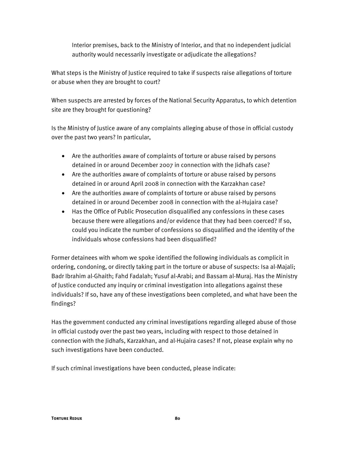Interior premises, back to the Ministry of Interior, and that no independent judicial authority would necessarily investigate or adjudicate the allegations?

What steps is the Ministry of Justice required to take if suspects raise allegations of torture or abuse when they are brought to court?

When suspects are arrested by forces of the National Security Apparatus, to which detention site are they brought for questioning?

Is the Ministry of Justice aware of any complaints alleging abuse of those in official custody over the past two years? In particular,

- Are the authorities aware of complaints of torture or abuse raised by persons detained in or around December 2007 in connection with the Jidhafs case?
- Are the authorities aware of complaints of torture or abuse raised by persons detained in or around April 2008 in connection with the Karzakhan case?
- Are the authorities aware of complaints of torture or abuse raised by persons detained in or around December 2008 in connection with the al-Hujaira case?
- Has the Office of Public Prosecution disqualified any confessions in these cases because there were allegations and/or evidence that they had been coerced? If so, could you indicate the number of confessions so disqualified and the identity of the individuals whose confessions had been disqualified?

Former detainees with whom we spoke identified the following individuals as complicit in ordering, condoning, or directly taking part in the torture or abuse of suspects: Isa al-Majali; Badr Ibrahim al-Ghaith; Fahd Fadalah; Yusuf al-Arabi; and Bassam al-Muraj. Has the Ministry of Justice conducted any inquiry or criminal investigation into allegations against these individuals? If so, have any of these investigations been completed, and what have been the findings?

Has the government conducted any criminal investigations regarding alleged abuse of those in official custody over the past two years, including with respect to those detained in connection with the Jidhafs, Karzakhan, and al-Hujaira cases? If not, please explain why no such investigations have been conducted.

If such criminal investigations have been conducted, please indicate: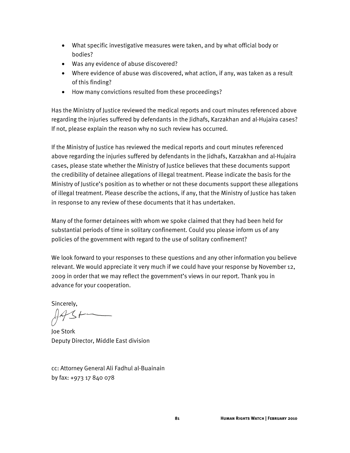- What specific investigative measures were taken, and by what official body or bodies?
- Was any evidence of abuse discovered?
- Where evidence of abuse was discovered, what action, if any, was taken as a result of this finding?
- How many convictions resulted from these proceedings?

Has the Ministry of Justice reviewed the medical reports and court minutes referenced above regarding the injuries suffered by defendants in the Jidhafs, Karzakhan and al-Hujaira cases? If not, please explain the reason why no such review has occurred.

If the Ministry of Justice has reviewed the medical reports and court minutes referenced above regarding the injuries suffered by defendants in the Jidhafs, Karzakhan and al-Hujaira cases, please state whether the Ministry of Justice believes that these documents support the credibility of detainee allegations of illegal treatment. Please indicate the basis for the Ministry of Justice's position as to whether or not these documents support these allegations of illegal treatment. Please describe the actions, if any, that the Ministry of Justice has taken in response to any review of these documents that it has undertaken.

Many of the former detainees with whom we spoke claimed that they had been held for substantial periods of time in solitary confinement. Could you please inform us of any policies of the government with regard to the use of solitary confinement?

We look forward to your responses to these questions and any other information you believe relevant. We would appreciate it very much if we could have your response by November 12, 2009 in order that we may reflect the government's views in our report. Thank you in advance for your cooperation.

Sincerely,

Joe Stork Deputy Director, Middle East division

cc: Attorney General Ali Fadhul al-Buainain by fax: +973 17 840 078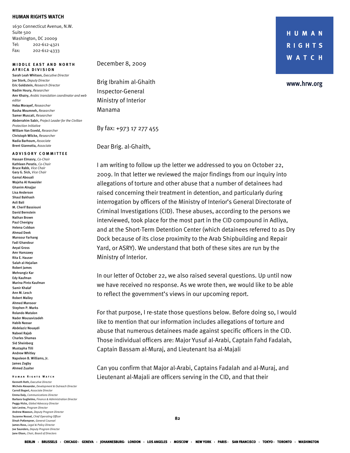### **HUMAN RIGHTS WATCH**

1630 Connecticut Avenue, N.W. Suite 500 Washington, DC 20009 Tel: 202-612-4321 Fax: 202-612-4333

#### **MIDDLE EAST AND NORTH A FRICA DIVISION**

Sarah Leah Whitson, *Executive Director* Joe Stork, *Deputy Director*  Eric Goldstein, *Research Director*  Nadim Houry, *Researcher* Amr Khairy, *Arabic translation coordinator and web editor*  Heba Morayef, *Researcher*  Rasha Moumneh, *Researcher*  Samer Muscati, *Researcher* Abderrahim Sabir, *Project Leader for the Civilian Protection Initiative*  William Van Esveld, *Researcher* Christoph Wilcke, *Researcher* Nadia Barhoum, *Associate*  Brent Giannotta, *Associate* 

#### **A DVISORY COMMITTEE**

Hassan Elmasry, *Co-Chair*  Kathleen Peratis, *Co-Chair* Bruce Rabb, *Vice Chair*  Gary G. Sick, *Vice Chair* Gamal Abouali Wajeha Al Huwaider Ghanim Alnajjar Lisa Anderson Shaul Bakhash Asli Bali M. Cherif Bassiouni David Bernstein Nathan Brown Paul Chevigny Helena Cobban Ahmad Deek Mansour Farhang Fadi Ghandour Aeyal Gross Amr Hamzawy Rita E. Hauser Salah al-Hejailan Robert James Mehrangiz Kar Edy Kaufman Marina Pinto Kaufman Samir Khalaf Ann M. Lesch Robert Malley Ahmed Mansoor Stephen P. Marks Rolando Matalon Nader Mousavizadeh Habib Nassar Abdelaziz Nouaydi Nabeel Rajab Charles Shamas Sid Sheinberg Mustapha Tlili Andrew Whitley Napoleon B. Williams, Jr. James Zogby Ahmed Zuaiter

## **Human Rights Watch**

**Torture Reduced B2 B2** Kenneth Roth, *Executive Director* Michele Alexander, *Development & Outreach Director*  Carroll Bogert, *Associate Director*  Emma Daly, *Communications Director*  Barbara Guglielmo, *Finance & Administration Director*  Peggy Hicks, *Global Advocacy Director* Iain Levine, *Program Director*  Andrew Mawson, *Deputy Program Director*  Suzanne Nossel, *Chief Operating Officer*  Dinah PoKempner, *General Counsel*  James Ross, *Legal & Policy Director* Joe Saunders, *Deputy Program Director* Jane Olson, *Chair, Board of Directors*

## December 8, 2009

Brig Ibrahim al-Ghaith Inspector-General Ministry of Interior Manama

By fax: +973 17 277 455

Dear Brig. al-Ghaith,

I am writing to follow up the letter we addressed to you on October 22, 2009. In that letter we reviewed the major findings from our inquiry into allegations of torture and other abuse that a number of detainees had raised concerning their treatment in detention, and particularly during interrogation by officers of the Ministry of Interior's General Directorate of Criminal Investigations (CID). These abuses, according to the persons we interviewed, took place for the most part in the CID compound in Adliya, and at the Short-Term Detention Center (which detainees referred to as Dry Dock because of its close proximity to the Arab Shipbuilding and Repair Yard, or ASRY). We understand that both of these sites are run by the Ministry of Interior.

In our letter of October 22, we also raised several questions. Up until now we have received no response. As we wrote then, we would like to be able to reflect the government's views in our upcoming report.

For that purpose, I re-state those questions below. Before doing so, I would like to mention that our information includes allegations of torture and abuse that numerous detainees made against specific officers in the CID. Those individual officers are: Major Yusuf al-Arabi, Captain Fahd Fadalah, Captain Bassam al-Muraj, and Lieutenant Isa al-Majali

Can you confirm that Major al-Arabi, Captains Fadalah and al-Muraj, and Lieutenant al-Majali are officers serving in the CID, and that their

HUMAN **RIGHTS WATCH** 

www.hrw.org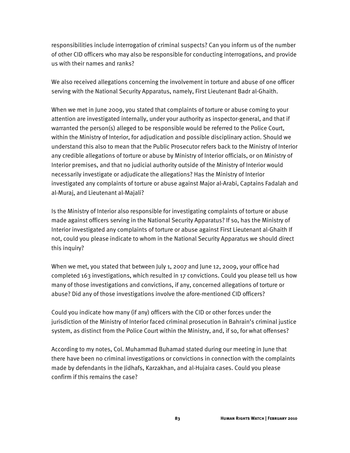responsibilities include interrogation of criminal suspects? Can you inform us of the number of other CID officers who may also be responsible for conducting interrogations, and provide us with their names and ranks?

We also received allegations concerning the involvement in torture and abuse of one officer serving with the National Security Apparatus, namely, First Lieutenant Badr al-Ghaith.

When we met in June 2009, you stated that complaints of torture or abuse coming to your attention are investigated internally, under your authority as inspector-general, and that if warranted the person(s) alleged to be responsible would be referred to the Police Court, within the Ministry of Interior, for adjudication and possible disciplinary action. Should we understand this also to mean that the Public Prosecutor refers back to the Ministry of Interior any credible allegations of torture or abuse by Ministry of Interior officials, or on Ministry of Interior premises, and that no judicial authority outside of the Ministry of Interior would necessarily investigate or adjudicate the allegations? Has the Ministry of Interior investigated any complaints of torture or abuse against Major al-Arabi, Captains Fadalah and al-Muraj, and Lieutenant al-Majali?

Is the Ministry of Interior also responsible for investigating complaints of torture or abuse made against officers serving in the National Security Apparatus? If so, has the Ministry of Interior investigated any complaints of torture or abuse against First Lieutenant al-Ghaith If not, could you please indicate to whom in the National Security Apparatus we should direct this inquiry?

When we met, you stated that between July 1, 2007 and June 12, 2009, your office had completed 163 investigations, which resulted in 17 convictions. Could you please tell us how many of those investigations and convictions, if any, concerned allegations of torture or abuse? Did any of those investigations involve the afore-mentioned CID officers?

Could you indicate how many (if any) officers with the CID or other forces under the jurisdiction of the Ministry of Interior faced criminal prosecution in Bahrain's criminal justice system, as distinct from the Police Court within the Ministry, and, if so, for what offenses?

According to my notes, Col. Muhammad Buhamad stated during our meeting in June that there have been no criminal investigations or convictions in connection with the complaints made by defendants in the Jidhafs, Karzakhan, and al-Hujaira cases. Could you please confirm if this remains the case?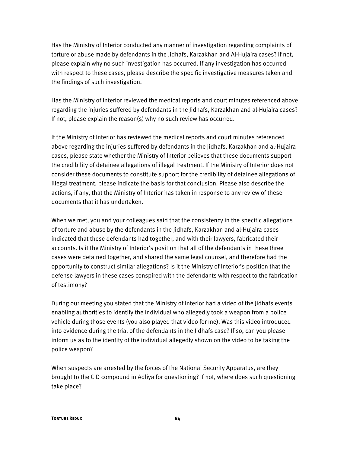Has the Ministry of Interior conducted any manner of investigation regarding complaints of torture or abuse made by defendants in the Jidhafs, Karzakhan and Al-Hujaira cases? If not, please explain why no such investigation has occurred. If any investigation has occurred with respect to these cases, please describe the specific investigative measures taken and the findings of such investigation.

Has the Ministry of Interior reviewed the medical reports and court minutes referenced above regarding the injuries suffered by defendants in the Jidhafs, Karzakhan and al-Hujaira cases? If not, please explain the reason(s) why no such review has occurred.

If the Ministry of Interior has reviewed the medical reports and court minutes referenced above regarding the injuries suffered by defendants in the Jidhafs, Karzakhan and al-Hujaira cases, please state whether the Ministry of Interior believes that these documents support the credibility of detainee allegations of illegal treatment. If the Ministry of Interior does not consider these documents to constitute support for the credibility of detainee allegations of illegal treatment, please indicate the basis for that conclusion. Please also describe the actions, if any, that the Ministry of Interior has taken in response to any review of these documents that it has undertaken.

When we met, you and your colleagues said that the consistency in the specific allegations of torture and abuse by the defendants in the Jidhafs, Karzakhan and al-Hujaira cases indicated that these defendants had together, and with their lawyers, fabricated their accounts. Is it the Ministry of Interior's position that all of the defendants in these three cases were detained together, and shared the same legal counsel, and therefore had the opportunity to construct similar allegations? Is it the Ministry of Interior's position that the defense lawyers in these cases conspired with the defendants with respect to the fabrication of testimony?

During our meeting you stated that the Ministry of Interior had a video of the Jidhafs events enabling authorities to identify the individual who allegedly took a weapon from a police vehicle during those events (you also played that video for me). Was this video introduced into evidence during the trial of the defendants in the Jidhafs case? If so, can you please inform us as to the identity of the individual allegedly shown on the video to be taking the police weapon?

When suspects are arrested by the forces of the National Security Apparatus, are they brought to the CID compound in Adliya for questioning? If not, where does such questioning take place?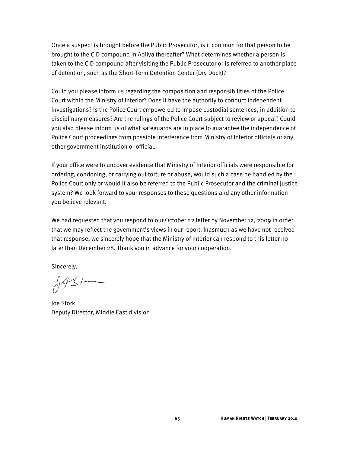Once a suspect is brought before the Public Prosecutor, is it common for that person to be brought to the CID compound in Adliya thereafter? What determines whether a person is taken to the CID compound after visiting the Public Prosecutor or is referred to another place of detention, such as the Short-Term Detention Center (Dry Dock)?

Could you please inform us regarding the composition and responsibilities of the Police Court within the Ministry of Interior? Does it have the authority to conduct independent investigations? Is the Police Court empowered to impose custodial sentences, in addition to disciplinary measures? Are the rulings of the Police Court subject to review or appeal? Could you also please inform us of what safeguards are in place to guarantee the independence of Police Court proceedings from possible interference from Ministry of Interior officials or any other government institution or official.

If your office were to uncover evidence that Ministry of Interior officials were responsible for ordering, condoning, or carrying out torture or abuse, would such a case be handled by the Police Court only or would it also be referred to the Public Prosecutor and the criminal justice system? We look forward to your responses to these questions and any other information you believe relevant.

We had requested that you respond to our October 22 letter by November 12, 2009 in order that we may reflect the government's views in our report. Inasmuch as we have not received that response, we sincerely hope that the Ministry of Interior can respond to this letter no later than December 28. Thank you in advance for your cooperation.

Sincerely,

 $A431$ 

Joe Stork Deputy Director, Middle East division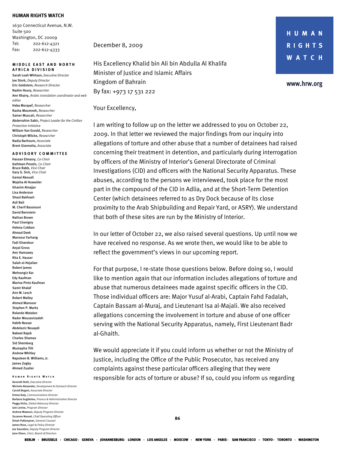#### **HUMAN RIGHTS WATCH**

1630 Connecticut Avenue, N.W. Suite 500 Washington, DC 20009 Tel: 202-612-4321 Fax: 202-612-4333

#### **MIDDLE EAST AND NORTH A FRICA DIVISION**

Sarah Leah Whitson, *Executive Director* Joe Stork, *Deputy Director*  Eric Goldstein, *Research Director*  Nadim Houry, *Researcher* Amr Khairy, *Arabic translation coordinator and web editor*  Heba Morayef, *Researcher*  Rasha Moumneh, *Researcher*  Samer Muscati, *Researcher* Abderrahim Sabir, *Project Leader for the Civilian Protection Initiative*  William Van Esveld, *Researcher* Christoph Wilcke, *Researcher* Nadia Barhoum, *Associate*  Brent Giannotta, *Associate* 

#### **A DVISORY COMMITTEE**

Hassan Elmasry, *Co-Chair*  Kathleen Peratis, *Co-Chair* Bruce Rabb, *Vice Chair*  Gary G. Sick, *Vice Chair* Gamal Abouali Wajeha Al Huwaider Ghanim Alnajjar Lisa Anderson Shaul Bakhash Asli Bali M. Cherif Bassiouni David Bernstein Nathan Brown Paul Chevigny Helena Cobban Ahmad Deek Mansour Farhang Fadi Ghandour Aeyal Gross Amr Hamzawy Rita E. Hauser Salah al-Hejailan Robert James Mehrangiz Kar Edy Kaufman Marina Pinto Kaufman Samir Khalaf Ann M. Lesch Robert Malley Ahmed Mansoor Stephen P. Marks Rolando Matalon Nader Mousavizadeh Habib Nassar Abdelaziz Nouaydi Nabeel Rajab Charles Shamas Sid Sheinberg Mustapha Tlili Andrew Whitley Napoleon B. Williams, Jr. James Zogby Ahmed Zuaiter

## **Human Rights Watch**

**Torture Reduced B6 86** Kenneth Roth, *Executive Director* Michele Alexander, *Development & Outreach Director*  Carroll Bogert, *Associate Director*  Emma Daly, *Communications Director*  Barbara Guglielmo, *Finance & Administration Director*  Peggy Hicks, *Global Advocacy Director* Iain Levine, *Program Director* Andrew Mawson, *Deputy Program Director*  Suzanne Nossel, *Chief Operating Officer*  Dinah PoKempner, *General Counsel*  James Ross, *Legal & Policy Director* Joe Saunders, *Deputy Program Director* Jane Olson, *Chair, Board of Directors*

December 8, 2009

His Excellency Khalid bin Ali bin Abdulla Al Khalifa Minister of Justice and Islamic Affairs Kingdom of Bahrain By fax: +973 17 531 222

Your Excellency,

I am writing to follow up on the letter we addressed to you on October 22, 2009. In that letter we reviewed the major findings from our inquiry into allegations of torture and other abuse that a number of detainees had raised concerning their treatment in detention, and particularly during interrogation by officers of the Ministry of Interior's General Directorate of Criminal Investigations (CID) and officers with the National Security Apparatus. These abuses, according to the persons we interviewed, took place for the most part in the compound of the CID in Adlia, and at the Short-Term Detention Center (which detainees referred to as Dry Dock because of its close proximity to the Arab Shipbuilding and Repair Yard, or ASRY). We understand that both of these sites are run by the Ministry of Interior.

In our letter of October 22, we also raised several questions. Up until now we have received no response. As we wrote then, we would like to be able to reflect the government's views in our upcoming report.

For that purpose, I re-state those questions below. Before doing so, I would like to mention again that our information includes allegations of torture and abuse that numerous detainees made against specific officers in the CID. Those individual officers are: Major Yusuf al-Arabi, Captain Fahd Fadalah, Captain Bassam al-Muraj, and Lieutenant Isa al-Majali. We also received allegations concerning the involvement in torture and abuse of one officer serving with the National Security Apparatus, namely, First Lieutenant Badr al-Ghaith.

We would appreciate it if you could inform us whether or not the Ministry of Justice, including the Office of the Public Prosecutor, has received any complaints against these particular officers alleging that they were responsible for acts of torture or abuse? If so, could you inform us regarding

HUMAN **RIGHTS WATCH**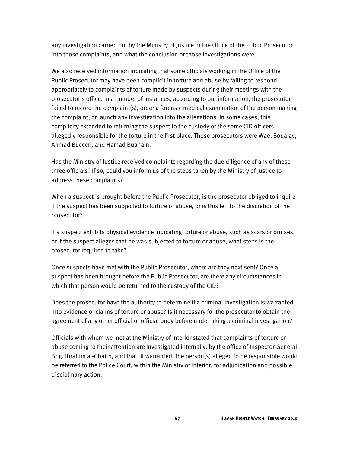any investigation carried out by the Ministry of Justice or the Office of the Public Prosecutor into those complaints, and what the conclusion or those investigations were.

We also received information indicating that some officials working in the Office of the Public Prosecutor may have been complicit in torture and abuse by failing to respond appropriately to complaints of torture made by suspects during their meetings with the prosecutor's office. In a number of instances, according to our information, the prosecutor failed to record the complaint(s), order a forensic medical examination of the person making the complaint, or launch any investigation into the allegations. In some cases, this complicity extended to returning the suspect to the custody of the same CID officers allegedly responsible for the torture in the first place. Those prosecutors were Wael Boualay, Ahmad Bucceri, and Hamad Buanain.

Has the Ministry of Justice received complaints regarding the due diligence of any of these three officials? If so, could you inform us of the steps taken by the Ministry of Justice to address these complaints?

When a suspect is brought before the Public Prosecutor, is the prosecutor obliged to inquire if the suspect has been subjected to torture or abuse, or is this left to the discretion of the prosecutor?

If a suspect exhibits physical evidence indicating torture or abuse, such as scars or bruises, or if the suspect alleges that he was subjected to torture or abuse, what steps is the prosecutor required to take?

Once suspects have met with the Public Prosecutor, where are they next sent? Once a suspect has been brought before the Public Prosecutor, are there any circumstances in which that person would be returned to the custody of the CID?

Does the prosecutor have the authority to determine if a criminal investigation is warranted into evidence or claims of torture or abuse? Is it necessary for the prosecutor to obtain the agreement of any other official or official body before undertaking a criminal investigation?

Officials with whom we met at the Ministry of Interior stated that complaints of torture or abuse coming to their attention are investigated internally, by the office of Inspector-General Brig. Ibrahim al-Ghaith, and that, if warranted, the person(s) alleged to be responsible would be referred to the Police Court, within the Ministry of Interior, for adjudication and possible disciplinary action.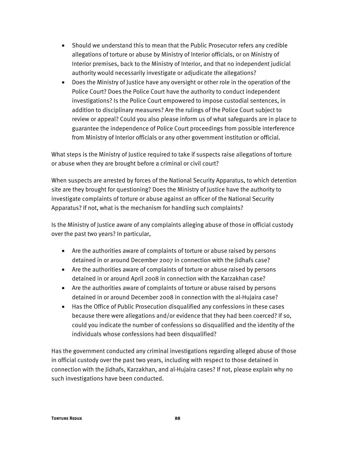- Should we understand this to mean that the Public Prosecutor refers any credible allegations of torture or abuse by Ministry of Interior officials, or on Ministry of Interior premises, back to the Ministry of Interior, and that no independent judicial authority would necessarily investigate or adjudicate the allegations?
- Does the Ministry of Justice have any oversight or other role in the operation of the Police Court? Does the Police Court have the authority to conduct independent investigations? Is the Police Court empowered to impose custodial sentences, in addition to disciplinary measures? Are the rulings of the Police Court subject to review or appeal? Could you also please inform us of what safeguards are in place to guarantee the independence of Police Court proceedings from possible interference from Ministry of Interior officials or any other government institution or official.

What steps is the Ministry of Justice required to take if suspects raise allegations of torture or abuse when they are brought before a criminal or civil court?

When suspects are arrested by forces of the National Security Apparatus, to which detention site are they brought for questioning? Does the Ministry of Justice have the authority to investigate complaints of torture or abuse against an officer of the National Security Apparatus? If not, what is the mechanism for handling such complaints?

Is the Ministry of Justice aware of any complaints alleging abuse of those in official custody over the past two years? In particular,

- Are the authorities aware of complaints of torture or abuse raised by persons detained in or around December 2007 in connection with the Jidhafs case?
- Are the authorities aware of complaints of torture or abuse raised by persons detained in or around April 2008 in connection with the Karzakhan case?
- Are the authorities aware of complaints of torture or abuse raised by persons detained in or around December 2008 in connection with the al-Hujaira case?
- Has the Office of Public Prosecution disqualified any confessions in these cases because there were allegations and/or evidence that they had been coerced? If so, could you indicate the number of confessions so disqualified and the identity of the individuals whose confessions had been disqualified?

Has the government conducted any criminal investigations regarding alleged abuse of those in official custody over the past two years, including with respect to those detained in connection with the Jidhafs, Karzakhan, and al-Hujaira cases? If not, please explain why no such investigations have been conducted.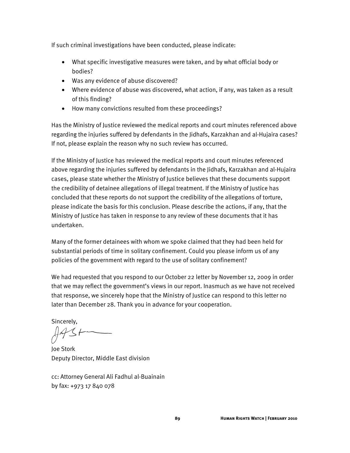If such criminal investigations have been conducted, please indicate:

- What specific investigative measures were taken, and by what official body or bodies?
- Was any evidence of abuse discovered?
- Where evidence of abuse was discovered, what action, if any, was taken as a result of this finding?
- How many convictions resulted from these proceedings?

Has the Ministry of Justice reviewed the medical reports and court minutes referenced above regarding the injuries suffered by defendants in the Jidhafs, Karzakhan and al-Hujaira cases? If not, please explain the reason why no such review has occurred.

If the Ministry of Justice has reviewed the medical reports and court minutes referenced above regarding the injuries suffered by defendants in the Jidhafs, Karzakhan and al-Hujaira cases, please state whether the Ministry of Justice believes that these documents support the credibility of detainee allegations of illegal treatment. If the Ministry of Justice has concluded that these reports do not support the credibility of the allegations of torture, please indicate the basis for this conclusion. Please describe the actions, if any, that the Ministry of Justice has taken in response to any review of these documents that it has undertaken.

Many of the former detainees with whom we spoke claimed that they had been held for substantial periods of time in solitary confinement. Could you please inform us of any policies of the government with regard to the use of solitary confinement?

We had requested that you respond to our October 22 letter by November 12, 2009 in order that we may reflect the government's views in our report. Inasmuch as we have not received that response, we sincerely hope that the Ministry of Justice can respond to this letter no later than December 28. Thank you in advance for your cooperation.

Sincerely,

Joe Stork Deputy Director, Middle East division

cc: Attorney General Ali Fadhul al-Buainain by fax: +973 17 840 078